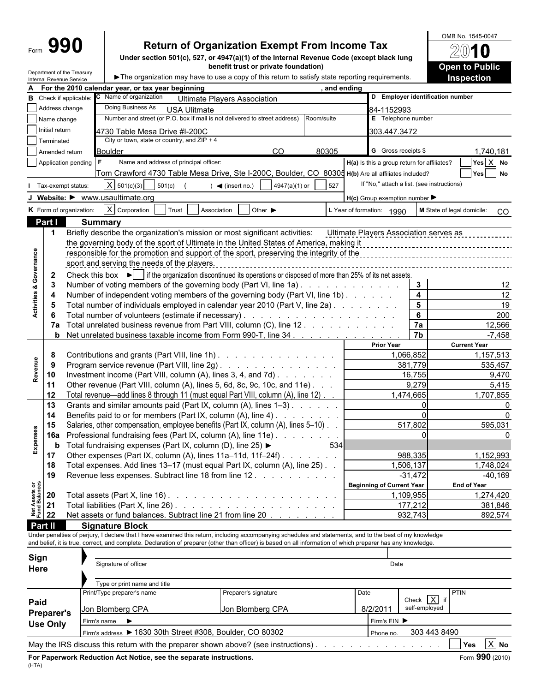# **Return of Organization Exempt From Income Tax**

**Under section 501(c), 527, or 4947(a)(1) of the Internal Revenue Code (except black lung benefit trust or private foundation)**

OMB No. 1545-0047 20 0 **Open to Public Inspection**

| Department of the Treasury |                                                                                                   |
|----------------------------|---------------------------------------------------------------------------------------------------|
| Internal Revenue Service   | ► The organization may have to use a copy of this return to satisfy state reporting requirements. |

| C Name of organization<br>D Employer identification number<br><b>B</b> Check if applicable:<br><b>Ultimate Players Association</b><br>Address change<br>Doing Business As<br><b>USA Ulitmate</b><br>84-1152993<br>Number and street (or P.O. box if mail is not delivered to street address)<br>Room/suite<br>E Telephone number<br>Name change<br>Initial return<br>4730 Table Mesa Drive #I-200C<br>303.447.3472<br>City or town, state or country, and $ZIP + 4$<br>Terminated<br>G Gross receipts \$<br><sub>CO</sub><br>80305<br>1,740,181<br><b>Boulder</b><br>Amended return<br>Yes X No<br>Name and address of principal officer:<br>H(a) Is this a group return for affiliates?<br>Application pending<br>Tom Crawford 4730 Table Mesa Drive, Ste I-200C, Boulder, CO 80305 H(b) Are all affiliates included?<br>Yes No<br>If "No," attach a list. (see instructions)<br>$X \mid 501(c)(3)$<br>501(c)<br>4947(a)(1) or<br>527<br>Tax-exempt status:<br>$\sqrt{ }$ (insert no.)<br>J Website: • www.usaultimate.org<br>$H(c)$ Group exemption number $\blacktriangleright$<br>$ X $ Corporation<br>K Form of organization:<br>Other $\blacktriangleright$<br>Trust<br>Association<br>L Year of formation: 1990<br>M State of legal domicile:<br>Part I<br><b>Summary</b><br>Briefly describe the organization's mission or most significant activities:<br>Ultimate Players Association serves as<br>-1<br>the governing body of the sport of Ultimate in the United States of America, making it<br>-------------------------------------<br>Governance<br>responsible for the promotion and support of the sport, preserving the integrity of the<br>sport and serving the needs of the players.<br>Check this box $\blacktriangleright$ if the organization discontinued its operations or disposed of more than 25% of its net assets.<br>$\overline{\mathbf{2}}$<br>$\mathbf{3}$<br>$\mathbf{3}$<br>Number of voting members of the governing body (Part VI, line 1a).<br>ೲ<br>$\overline{\mathbf{4}}$<br>Activities<br>12<br>Number of independent voting members of the governing body (Part VI, line 1b)<br>4<br>$5\phantom{a}$<br>19<br>Total number of individuals employed in calendar year 2010 (Part V, line 2a)<br>5<br>6<br>200<br>6<br>7a<br>7a Total unrelated business revenue from Part VIII, column (C), line 12.<br>12,566<br>$\overline{7b}$<br><b>b</b> Net unrelated business taxable income from Form 990-T, line 34<br>$-7,458$<br><b>Prior Year</b><br><b>Current Year</b><br>8<br>Contributions and grants (Part VIII, line 1h)<br>1,066,852<br>1,157,513<br>Revenue<br>Program service revenue (Part VIII, line 2g)<br>381,779<br>535,457<br>9<br>Investment income (Part VIII, column (A), lines 3, 4, and 7d).<br>16,755<br>9,470<br>10<br>9,279<br>Other revenue (Part VIII, column (A), lines 5, 6d, 8c, 9c, 10c, and 11e)<br>5,415<br>11<br>1,474,665<br>12<br>Total revenue—add lines 8 through 11 (must equal Part VIII, column (A), line 12)<br>1,707,855<br>13<br>Grants and similar amounts paid (Part IX, column (A), lines 1-3)<br>$\Omega$<br>14<br>Benefits paid to or for members (Part IX, column (A), line 4)<br>15<br>Salaries, other compensation, employee benefits (Part IX, column (A), lines 5-10)<br>517,802<br>595,031<br>Expenses<br>Professional fundraising fees (Part IX, column (A), line 11e)<br>$\Omega$<br>16a<br>Total fundraising expenses (Part IX, column (D), line 25) ▶ _ _ _ _ _ _ _ _ _ _ _ 534<br>b<br>988,335<br>17<br>Other expenses (Part IX, column (A), lines 11a-11d, 11f-24f)<br>1,152,993<br>18<br>Total expenses. Add lines 13-17 (must equal Part IX, column (A), line 25). .<br>1,506,137<br>1,748,024<br>Revenue less expenses. Subtract line 18 from line 12.<br>19<br>$-31,472$<br>-40,169<br><b>Net Assets or<br/>Fund Balances</b><br><b>Beginning of Current Year</b><br><b>End of Year</b><br>1,109,955<br>20<br>Total assets (Part X, line 16) $\ldots$ $\ldots$ $\ldots$ $\ldots$ $\ldots$ $\ldots$ $\ldots$ $\ldots$ $\ldots$<br>1,274,420<br>21<br>177,212<br>Net assets or fund balances. Subtract line 21 from line 20<br>932,743<br>22<br>Part II<br><b>Signature Block</b><br>Under penalties of perjury, I declare that I have examined this return, including accompanying schedules and statements, and to the best of my knowledge<br>and belief, it is true, correct, and complete. Declaration of preparer (other than officer) is based on all information of which preparer has any knowledge.<br>Sign<br>Signature of officer<br>Date<br>Here<br>Type or print name and title<br><b>PTIN</b><br>Print/Type preparer's name<br>Preparer's signature<br>Date<br>Check $\overline{X}$<br>Paid<br>self-employed<br>Jon Blomberg CPA<br>Jon Blomberg CPA<br>8/2/2011<br><b>Preparer's</b><br>Firm's name $\blacktriangleright$<br>Firm's $EIN$<br><b>Use Only</b><br>Firm's address > 1630 30th Street #308, Boulder, CO 80302<br>303 443 8490<br>Phone no.<br>Yes $X$ No<br>May the IRS discuss this return with the preparer shown above? (see instructions).<br>the contract of the contract of<br>For Paperwork Reduction Act Notice, see the separate instructions.<br>(HTA) |  |  | For the 2010 calendar year, or tax year beginning |  | and ending |  |  |                 |  |  |  |
|------------------------------------------------------------------------------------------------------------------------------------------------------------------------------------------------------------------------------------------------------------------------------------------------------------------------------------------------------------------------------------------------------------------------------------------------------------------------------------------------------------------------------------------------------------------------------------------------------------------------------------------------------------------------------------------------------------------------------------------------------------------------------------------------------------------------------------------------------------------------------------------------------------------------------------------------------------------------------------------------------------------------------------------------------------------------------------------------------------------------------------------------------------------------------------------------------------------------------------------------------------------------------------------------------------------------------------------------------------------------------------------------------------------------------------------------------------------------------------------------------------------------------------------------------------------------------------------------------------------------------------------------------------------------------------------------------------------------------------------------------------------------------------------------------------------------------------------------------------------------------------------------------------------------------------------------------------------------------------------------------------------------------------------------------------------------------------------------------------------------------------------------------------------------------------------------------------------------------------------------------------------------------------------------------------------------------------------------------------------------------------------------------------------------------------------------------------------------------------------------------------------------------------------------------------------------------------------------------------------------------------------------------------------------------------------------------------------------------------------------------------------------------------------------------------------------------------------------------------------------------------------------------------------------------------------------------------------------------------------------------------------------------------------------------------------------------------------------------------------------------------------------------------------------------------------------------------------------------------------------------------------------------------------------------------------------------------------------------------------------------------------------------------------------------------------------------------------------------------------------------------------------------------------------------------------------------------------------------------------------------------------------------------------------------------------------------------------------------------------------------------------------------------------------------------------------------------------------------------------------------------------------------------------------------------------------------------------------------------------------------------------------------------------------------------------------------------------------------------------------------------------------------------------------------------------------------------------------------------------------------------------------------------------------------------------------------------------------------------------------------------------------------------------------------------------------------------------------------------------------------------------------------------------------------------------------------------------------------------------------------------------------------------------------------------------------------------------------------------------------------------------------------------------------------------------------------------------------------------------------------------------------------------------------------------------------------------------------------------------------------------------------------------------------------------------------------------------------------------------------------------------------------------------------------------------------|--|--|---------------------------------------------------|--|------------|--|--|-----------------|--|--|--|
|                                                                                                                                                                                                                                                                                                                                                                                                                                                                                                                                                                                                                                                                                                                                                                                                                                                                                                                                                                                                                                                                                                                                                                                                                                                                                                                                                                                                                                                                                                                                                                                                                                                                                                                                                                                                                                                                                                                                                                                                                                                                                                                                                                                                                                                                                                                                                                                                                                                                                                                                                                                                                                                                                                                                                                                                                                                                                                                                                                                                                                                                                                                                                                                                                                                                                                                                                                                                                                                                                                                                                                                                                                                                                                                                                                                                                                                                                                                                                                                                                                                                                                                                                                                                                                                                                                                                                                                                                                                                                                                                                                                                                                                                                                                                                                                                                                                                                                                                                                                                                                                                                                                                                                                                |  |  |                                                   |  |            |  |  |                 |  |  |  |
|                                                                                                                                                                                                                                                                                                                                                                                                                                                                                                                                                                                                                                                                                                                                                                                                                                                                                                                                                                                                                                                                                                                                                                                                                                                                                                                                                                                                                                                                                                                                                                                                                                                                                                                                                                                                                                                                                                                                                                                                                                                                                                                                                                                                                                                                                                                                                                                                                                                                                                                                                                                                                                                                                                                                                                                                                                                                                                                                                                                                                                                                                                                                                                                                                                                                                                                                                                                                                                                                                                                                                                                                                                                                                                                                                                                                                                                                                                                                                                                                                                                                                                                                                                                                                                                                                                                                                                                                                                                                                                                                                                                                                                                                                                                                                                                                                                                                                                                                                                                                                                                                                                                                                                                                |  |  |                                                   |  |            |  |  |                 |  |  |  |
|                                                                                                                                                                                                                                                                                                                                                                                                                                                                                                                                                                                                                                                                                                                                                                                                                                                                                                                                                                                                                                                                                                                                                                                                                                                                                                                                                                                                                                                                                                                                                                                                                                                                                                                                                                                                                                                                                                                                                                                                                                                                                                                                                                                                                                                                                                                                                                                                                                                                                                                                                                                                                                                                                                                                                                                                                                                                                                                                                                                                                                                                                                                                                                                                                                                                                                                                                                                                                                                                                                                                                                                                                                                                                                                                                                                                                                                                                                                                                                                                                                                                                                                                                                                                                                                                                                                                                                                                                                                                                                                                                                                                                                                                                                                                                                                                                                                                                                                                                                                                                                                                                                                                                                                                |  |  |                                                   |  |            |  |  |                 |  |  |  |
|                                                                                                                                                                                                                                                                                                                                                                                                                                                                                                                                                                                                                                                                                                                                                                                                                                                                                                                                                                                                                                                                                                                                                                                                                                                                                                                                                                                                                                                                                                                                                                                                                                                                                                                                                                                                                                                                                                                                                                                                                                                                                                                                                                                                                                                                                                                                                                                                                                                                                                                                                                                                                                                                                                                                                                                                                                                                                                                                                                                                                                                                                                                                                                                                                                                                                                                                                                                                                                                                                                                                                                                                                                                                                                                                                                                                                                                                                                                                                                                                                                                                                                                                                                                                                                                                                                                                                                                                                                                                                                                                                                                                                                                                                                                                                                                                                                                                                                                                                                                                                                                                                                                                                                                                |  |  |                                                   |  |            |  |  |                 |  |  |  |
|                                                                                                                                                                                                                                                                                                                                                                                                                                                                                                                                                                                                                                                                                                                                                                                                                                                                                                                                                                                                                                                                                                                                                                                                                                                                                                                                                                                                                                                                                                                                                                                                                                                                                                                                                                                                                                                                                                                                                                                                                                                                                                                                                                                                                                                                                                                                                                                                                                                                                                                                                                                                                                                                                                                                                                                                                                                                                                                                                                                                                                                                                                                                                                                                                                                                                                                                                                                                                                                                                                                                                                                                                                                                                                                                                                                                                                                                                                                                                                                                                                                                                                                                                                                                                                                                                                                                                                                                                                                                                                                                                                                                                                                                                                                                                                                                                                                                                                                                                                                                                                                                                                                                                                                                |  |  |                                                   |  |            |  |  |                 |  |  |  |
|                                                                                                                                                                                                                                                                                                                                                                                                                                                                                                                                                                                                                                                                                                                                                                                                                                                                                                                                                                                                                                                                                                                                                                                                                                                                                                                                                                                                                                                                                                                                                                                                                                                                                                                                                                                                                                                                                                                                                                                                                                                                                                                                                                                                                                                                                                                                                                                                                                                                                                                                                                                                                                                                                                                                                                                                                                                                                                                                                                                                                                                                                                                                                                                                                                                                                                                                                                                                                                                                                                                                                                                                                                                                                                                                                                                                                                                                                                                                                                                                                                                                                                                                                                                                                                                                                                                                                                                                                                                                                                                                                                                                                                                                                                                                                                                                                                                                                                                                                                                                                                                                                                                                                                                                |  |  |                                                   |  |            |  |  |                 |  |  |  |
|                                                                                                                                                                                                                                                                                                                                                                                                                                                                                                                                                                                                                                                                                                                                                                                                                                                                                                                                                                                                                                                                                                                                                                                                                                                                                                                                                                                                                                                                                                                                                                                                                                                                                                                                                                                                                                                                                                                                                                                                                                                                                                                                                                                                                                                                                                                                                                                                                                                                                                                                                                                                                                                                                                                                                                                                                                                                                                                                                                                                                                                                                                                                                                                                                                                                                                                                                                                                                                                                                                                                                                                                                                                                                                                                                                                                                                                                                                                                                                                                                                                                                                                                                                                                                                                                                                                                                                                                                                                                                                                                                                                                                                                                                                                                                                                                                                                                                                                                                                                                                                                                                                                                                                                                |  |  |                                                   |  |            |  |  |                 |  |  |  |
|                                                                                                                                                                                                                                                                                                                                                                                                                                                                                                                                                                                                                                                                                                                                                                                                                                                                                                                                                                                                                                                                                                                                                                                                                                                                                                                                                                                                                                                                                                                                                                                                                                                                                                                                                                                                                                                                                                                                                                                                                                                                                                                                                                                                                                                                                                                                                                                                                                                                                                                                                                                                                                                                                                                                                                                                                                                                                                                                                                                                                                                                                                                                                                                                                                                                                                                                                                                                                                                                                                                                                                                                                                                                                                                                                                                                                                                                                                                                                                                                                                                                                                                                                                                                                                                                                                                                                                                                                                                                                                                                                                                                                                                                                                                                                                                                                                                                                                                                                                                                                                                                                                                                                                                                |  |  |                                                   |  |            |  |  |                 |  |  |  |
|                                                                                                                                                                                                                                                                                                                                                                                                                                                                                                                                                                                                                                                                                                                                                                                                                                                                                                                                                                                                                                                                                                                                                                                                                                                                                                                                                                                                                                                                                                                                                                                                                                                                                                                                                                                                                                                                                                                                                                                                                                                                                                                                                                                                                                                                                                                                                                                                                                                                                                                                                                                                                                                                                                                                                                                                                                                                                                                                                                                                                                                                                                                                                                                                                                                                                                                                                                                                                                                                                                                                                                                                                                                                                                                                                                                                                                                                                                                                                                                                                                                                                                                                                                                                                                                                                                                                                                                                                                                                                                                                                                                                                                                                                                                                                                                                                                                                                                                                                                                                                                                                                                                                                                                                |  |  |                                                   |  |            |  |  |                 |  |  |  |
|                                                                                                                                                                                                                                                                                                                                                                                                                                                                                                                                                                                                                                                                                                                                                                                                                                                                                                                                                                                                                                                                                                                                                                                                                                                                                                                                                                                                                                                                                                                                                                                                                                                                                                                                                                                                                                                                                                                                                                                                                                                                                                                                                                                                                                                                                                                                                                                                                                                                                                                                                                                                                                                                                                                                                                                                                                                                                                                                                                                                                                                                                                                                                                                                                                                                                                                                                                                                                                                                                                                                                                                                                                                                                                                                                                                                                                                                                                                                                                                                                                                                                                                                                                                                                                                                                                                                                                                                                                                                                                                                                                                                                                                                                                                                                                                                                                                                                                                                                                                                                                                                                                                                                                                                |  |  |                                                   |  |            |  |  |                 |  |  |  |
|                                                                                                                                                                                                                                                                                                                                                                                                                                                                                                                                                                                                                                                                                                                                                                                                                                                                                                                                                                                                                                                                                                                                                                                                                                                                                                                                                                                                                                                                                                                                                                                                                                                                                                                                                                                                                                                                                                                                                                                                                                                                                                                                                                                                                                                                                                                                                                                                                                                                                                                                                                                                                                                                                                                                                                                                                                                                                                                                                                                                                                                                                                                                                                                                                                                                                                                                                                                                                                                                                                                                                                                                                                                                                                                                                                                                                                                                                                                                                                                                                                                                                                                                                                                                                                                                                                                                                                                                                                                                                                                                                                                                                                                                                                                                                                                                                                                                                                                                                                                                                                                                                                                                                                                                |  |  |                                                   |  |            |  |  |                 |  |  |  |
|                                                                                                                                                                                                                                                                                                                                                                                                                                                                                                                                                                                                                                                                                                                                                                                                                                                                                                                                                                                                                                                                                                                                                                                                                                                                                                                                                                                                                                                                                                                                                                                                                                                                                                                                                                                                                                                                                                                                                                                                                                                                                                                                                                                                                                                                                                                                                                                                                                                                                                                                                                                                                                                                                                                                                                                                                                                                                                                                                                                                                                                                                                                                                                                                                                                                                                                                                                                                                                                                                                                                                                                                                                                                                                                                                                                                                                                                                                                                                                                                                                                                                                                                                                                                                                                                                                                                                                                                                                                                                                                                                                                                                                                                                                                                                                                                                                                                                                                                                                                                                                                                                                                                                                                                |  |  |                                                   |  |            |  |  | <b>CO</b>       |  |  |  |
|                                                                                                                                                                                                                                                                                                                                                                                                                                                                                                                                                                                                                                                                                                                                                                                                                                                                                                                                                                                                                                                                                                                                                                                                                                                                                                                                                                                                                                                                                                                                                                                                                                                                                                                                                                                                                                                                                                                                                                                                                                                                                                                                                                                                                                                                                                                                                                                                                                                                                                                                                                                                                                                                                                                                                                                                                                                                                                                                                                                                                                                                                                                                                                                                                                                                                                                                                                                                                                                                                                                                                                                                                                                                                                                                                                                                                                                                                                                                                                                                                                                                                                                                                                                                                                                                                                                                                                                                                                                                                                                                                                                                                                                                                                                                                                                                                                                                                                                                                                                                                                                                                                                                                                                                |  |  |                                                   |  |            |  |  |                 |  |  |  |
|                                                                                                                                                                                                                                                                                                                                                                                                                                                                                                                                                                                                                                                                                                                                                                                                                                                                                                                                                                                                                                                                                                                                                                                                                                                                                                                                                                                                                                                                                                                                                                                                                                                                                                                                                                                                                                                                                                                                                                                                                                                                                                                                                                                                                                                                                                                                                                                                                                                                                                                                                                                                                                                                                                                                                                                                                                                                                                                                                                                                                                                                                                                                                                                                                                                                                                                                                                                                                                                                                                                                                                                                                                                                                                                                                                                                                                                                                                                                                                                                                                                                                                                                                                                                                                                                                                                                                                                                                                                                                                                                                                                                                                                                                                                                                                                                                                                                                                                                                                                                                                                                                                                                                                                                |  |  |                                                   |  |            |  |  |                 |  |  |  |
|                                                                                                                                                                                                                                                                                                                                                                                                                                                                                                                                                                                                                                                                                                                                                                                                                                                                                                                                                                                                                                                                                                                                                                                                                                                                                                                                                                                                                                                                                                                                                                                                                                                                                                                                                                                                                                                                                                                                                                                                                                                                                                                                                                                                                                                                                                                                                                                                                                                                                                                                                                                                                                                                                                                                                                                                                                                                                                                                                                                                                                                                                                                                                                                                                                                                                                                                                                                                                                                                                                                                                                                                                                                                                                                                                                                                                                                                                                                                                                                                                                                                                                                                                                                                                                                                                                                                                                                                                                                                                                                                                                                                                                                                                                                                                                                                                                                                                                                                                                                                                                                                                                                                                                                                |  |  |                                                   |  |            |  |  |                 |  |  |  |
|                                                                                                                                                                                                                                                                                                                                                                                                                                                                                                                                                                                                                                                                                                                                                                                                                                                                                                                                                                                                                                                                                                                                                                                                                                                                                                                                                                                                                                                                                                                                                                                                                                                                                                                                                                                                                                                                                                                                                                                                                                                                                                                                                                                                                                                                                                                                                                                                                                                                                                                                                                                                                                                                                                                                                                                                                                                                                                                                                                                                                                                                                                                                                                                                                                                                                                                                                                                                                                                                                                                                                                                                                                                                                                                                                                                                                                                                                                                                                                                                                                                                                                                                                                                                                                                                                                                                                                                                                                                                                                                                                                                                                                                                                                                                                                                                                                                                                                                                                                                                                                                                                                                                                                                                |  |  |                                                   |  |            |  |  |                 |  |  |  |
|                                                                                                                                                                                                                                                                                                                                                                                                                                                                                                                                                                                                                                                                                                                                                                                                                                                                                                                                                                                                                                                                                                                                                                                                                                                                                                                                                                                                                                                                                                                                                                                                                                                                                                                                                                                                                                                                                                                                                                                                                                                                                                                                                                                                                                                                                                                                                                                                                                                                                                                                                                                                                                                                                                                                                                                                                                                                                                                                                                                                                                                                                                                                                                                                                                                                                                                                                                                                                                                                                                                                                                                                                                                                                                                                                                                                                                                                                                                                                                                                                                                                                                                                                                                                                                                                                                                                                                                                                                                                                                                                                                                                                                                                                                                                                                                                                                                                                                                                                                                                                                                                                                                                                                                                |  |  |                                                   |  |            |  |  |                 |  |  |  |
|                                                                                                                                                                                                                                                                                                                                                                                                                                                                                                                                                                                                                                                                                                                                                                                                                                                                                                                                                                                                                                                                                                                                                                                                                                                                                                                                                                                                                                                                                                                                                                                                                                                                                                                                                                                                                                                                                                                                                                                                                                                                                                                                                                                                                                                                                                                                                                                                                                                                                                                                                                                                                                                                                                                                                                                                                                                                                                                                                                                                                                                                                                                                                                                                                                                                                                                                                                                                                                                                                                                                                                                                                                                                                                                                                                                                                                                                                                                                                                                                                                                                                                                                                                                                                                                                                                                                                                                                                                                                                                                                                                                                                                                                                                                                                                                                                                                                                                                                                                                                                                                                                                                                                                                                |  |  |                                                   |  |            |  |  |                 |  |  |  |
|                                                                                                                                                                                                                                                                                                                                                                                                                                                                                                                                                                                                                                                                                                                                                                                                                                                                                                                                                                                                                                                                                                                                                                                                                                                                                                                                                                                                                                                                                                                                                                                                                                                                                                                                                                                                                                                                                                                                                                                                                                                                                                                                                                                                                                                                                                                                                                                                                                                                                                                                                                                                                                                                                                                                                                                                                                                                                                                                                                                                                                                                                                                                                                                                                                                                                                                                                                                                                                                                                                                                                                                                                                                                                                                                                                                                                                                                                                                                                                                                                                                                                                                                                                                                                                                                                                                                                                                                                                                                                                                                                                                                                                                                                                                                                                                                                                                                                                                                                                                                                                                                                                                                                                                                |  |  |                                                   |  |            |  |  | 12              |  |  |  |
|                                                                                                                                                                                                                                                                                                                                                                                                                                                                                                                                                                                                                                                                                                                                                                                                                                                                                                                                                                                                                                                                                                                                                                                                                                                                                                                                                                                                                                                                                                                                                                                                                                                                                                                                                                                                                                                                                                                                                                                                                                                                                                                                                                                                                                                                                                                                                                                                                                                                                                                                                                                                                                                                                                                                                                                                                                                                                                                                                                                                                                                                                                                                                                                                                                                                                                                                                                                                                                                                                                                                                                                                                                                                                                                                                                                                                                                                                                                                                                                                                                                                                                                                                                                                                                                                                                                                                                                                                                                                                                                                                                                                                                                                                                                                                                                                                                                                                                                                                                                                                                                                                                                                                                                                |  |  |                                                   |  |            |  |  |                 |  |  |  |
|                                                                                                                                                                                                                                                                                                                                                                                                                                                                                                                                                                                                                                                                                                                                                                                                                                                                                                                                                                                                                                                                                                                                                                                                                                                                                                                                                                                                                                                                                                                                                                                                                                                                                                                                                                                                                                                                                                                                                                                                                                                                                                                                                                                                                                                                                                                                                                                                                                                                                                                                                                                                                                                                                                                                                                                                                                                                                                                                                                                                                                                                                                                                                                                                                                                                                                                                                                                                                                                                                                                                                                                                                                                                                                                                                                                                                                                                                                                                                                                                                                                                                                                                                                                                                                                                                                                                                                                                                                                                                                                                                                                                                                                                                                                                                                                                                                                                                                                                                                                                                                                                                                                                                                                                |  |  |                                                   |  |            |  |  |                 |  |  |  |
|                                                                                                                                                                                                                                                                                                                                                                                                                                                                                                                                                                                                                                                                                                                                                                                                                                                                                                                                                                                                                                                                                                                                                                                                                                                                                                                                                                                                                                                                                                                                                                                                                                                                                                                                                                                                                                                                                                                                                                                                                                                                                                                                                                                                                                                                                                                                                                                                                                                                                                                                                                                                                                                                                                                                                                                                                                                                                                                                                                                                                                                                                                                                                                                                                                                                                                                                                                                                                                                                                                                                                                                                                                                                                                                                                                                                                                                                                                                                                                                                                                                                                                                                                                                                                                                                                                                                                                                                                                                                                                                                                                                                                                                                                                                                                                                                                                                                                                                                                                                                                                                                                                                                                                                                |  |  |                                                   |  |            |  |  |                 |  |  |  |
|                                                                                                                                                                                                                                                                                                                                                                                                                                                                                                                                                                                                                                                                                                                                                                                                                                                                                                                                                                                                                                                                                                                                                                                                                                                                                                                                                                                                                                                                                                                                                                                                                                                                                                                                                                                                                                                                                                                                                                                                                                                                                                                                                                                                                                                                                                                                                                                                                                                                                                                                                                                                                                                                                                                                                                                                                                                                                                                                                                                                                                                                                                                                                                                                                                                                                                                                                                                                                                                                                                                                                                                                                                                                                                                                                                                                                                                                                                                                                                                                                                                                                                                                                                                                                                                                                                                                                                                                                                                                                                                                                                                                                                                                                                                                                                                                                                                                                                                                                                                                                                                                                                                                                                                                |  |  |                                                   |  |            |  |  |                 |  |  |  |
|                                                                                                                                                                                                                                                                                                                                                                                                                                                                                                                                                                                                                                                                                                                                                                                                                                                                                                                                                                                                                                                                                                                                                                                                                                                                                                                                                                                                                                                                                                                                                                                                                                                                                                                                                                                                                                                                                                                                                                                                                                                                                                                                                                                                                                                                                                                                                                                                                                                                                                                                                                                                                                                                                                                                                                                                                                                                                                                                                                                                                                                                                                                                                                                                                                                                                                                                                                                                                                                                                                                                                                                                                                                                                                                                                                                                                                                                                                                                                                                                                                                                                                                                                                                                                                                                                                                                                                                                                                                                                                                                                                                                                                                                                                                                                                                                                                                                                                                                                                                                                                                                                                                                                                                                |  |  |                                                   |  |            |  |  |                 |  |  |  |
|                                                                                                                                                                                                                                                                                                                                                                                                                                                                                                                                                                                                                                                                                                                                                                                                                                                                                                                                                                                                                                                                                                                                                                                                                                                                                                                                                                                                                                                                                                                                                                                                                                                                                                                                                                                                                                                                                                                                                                                                                                                                                                                                                                                                                                                                                                                                                                                                                                                                                                                                                                                                                                                                                                                                                                                                                                                                                                                                                                                                                                                                                                                                                                                                                                                                                                                                                                                                                                                                                                                                                                                                                                                                                                                                                                                                                                                                                                                                                                                                                                                                                                                                                                                                                                                                                                                                                                                                                                                                                                                                                                                                                                                                                                                                                                                                                                                                                                                                                                                                                                                                                                                                                                                                |  |  |                                                   |  |            |  |  |                 |  |  |  |
|                                                                                                                                                                                                                                                                                                                                                                                                                                                                                                                                                                                                                                                                                                                                                                                                                                                                                                                                                                                                                                                                                                                                                                                                                                                                                                                                                                                                                                                                                                                                                                                                                                                                                                                                                                                                                                                                                                                                                                                                                                                                                                                                                                                                                                                                                                                                                                                                                                                                                                                                                                                                                                                                                                                                                                                                                                                                                                                                                                                                                                                                                                                                                                                                                                                                                                                                                                                                                                                                                                                                                                                                                                                                                                                                                                                                                                                                                                                                                                                                                                                                                                                                                                                                                                                                                                                                                                                                                                                                                                                                                                                                                                                                                                                                                                                                                                                                                                                                                                                                                                                                                                                                                                                                |  |  |                                                   |  |            |  |  |                 |  |  |  |
|                                                                                                                                                                                                                                                                                                                                                                                                                                                                                                                                                                                                                                                                                                                                                                                                                                                                                                                                                                                                                                                                                                                                                                                                                                                                                                                                                                                                                                                                                                                                                                                                                                                                                                                                                                                                                                                                                                                                                                                                                                                                                                                                                                                                                                                                                                                                                                                                                                                                                                                                                                                                                                                                                                                                                                                                                                                                                                                                                                                                                                                                                                                                                                                                                                                                                                                                                                                                                                                                                                                                                                                                                                                                                                                                                                                                                                                                                                                                                                                                                                                                                                                                                                                                                                                                                                                                                                                                                                                                                                                                                                                                                                                                                                                                                                                                                                                                                                                                                                                                                                                                                                                                                                                                |  |  |                                                   |  |            |  |  |                 |  |  |  |
|                                                                                                                                                                                                                                                                                                                                                                                                                                                                                                                                                                                                                                                                                                                                                                                                                                                                                                                                                                                                                                                                                                                                                                                                                                                                                                                                                                                                                                                                                                                                                                                                                                                                                                                                                                                                                                                                                                                                                                                                                                                                                                                                                                                                                                                                                                                                                                                                                                                                                                                                                                                                                                                                                                                                                                                                                                                                                                                                                                                                                                                                                                                                                                                                                                                                                                                                                                                                                                                                                                                                                                                                                                                                                                                                                                                                                                                                                                                                                                                                                                                                                                                                                                                                                                                                                                                                                                                                                                                                                                                                                                                                                                                                                                                                                                                                                                                                                                                                                                                                                                                                                                                                                                                                |  |  |                                                   |  |            |  |  |                 |  |  |  |
|                                                                                                                                                                                                                                                                                                                                                                                                                                                                                                                                                                                                                                                                                                                                                                                                                                                                                                                                                                                                                                                                                                                                                                                                                                                                                                                                                                                                                                                                                                                                                                                                                                                                                                                                                                                                                                                                                                                                                                                                                                                                                                                                                                                                                                                                                                                                                                                                                                                                                                                                                                                                                                                                                                                                                                                                                                                                                                                                                                                                                                                                                                                                                                                                                                                                                                                                                                                                                                                                                                                                                                                                                                                                                                                                                                                                                                                                                                                                                                                                                                                                                                                                                                                                                                                                                                                                                                                                                                                                                                                                                                                                                                                                                                                                                                                                                                                                                                                                                                                                                                                                                                                                                                                                |  |  |                                                   |  |            |  |  |                 |  |  |  |
|                                                                                                                                                                                                                                                                                                                                                                                                                                                                                                                                                                                                                                                                                                                                                                                                                                                                                                                                                                                                                                                                                                                                                                                                                                                                                                                                                                                                                                                                                                                                                                                                                                                                                                                                                                                                                                                                                                                                                                                                                                                                                                                                                                                                                                                                                                                                                                                                                                                                                                                                                                                                                                                                                                                                                                                                                                                                                                                                                                                                                                                                                                                                                                                                                                                                                                                                                                                                                                                                                                                                                                                                                                                                                                                                                                                                                                                                                                                                                                                                                                                                                                                                                                                                                                                                                                                                                                                                                                                                                                                                                                                                                                                                                                                                                                                                                                                                                                                                                                                                                                                                                                                                                                                                |  |  |                                                   |  |            |  |  |                 |  |  |  |
|                                                                                                                                                                                                                                                                                                                                                                                                                                                                                                                                                                                                                                                                                                                                                                                                                                                                                                                                                                                                                                                                                                                                                                                                                                                                                                                                                                                                                                                                                                                                                                                                                                                                                                                                                                                                                                                                                                                                                                                                                                                                                                                                                                                                                                                                                                                                                                                                                                                                                                                                                                                                                                                                                                                                                                                                                                                                                                                                                                                                                                                                                                                                                                                                                                                                                                                                                                                                                                                                                                                                                                                                                                                                                                                                                                                                                                                                                                                                                                                                                                                                                                                                                                                                                                                                                                                                                                                                                                                                                                                                                                                                                                                                                                                                                                                                                                                                                                                                                                                                                                                                                                                                                                                                |  |  |                                                   |  |            |  |  |                 |  |  |  |
|                                                                                                                                                                                                                                                                                                                                                                                                                                                                                                                                                                                                                                                                                                                                                                                                                                                                                                                                                                                                                                                                                                                                                                                                                                                                                                                                                                                                                                                                                                                                                                                                                                                                                                                                                                                                                                                                                                                                                                                                                                                                                                                                                                                                                                                                                                                                                                                                                                                                                                                                                                                                                                                                                                                                                                                                                                                                                                                                                                                                                                                                                                                                                                                                                                                                                                                                                                                                                                                                                                                                                                                                                                                                                                                                                                                                                                                                                                                                                                                                                                                                                                                                                                                                                                                                                                                                                                                                                                                                                                                                                                                                                                                                                                                                                                                                                                                                                                                                                                                                                                                                                                                                                                                                |  |  |                                                   |  |            |  |  |                 |  |  |  |
|                                                                                                                                                                                                                                                                                                                                                                                                                                                                                                                                                                                                                                                                                                                                                                                                                                                                                                                                                                                                                                                                                                                                                                                                                                                                                                                                                                                                                                                                                                                                                                                                                                                                                                                                                                                                                                                                                                                                                                                                                                                                                                                                                                                                                                                                                                                                                                                                                                                                                                                                                                                                                                                                                                                                                                                                                                                                                                                                                                                                                                                                                                                                                                                                                                                                                                                                                                                                                                                                                                                                                                                                                                                                                                                                                                                                                                                                                                                                                                                                                                                                                                                                                                                                                                                                                                                                                                                                                                                                                                                                                                                                                                                                                                                                                                                                                                                                                                                                                                                                                                                                                                                                                                                                |  |  |                                                   |  |            |  |  |                 |  |  |  |
|                                                                                                                                                                                                                                                                                                                                                                                                                                                                                                                                                                                                                                                                                                                                                                                                                                                                                                                                                                                                                                                                                                                                                                                                                                                                                                                                                                                                                                                                                                                                                                                                                                                                                                                                                                                                                                                                                                                                                                                                                                                                                                                                                                                                                                                                                                                                                                                                                                                                                                                                                                                                                                                                                                                                                                                                                                                                                                                                                                                                                                                                                                                                                                                                                                                                                                                                                                                                                                                                                                                                                                                                                                                                                                                                                                                                                                                                                                                                                                                                                                                                                                                                                                                                                                                                                                                                                                                                                                                                                                                                                                                                                                                                                                                                                                                                                                                                                                                                                                                                                                                                                                                                                                                                |  |  |                                                   |  |            |  |  |                 |  |  |  |
|                                                                                                                                                                                                                                                                                                                                                                                                                                                                                                                                                                                                                                                                                                                                                                                                                                                                                                                                                                                                                                                                                                                                                                                                                                                                                                                                                                                                                                                                                                                                                                                                                                                                                                                                                                                                                                                                                                                                                                                                                                                                                                                                                                                                                                                                                                                                                                                                                                                                                                                                                                                                                                                                                                                                                                                                                                                                                                                                                                                                                                                                                                                                                                                                                                                                                                                                                                                                                                                                                                                                                                                                                                                                                                                                                                                                                                                                                                                                                                                                                                                                                                                                                                                                                                                                                                                                                                                                                                                                                                                                                                                                                                                                                                                                                                                                                                                                                                                                                                                                                                                                                                                                                                                                |  |  |                                                   |  |            |  |  |                 |  |  |  |
|                                                                                                                                                                                                                                                                                                                                                                                                                                                                                                                                                                                                                                                                                                                                                                                                                                                                                                                                                                                                                                                                                                                                                                                                                                                                                                                                                                                                                                                                                                                                                                                                                                                                                                                                                                                                                                                                                                                                                                                                                                                                                                                                                                                                                                                                                                                                                                                                                                                                                                                                                                                                                                                                                                                                                                                                                                                                                                                                                                                                                                                                                                                                                                                                                                                                                                                                                                                                                                                                                                                                                                                                                                                                                                                                                                                                                                                                                                                                                                                                                                                                                                                                                                                                                                                                                                                                                                                                                                                                                                                                                                                                                                                                                                                                                                                                                                                                                                                                                                                                                                                                                                                                                                                                |  |  |                                                   |  |            |  |  |                 |  |  |  |
|                                                                                                                                                                                                                                                                                                                                                                                                                                                                                                                                                                                                                                                                                                                                                                                                                                                                                                                                                                                                                                                                                                                                                                                                                                                                                                                                                                                                                                                                                                                                                                                                                                                                                                                                                                                                                                                                                                                                                                                                                                                                                                                                                                                                                                                                                                                                                                                                                                                                                                                                                                                                                                                                                                                                                                                                                                                                                                                                                                                                                                                                                                                                                                                                                                                                                                                                                                                                                                                                                                                                                                                                                                                                                                                                                                                                                                                                                                                                                                                                                                                                                                                                                                                                                                                                                                                                                                                                                                                                                                                                                                                                                                                                                                                                                                                                                                                                                                                                                                                                                                                                                                                                                                                                |  |  |                                                   |  |            |  |  |                 |  |  |  |
|                                                                                                                                                                                                                                                                                                                                                                                                                                                                                                                                                                                                                                                                                                                                                                                                                                                                                                                                                                                                                                                                                                                                                                                                                                                                                                                                                                                                                                                                                                                                                                                                                                                                                                                                                                                                                                                                                                                                                                                                                                                                                                                                                                                                                                                                                                                                                                                                                                                                                                                                                                                                                                                                                                                                                                                                                                                                                                                                                                                                                                                                                                                                                                                                                                                                                                                                                                                                                                                                                                                                                                                                                                                                                                                                                                                                                                                                                                                                                                                                                                                                                                                                                                                                                                                                                                                                                                                                                                                                                                                                                                                                                                                                                                                                                                                                                                                                                                                                                                                                                                                                                                                                                                                                |  |  |                                                   |  |            |  |  |                 |  |  |  |
|                                                                                                                                                                                                                                                                                                                                                                                                                                                                                                                                                                                                                                                                                                                                                                                                                                                                                                                                                                                                                                                                                                                                                                                                                                                                                                                                                                                                                                                                                                                                                                                                                                                                                                                                                                                                                                                                                                                                                                                                                                                                                                                                                                                                                                                                                                                                                                                                                                                                                                                                                                                                                                                                                                                                                                                                                                                                                                                                                                                                                                                                                                                                                                                                                                                                                                                                                                                                                                                                                                                                                                                                                                                                                                                                                                                                                                                                                                                                                                                                                                                                                                                                                                                                                                                                                                                                                                                                                                                                                                                                                                                                                                                                                                                                                                                                                                                                                                                                                                                                                                                                                                                                                                                                |  |  |                                                   |  |            |  |  |                 |  |  |  |
|                                                                                                                                                                                                                                                                                                                                                                                                                                                                                                                                                                                                                                                                                                                                                                                                                                                                                                                                                                                                                                                                                                                                                                                                                                                                                                                                                                                                                                                                                                                                                                                                                                                                                                                                                                                                                                                                                                                                                                                                                                                                                                                                                                                                                                                                                                                                                                                                                                                                                                                                                                                                                                                                                                                                                                                                                                                                                                                                                                                                                                                                                                                                                                                                                                                                                                                                                                                                                                                                                                                                                                                                                                                                                                                                                                                                                                                                                                                                                                                                                                                                                                                                                                                                                                                                                                                                                                                                                                                                                                                                                                                                                                                                                                                                                                                                                                                                                                                                                                                                                                                                                                                                                                                                |  |  |                                                   |  |            |  |  | 381,846         |  |  |  |
|                                                                                                                                                                                                                                                                                                                                                                                                                                                                                                                                                                                                                                                                                                                                                                                                                                                                                                                                                                                                                                                                                                                                                                                                                                                                                                                                                                                                                                                                                                                                                                                                                                                                                                                                                                                                                                                                                                                                                                                                                                                                                                                                                                                                                                                                                                                                                                                                                                                                                                                                                                                                                                                                                                                                                                                                                                                                                                                                                                                                                                                                                                                                                                                                                                                                                                                                                                                                                                                                                                                                                                                                                                                                                                                                                                                                                                                                                                                                                                                                                                                                                                                                                                                                                                                                                                                                                                                                                                                                                                                                                                                                                                                                                                                                                                                                                                                                                                                                                                                                                                                                                                                                                                                                |  |  |                                                   |  |            |  |  | 892,574         |  |  |  |
|                                                                                                                                                                                                                                                                                                                                                                                                                                                                                                                                                                                                                                                                                                                                                                                                                                                                                                                                                                                                                                                                                                                                                                                                                                                                                                                                                                                                                                                                                                                                                                                                                                                                                                                                                                                                                                                                                                                                                                                                                                                                                                                                                                                                                                                                                                                                                                                                                                                                                                                                                                                                                                                                                                                                                                                                                                                                                                                                                                                                                                                                                                                                                                                                                                                                                                                                                                                                                                                                                                                                                                                                                                                                                                                                                                                                                                                                                                                                                                                                                                                                                                                                                                                                                                                                                                                                                                                                                                                                                                                                                                                                                                                                                                                                                                                                                                                                                                                                                                                                                                                                                                                                                                                                |  |  |                                                   |  |            |  |  |                 |  |  |  |
|                                                                                                                                                                                                                                                                                                                                                                                                                                                                                                                                                                                                                                                                                                                                                                                                                                                                                                                                                                                                                                                                                                                                                                                                                                                                                                                                                                                                                                                                                                                                                                                                                                                                                                                                                                                                                                                                                                                                                                                                                                                                                                                                                                                                                                                                                                                                                                                                                                                                                                                                                                                                                                                                                                                                                                                                                                                                                                                                                                                                                                                                                                                                                                                                                                                                                                                                                                                                                                                                                                                                                                                                                                                                                                                                                                                                                                                                                                                                                                                                                                                                                                                                                                                                                                                                                                                                                                                                                                                                                                                                                                                                                                                                                                                                                                                                                                                                                                                                                                                                                                                                                                                                                                                                |  |  |                                                   |  |            |  |  |                 |  |  |  |
|                                                                                                                                                                                                                                                                                                                                                                                                                                                                                                                                                                                                                                                                                                                                                                                                                                                                                                                                                                                                                                                                                                                                                                                                                                                                                                                                                                                                                                                                                                                                                                                                                                                                                                                                                                                                                                                                                                                                                                                                                                                                                                                                                                                                                                                                                                                                                                                                                                                                                                                                                                                                                                                                                                                                                                                                                                                                                                                                                                                                                                                                                                                                                                                                                                                                                                                                                                                                                                                                                                                                                                                                                                                                                                                                                                                                                                                                                                                                                                                                                                                                                                                                                                                                                                                                                                                                                                                                                                                                                                                                                                                                                                                                                                                                                                                                                                                                                                                                                                                                                                                                                                                                                                                                |  |  |                                                   |  |            |  |  |                 |  |  |  |
|                                                                                                                                                                                                                                                                                                                                                                                                                                                                                                                                                                                                                                                                                                                                                                                                                                                                                                                                                                                                                                                                                                                                                                                                                                                                                                                                                                                                                                                                                                                                                                                                                                                                                                                                                                                                                                                                                                                                                                                                                                                                                                                                                                                                                                                                                                                                                                                                                                                                                                                                                                                                                                                                                                                                                                                                                                                                                                                                                                                                                                                                                                                                                                                                                                                                                                                                                                                                                                                                                                                                                                                                                                                                                                                                                                                                                                                                                                                                                                                                                                                                                                                                                                                                                                                                                                                                                                                                                                                                                                                                                                                                                                                                                                                                                                                                                                                                                                                                                                                                                                                                                                                                                                                                |  |  |                                                   |  |            |  |  |                 |  |  |  |
|                                                                                                                                                                                                                                                                                                                                                                                                                                                                                                                                                                                                                                                                                                                                                                                                                                                                                                                                                                                                                                                                                                                                                                                                                                                                                                                                                                                                                                                                                                                                                                                                                                                                                                                                                                                                                                                                                                                                                                                                                                                                                                                                                                                                                                                                                                                                                                                                                                                                                                                                                                                                                                                                                                                                                                                                                                                                                                                                                                                                                                                                                                                                                                                                                                                                                                                                                                                                                                                                                                                                                                                                                                                                                                                                                                                                                                                                                                                                                                                                                                                                                                                                                                                                                                                                                                                                                                                                                                                                                                                                                                                                                                                                                                                                                                                                                                                                                                                                                                                                                                                                                                                                                                                                |  |  |                                                   |  |            |  |  |                 |  |  |  |
|                                                                                                                                                                                                                                                                                                                                                                                                                                                                                                                                                                                                                                                                                                                                                                                                                                                                                                                                                                                                                                                                                                                                                                                                                                                                                                                                                                                                                                                                                                                                                                                                                                                                                                                                                                                                                                                                                                                                                                                                                                                                                                                                                                                                                                                                                                                                                                                                                                                                                                                                                                                                                                                                                                                                                                                                                                                                                                                                                                                                                                                                                                                                                                                                                                                                                                                                                                                                                                                                                                                                                                                                                                                                                                                                                                                                                                                                                                                                                                                                                                                                                                                                                                                                                                                                                                                                                                                                                                                                                                                                                                                                                                                                                                                                                                                                                                                                                                                                                                                                                                                                                                                                                                                                |  |  |                                                   |  |            |  |  |                 |  |  |  |
|                                                                                                                                                                                                                                                                                                                                                                                                                                                                                                                                                                                                                                                                                                                                                                                                                                                                                                                                                                                                                                                                                                                                                                                                                                                                                                                                                                                                                                                                                                                                                                                                                                                                                                                                                                                                                                                                                                                                                                                                                                                                                                                                                                                                                                                                                                                                                                                                                                                                                                                                                                                                                                                                                                                                                                                                                                                                                                                                                                                                                                                                                                                                                                                                                                                                                                                                                                                                                                                                                                                                                                                                                                                                                                                                                                                                                                                                                                                                                                                                                                                                                                                                                                                                                                                                                                                                                                                                                                                                                                                                                                                                                                                                                                                                                                                                                                                                                                                                                                                                                                                                                                                                                                                                |  |  |                                                   |  |            |  |  |                 |  |  |  |
|                                                                                                                                                                                                                                                                                                                                                                                                                                                                                                                                                                                                                                                                                                                                                                                                                                                                                                                                                                                                                                                                                                                                                                                                                                                                                                                                                                                                                                                                                                                                                                                                                                                                                                                                                                                                                                                                                                                                                                                                                                                                                                                                                                                                                                                                                                                                                                                                                                                                                                                                                                                                                                                                                                                                                                                                                                                                                                                                                                                                                                                                                                                                                                                                                                                                                                                                                                                                                                                                                                                                                                                                                                                                                                                                                                                                                                                                                                                                                                                                                                                                                                                                                                                                                                                                                                                                                                                                                                                                                                                                                                                                                                                                                                                                                                                                                                                                                                                                                                                                                                                                                                                                                                                                |  |  |                                                   |  |            |  |  |                 |  |  |  |
|                                                                                                                                                                                                                                                                                                                                                                                                                                                                                                                                                                                                                                                                                                                                                                                                                                                                                                                                                                                                                                                                                                                                                                                                                                                                                                                                                                                                                                                                                                                                                                                                                                                                                                                                                                                                                                                                                                                                                                                                                                                                                                                                                                                                                                                                                                                                                                                                                                                                                                                                                                                                                                                                                                                                                                                                                                                                                                                                                                                                                                                                                                                                                                                                                                                                                                                                                                                                                                                                                                                                                                                                                                                                                                                                                                                                                                                                                                                                                                                                                                                                                                                                                                                                                                                                                                                                                                                                                                                                                                                                                                                                                                                                                                                                                                                                                                                                                                                                                                                                                                                                                                                                                                                                |  |  |                                                   |  |            |  |  |                 |  |  |  |
|                                                                                                                                                                                                                                                                                                                                                                                                                                                                                                                                                                                                                                                                                                                                                                                                                                                                                                                                                                                                                                                                                                                                                                                                                                                                                                                                                                                                                                                                                                                                                                                                                                                                                                                                                                                                                                                                                                                                                                                                                                                                                                                                                                                                                                                                                                                                                                                                                                                                                                                                                                                                                                                                                                                                                                                                                                                                                                                                                                                                                                                                                                                                                                                                                                                                                                                                                                                                                                                                                                                                                                                                                                                                                                                                                                                                                                                                                                                                                                                                                                                                                                                                                                                                                                                                                                                                                                                                                                                                                                                                                                                                                                                                                                                                                                                                                                                                                                                                                                                                                                                                                                                                                                                                |  |  |                                                   |  |            |  |  |                 |  |  |  |
|                                                                                                                                                                                                                                                                                                                                                                                                                                                                                                                                                                                                                                                                                                                                                                                                                                                                                                                                                                                                                                                                                                                                                                                                                                                                                                                                                                                                                                                                                                                                                                                                                                                                                                                                                                                                                                                                                                                                                                                                                                                                                                                                                                                                                                                                                                                                                                                                                                                                                                                                                                                                                                                                                                                                                                                                                                                                                                                                                                                                                                                                                                                                                                                                                                                                                                                                                                                                                                                                                                                                                                                                                                                                                                                                                                                                                                                                                                                                                                                                                                                                                                                                                                                                                                                                                                                                                                                                                                                                                                                                                                                                                                                                                                                                                                                                                                                                                                                                                                                                                                                                                                                                                                                                |  |  |                                                   |  |            |  |  |                 |  |  |  |
|                                                                                                                                                                                                                                                                                                                                                                                                                                                                                                                                                                                                                                                                                                                                                                                                                                                                                                                                                                                                                                                                                                                                                                                                                                                                                                                                                                                                                                                                                                                                                                                                                                                                                                                                                                                                                                                                                                                                                                                                                                                                                                                                                                                                                                                                                                                                                                                                                                                                                                                                                                                                                                                                                                                                                                                                                                                                                                                                                                                                                                                                                                                                                                                                                                                                                                                                                                                                                                                                                                                                                                                                                                                                                                                                                                                                                                                                                                                                                                                                                                                                                                                                                                                                                                                                                                                                                                                                                                                                                                                                                                                                                                                                                                                                                                                                                                                                                                                                                                                                                                                                                                                                                                                                |  |  |                                                   |  |            |  |  |                 |  |  |  |
|                                                                                                                                                                                                                                                                                                                                                                                                                                                                                                                                                                                                                                                                                                                                                                                                                                                                                                                                                                                                                                                                                                                                                                                                                                                                                                                                                                                                                                                                                                                                                                                                                                                                                                                                                                                                                                                                                                                                                                                                                                                                                                                                                                                                                                                                                                                                                                                                                                                                                                                                                                                                                                                                                                                                                                                                                                                                                                                                                                                                                                                                                                                                                                                                                                                                                                                                                                                                                                                                                                                                                                                                                                                                                                                                                                                                                                                                                                                                                                                                                                                                                                                                                                                                                                                                                                                                                                                                                                                                                                                                                                                                                                                                                                                                                                                                                                                                                                                                                                                                                                                                                                                                                                                                |  |  |                                                   |  |            |  |  |                 |  |  |  |
|                                                                                                                                                                                                                                                                                                                                                                                                                                                                                                                                                                                                                                                                                                                                                                                                                                                                                                                                                                                                                                                                                                                                                                                                                                                                                                                                                                                                                                                                                                                                                                                                                                                                                                                                                                                                                                                                                                                                                                                                                                                                                                                                                                                                                                                                                                                                                                                                                                                                                                                                                                                                                                                                                                                                                                                                                                                                                                                                                                                                                                                                                                                                                                                                                                                                                                                                                                                                                                                                                                                                                                                                                                                                                                                                                                                                                                                                                                                                                                                                                                                                                                                                                                                                                                                                                                                                                                                                                                                                                                                                                                                                                                                                                                                                                                                                                                                                                                                                                                                                                                                                                                                                                                                                |  |  |                                                   |  |            |  |  | Form 990 (2010) |  |  |  |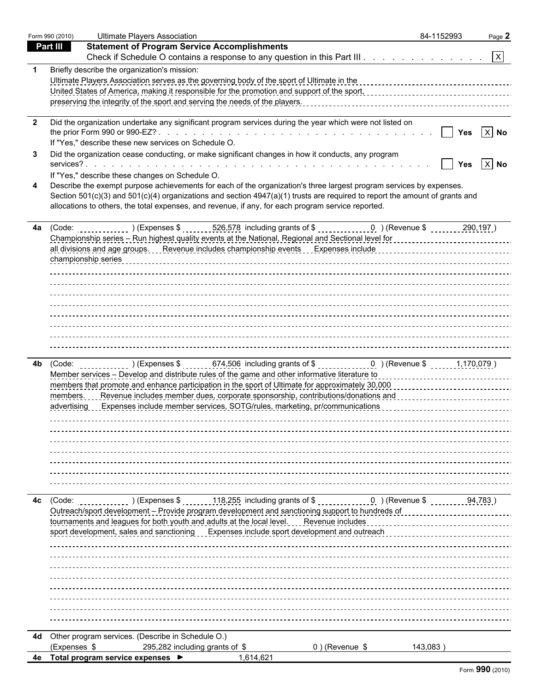|                         | Form 990 (2010) | <b>Ultimate Players Association</b>                                                                                                                                                                                            | 84-1152993 | Page 2            |
|-------------------------|-----------------|--------------------------------------------------------------------------------------------------------------------------------------------------------------------------------------------------------------------------------|------------|-------------------|
|                         | <b>Part III</b> | <b>Statement of Program Service Accomplishments</b>                                                                                                                                                                            |            |                   |
|                         |                 | Check if Schedule O contains a response to any question in this Part III. $\ldots$ $\lfloor x \rfloor$                                                                                                                         |            |                   |
|                         |                 | Briefly describe the organization's mission:                                                                                                                                                                                   |            |                   |
|                         |                 | Ultimate Players Association serves as the governing body of the sport of Ultimate in the concentration concentration of the material and the material and the material and the material and the sports of the sports of the s |            |                   |
|                         |                 |                                                                                                                                                                                                                                |            |                   |
|                         |                 |                                                                                                                                                                                                                                |            |                   |
| $\overline{\mathbf{2}}$ |                 | Did the organization undertake any significant program services during the year which were not listed on                                                                                                                       |            |                   |
|                         |                 |                                                                                                                                                                                                                                | Yes        | $ X $ No          |
|                         |                 | If "Yes," describe these new services on Schedule O.                                                                                                                                                                           |            |                   |
| -3                      |                 | Did the organization cease conducting, or make significant changes in how it conducts, any program                                                                                                                             |            |                   |
|                         |                 |                                                                                                                                                                                                                                | Yes        | $\overline{X}$ No |
|                         |                 | If "Yes," describe these changes on Schedule O.                                                                                                                                                                                |            |                   |
|                         |                 | Describe the exempt purpose achievements for each of the organization's three largest program services by expenses.                                                                                                            |            |                   |
|                         |                 | Section 501(c)(3) and 501(c)(4) organizations and section 4947(a)(1) trusts are required to report the amount of grants and                                                                                                    |            |                   |
|                         |                 | allocations to others, the total expenses, and revenue, if any, for each program service reported.                                                                                                                             |            |                   |
| 4a                      |                 | (Code: ______________) (Expenses \$ _______ 526,578 including grants of \$ _____________0 ) (Revenue \$ _______ 290,197)                                                                                                       |            |                   |
|                         |                 |                                                                                                                                                                                                                                |            |                   |
|                         |                 | all divisions and age groups. Revenue includes championship events [1] Expenses include [1] [1] All and safe groups. The venture include and age groups. The venture include and age of the venture included and the venture o |            |                   |
|                         |                 |                                                                                                                                                                                                                                |            |                   |
|                         |                 |                                                                                                                                                                                                                                |            |                   |
|                         |                 |                                                                                                                                                                                                                                |            |                   |
|                         |                 |                                                                                                                                                                                                                                |            |                   |
|                         |                 |                                                                                                                                                                                                                                |            |                   |
|                         |                 |                                                                                                                                                                                                                                |            |                   |
|                         |                 |                                                                                                                                                                                                                                |            |                   |
|                         |                 |                                                                                                                                                                                                                                |            |                   |
|                         |                 |                                                                                                                                                                                                                                |            |                   |
| 4b.                     |                 | (Code: $(2, 1, 170, 079)$ / (Expenses \$ $(3, 1, 0.506)$ including grants of \$ $(3, 0.500)$ (Revenue \$ $(3, 1, 170, 079)$ )                                                                                                  |            |                   |
|                         |                 |                                                                                                                                                                                                                                |            |                   |
|                         |                 |                                                                                                                                                                                                                                |            |                   |
|                         | members.        | Revenue includes member dues, corporate sponsorship, contributions/donations and concentration of the includes                                                                                                                 |            |                   |
|                         |                 | advertising Expenses include member services, SOTG/rules, marketing, pr/communications [11] advertising [22] Expenses include member services, SOTG/rules, marketing, pr/communications                                        |            |                   |
|                         |                 |                                                                                                                                                                                                                                |            |                   |
|                         |                 |                                                                                                                                                                                                                                |            |                   |
|                         |                 |                                                                                                                                                                                                                                |            |                   |
|                         |                 |                                                                                                                                                                                                                                |            |                   |
|                         |                 |                                                                                                                                                                                                                                |            |                   |
|                         |                 |                                                                                                                                                                                                                                |            |                   |
|                         |                 |                                                                                                                                                                                                                                |            |                   |
| 4с                      | (Code:          | $\frac{118,255}{100,000}$ including grants of \$ $\frac{1}{2000}$ (Revenue \$<br>(Express \$ )                                                                                                                                 |            | 94,783)           |
|                         |                 | Outreach/sport development - Provide program development and sanctioning support to hundreds of                                                                                                                                |            |                   |
|                         |                 | tournaments and leagues for both youth and adults at the local level.<br>Revenue includes                                                                                                                                      |            |                   |
|                         |                 | sport development, sales and sanctioning Expenses include sport development and outreach                                                                                                                                       |            |                   |
|                         |                 |                                                                                                                                                                                                                                |            |                   |
|                         |                 |                                                                                                                                                                                                                                |            |                   |
|                         |                 |                                                                                                                                                                                                                                |            |                   |
|                         |                 |                                                                                                                                                                                                                                |            |                   |
|                         |                 |                                                                                                                                                                                                                                |            |                   |
|                         |                 |                                                                                                                                                                                                                                |            |                   |
|                         |                 |                                                                                                                                                                                                                                |            |                   |
|                         |                 |                                                                                                                                                                                                                                |            |                   |
| 4d                      |                 | Other program services. (Describe in Schedule O.)                                                                                                                                                                              |            |                   |
|                         | (Expenses \$    | 295,282 including grants of \$<br>0) (Revenue \$                                                                                                                                                                               | 143,083)   |                   |
|                         |                 | 4e Total program service expenses ▶<br>1,614,621                                                                                                                                                                               |            |                   |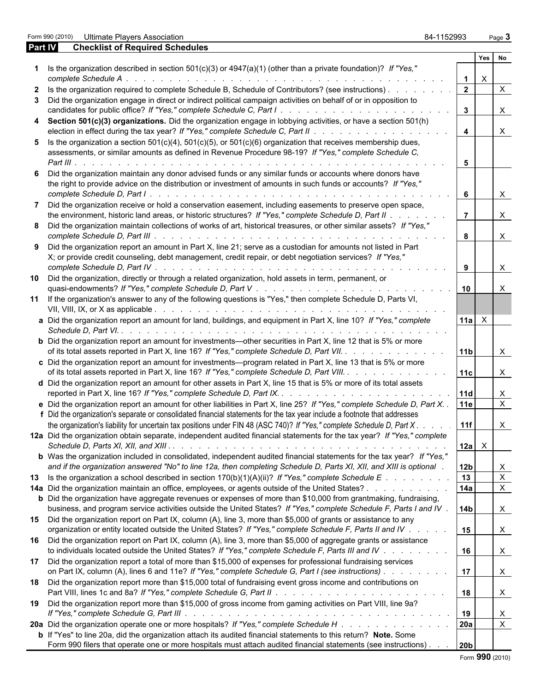Form 990 (2010) Ultimate Players Association 84-1152993 Page **3**

| <b>Part IV</b> | <b>Checklist of Required Schedules</b>                                                                                                                                                                                                        |                         |              |                           |
|----------------|-----------------------------------------------------------------------------------------------------------------------------------------------------------------------------------------------------------------------------------------------|-------------------------|--------------|---------------------------|
|                |                                                                                                                                                                                                                                               |                         | Yes          | No                        |
|                | Is the organization described in section $501(c)(3)$ or $4947(a)(1)$ (other than a private foundation)? If "Yes,"<br>complete Schedule A.                                                                                                     |                         | $\mathsf{X}$ |                           |
| $\mathbf{2}$   | Is the organization required to complete Schedule B, Schedule of Contributors? (see instructions).                                                                                                                                            | $\overline{2}$          |              | $\mathsf{X}$              |
| 3              | Did the organization engage in direct or indirect political campaign activities on behalf of or in opposition to                                                                                                                              | $\mathbf{3}$            |              |                           |
|                | candidates for public office? If "Yes," complete Schedule C, Part I.                                                                                                                                                                          |                         |              | $\mathsf{X}$              |
|                | Section 501(c)(3) organizations. Did the organization engage in lobbying activities, or have a section 501(h)                                                                                                                                 | $\overline{\mathbf{4}}$ |              | $\mathsf{X}$              |
|                | 5 Is the organization a section $501(c)(4)$ , $501(c)(5)$ , or $501(c)(6)$ organization that receives membership dues,                                                                                                                        |                         |              |                           |
|                | assessments, or similar amounts as defined in Revenue Procedure 98-19? If "Yes," complete Schedule C,                                                                                                                                         | 5                       |              |                           |
|                | Did the organization maintain any donor advised funds or any similar funds or accounts where donors have                                                                                                                                      |                         |              |                           |
|                | the right to provide advice on the distribution or investment of amounts in such funds or accounts? If "Yes,"                                                                                                                                 | $6\phantom{1}$          |              | $\mathsf{X}$              |
|                | Did the organization receive or hold a conservation easement, including easements to preserve open space,                                                                                                                                     |                         |              |                           |
|                | the environment, historic land areas, or historic structures? If "Yes," complete Schedule D, Part II                                                                                                                                          | $\overline{7}$          |              | $\mathsf{X}$              |
| 8              | Did the organization maintain collections of works of art, historical treasures, or other similar assets? If "Yes,"                                                                                                                           |                         |              |                           |
|                |                                                                                                                                                                                                                                               | 8                       |              | $\mathsf{X}$              |
| 9              | Did the organization report an amount in Part X, line 21; serve as a custodian for amounts not listed in Part<br>X; or provide credit counseling, debt management, credit repair, or debt negotiation services? If "Yes,"                     |                         |              |                           |
|                |                                                                                                                                                                                                                                               | 9                       |              | $\mathsf{X}$              |
| 10             | Did the organization, directly or through a related organization, hold assets in term, permanent, or                                                                                                                                          |                         |              | $\boldsymbol{\mathsf{X}}$ |
|                | 11 If the organization's answer to any of the following questions is "Yes," then complete Schedule D, Parts VI,                                                                                                                               |                         |              |                           |
|                | a Did the organization report an amount for land, buildings, and equipment in Part X, line 10? If "Yes," complete                                                                                                                             | $11a \times$            |              |                           |
|                |                                                                                                                                                                                                                                               |                         |              |                           |
|                | <b>b</b> Did the organization report an amount for investments—other securities in Part X, line 12 that is 5% or more                                                                                                                         |                         |              |                           |
|                | of its total assets reported in Part X, line 16? If "Yes," complete Schedule D, Part VII.                                                                                                                                                     | 11b                     |              | $\mathsf{X}$              |
|                | c Did the organization report an amount for investments—program related in Part X, line 13 that is 5% or more<br>of its total assets reported in Part X, line 16? If "Yes," complete Schedule D, Part VIII.                                   | 11c                     |              | $\mathsf{X}$              |
|                | d Did the organization report an amount for other assets in Part X, line 15 that is 5% or more of its total assets                                                                                                                            |                         |              |                           |
|                |                                                                                                                                                                                                                                               |                         |              | X                         |
|                | e Did the organization report an amount for other liabilities in Part X, line 25? If "Yes," complete Schedule D, Part X. .                                                                                                                    | 11e                     |              | $\overline{X}$            |
|                | f Did the organization's separate or consolidated financial statements for the tax year include a footnote that addresses                                                                                                                     |                         |              |                           |
|                | the organization's liability for uncertain tax positions under FIN 48 (ASC 740)? If "Yes," complete Schedule D, Part X. .                                                                                                                     | 11f                     |              | X                         |
|                | 12a Did the organization obtain separate, independent audited financial statements for the tax year? If "Yes," complete                                                                                                                       | 12a                     | $\mathsf{X}$ |                           |
|                | b Was the organization included in consolidated, independent audited financial statements for the tax year? If "Yes,"                                                                                                                         |                         |              |                           |
|                | and if the organization answered "No" to line 12a, then completing Schedule D, Parts XI, XII, and XIII is optional.                                                                                                                           | 12 <sub>b</sub>         |              | X                         |
| 13             | Is the organization a school described in section $170(b)(1)(A)(ii)?$ If "Yes," complete Schedule E                                                                                                                                           | 13                      |              | $\mathsf X$               |
|                | 14a Did the organization maintain an office, employees, or agents outside of the United States?                                                                                                                                               | 14a                     |              | $\boldsymbol{\mathsf{X}}$ |
|                | <b>b</b> Did the organization have aggregate revenues or expenses of more than \$10,000 from grantmaking, fundraising,                                                                                                                        |                         |              |                           |
|                | business, and program service activities outside the United States? If "Yes," complete Schedule F, Parts I and IV.                                                                                                                            | 14 <sub>b</sub>         |              | $\mathsf{X}$              |
| 15             | Did the organization report on Part IX, column (A), line 3, more than \$5,000 of grants or assistance to any                                                                                                                                  |                         |              |                           |
|                | organization or entity located outside the United States? If "Yes," complete Schedule F, Parts II and IV                                                                                                                                      | 15                      |              | $\mathsf{X}$              |
| 16             | Did the organization report on Part IX, column (A), line 3, more than \$5,000 of aggregate grants or assistance                                                                                                                               |                         |              |                           |
|                | to individuals located outside the United States? If "Yes," complete Schedule F, Parts III and IV                                                                                                                                             | 16                      |              | $\mathsf{X}$              |
| 17             | Did the organization report a total of more than \$15,000 of expenses for professional fundraising services                                                                                                                                   |                         |              |                           |
|                | on Part IX, column (A), lines 6 and 11e? If "Yes," complete Schedule G, Part I (see instructions)                                                                                                                                             | 17                      |              | $\boldsymbol{\mathsf{X}}$ |
| 18             | Did the organization report more than \$15,000 total of fundraising event gross income and contributions on                                                                                                                                   | 18                      |              | $\mathsf{X}$              |
| 19             | Did the organization report more than \$15,000 of gross income from gaming activities on Part VIII, line 9a?                                                                                                                                  |                         |              |                           |
|                |                                                                                                                                                                                                                                               | 19                      |              | X                         |
|                | 20a Did the organization operate one or more hospitals? If "Yes," complete Schedule H                                                                                                                                                         | <b>20a</b>              |              | $\mathsf X$               |
|                |                                                                                                                                                                                                                                               |                         |              |                           |
|                | <b>b</b> If "Yes" to line 20a, did the organization attach its audited financial statements to this return? Note. Some<br>Form 990 filers that operate one or more hospitals must attach audited financial statements (see instructions). 20b |                         |              |                           |
|                |                                                                                                                                                                                                                                               |                         |              |                           |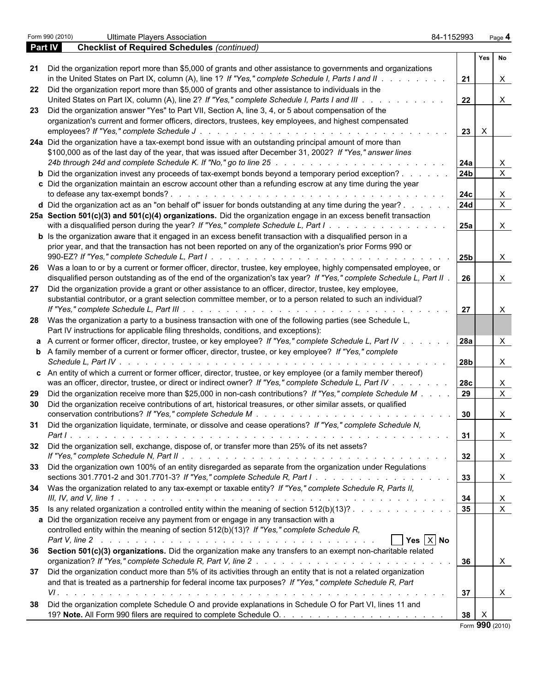|         | Form 990 (2010)<br><b>Ultimate Players Association</b>                                                                                                                                                                         | 84-1152993      |              | Page 4       |  |
|---------|--------------------------------------------------------------------------------------------------------------------------------------------------------------------------------------------------------------------------------|-----------------|--------------|--------------|--|
| Part IV | <b>Checklist of Required Schedules (continued)</b>                                                                                                                                                                             |                 |              |              |  |
|         |                                                                                                                                                                                                                                |                 |              | Yes No       |  |
|         | 21 Did the organization report more than \$5,000 of grants and other assistance to governments and organizations                                                                                                               |                 |              |              |  |
|         | in the United States on Part IX, column (A), line 1? If "Yes," complete Schedule I, Parts I and II.                                                                                                                            | 21              |              | X            |  |
|         | 22 Did the organization report more than \$5,000 of grants and other assistance to individuals in the                                                                                                                          |                 |              |              |  |
|         | United States on Part IX, column (A), line 2? If "Yes," complete Schedule I, Parts I and III.                                                                                                                                  | 22              |              | $\mathsf{X}$ |  |
|         | 23 Did the organization answer "Yes" to Part VII, Section A, line 3, 4, or 5 about compensation of the                                                                                                                         |                 |              |              |  |
|         | organization's current and former officers, directors, trustees, key employees, and highest compensated                                                                                                                        |                 |              |              |  |
|         | employees? If "Yes," complete Schedule J<br>de la caractería de la caractería de la caractería de la caractería de la caractería                                                                                               | $23 \mid X$     |              |              |  |
|         | 24a Did the organization have a tax-exempt bond issue with an outstanding principal amount of more than                                                                                                                        |                 |              |              |  |
|         | \$100,000 as of the last day of the year, that was issued after December 31, 2002? If "Yes," answer lines                                                                                                                      |                 |              |              |  |
|         | 24b through 24d and complete Schedule K. If "No," go to line 25 \noting the state of the state of the state of the state of the state of the state of the state of the state of the state of the state of the state of the sta | 24a             |              | X            |  |
|         | <b>b</b> Did the organization invest any proceeds of tax-exempt bonds beyond a temporary period exception?                                                                                                                     | 24 <sub>b</sub> |              | $\mathsf{x}$ |  |
|         | c Did the organization maintain an escrow account other than a refunding escrow at any time during the year                                                                                                                    |                 |              |              |  |
|         |                                                                                                                                                                                                                                | 24c             |              | X.           |  |
|         | d Did the organization act as an "on behalf of" issuer for bonds outstanding at any time during the year?.                                                                                                                     | 24d             |              | $\mathsf{X}$ |  |
|         | 25a Section 501(c)(3) and 501(c)(4) organizations. Did the organization engage in an excess benefit transaction                                                                                                                |                 |              |              |  |
|         | with a disqualified person during the year? If "Yes," complete Schedule L, Part I.                                                                                                                                             | 25a             |              | X            |  |
|         | <b>b</b> Is the organization aware that it engaged in an excess benefit transaction with a disqualified person in a                                                                                                            |                 |              |              |  |
|         | prior year, and that the transaction has not been reported on any of the organization's prior Forms 990 or                                                                                                                     |                 |              |              |  |
|         |                                                                                                                                                                                                                                | 25 <sub>b</sub> |              | X            |  |
|         | 26 Was a loan to or by a current or former officer, director, trustee, key employee, highly compensated employee, or                                                                                                           |                 |              |              |  |
|         | disqualified person outstanding as of the end of the organization's tax year? If "Yes," complete Schedule L, Part II.                                                                                                          | 26              |              | X            |  |
| 27      | Did the organization provide a grant or other assistance to an officer, director, trustee, key employee,                                                                                                                       |                 |              |              |  |
|         | substantial contributor, or a grant selection committee member, or to a person related to such an individual?                                                                                                                  |                 |              |              |  |
|         |                                                                                                                                                                                                                                | 27              |              | X            |  |
|         | 28 Was the organization a party to a business transaction with one of the following parties (see Schedule L,                                                                                                                   |                 |              |              |  |
|         | Part IV instructions for applicable filing thresholds, conditions, and exceptions):                                                                                                                                            |                 |              |              |  |
|         |                                                                                                                                                                                                                                | <b>28a</b>      |              |              |  |
|         | a A current or former officer, director, trustee, or key employee? If "Yes," complete Schedule L, Part IV.                                                                                                                     |                 |              | X            |  |
|         | <b>b</b> A family member of a current or former officer, director, trustee, or key employee? If "Yes," complete                                                                                                                |                 |              |              |  |
|         | Schedule L, Part IV.                                                                                                                                                                                                           | 28 <sub>b</sub> |              | X            |  |
|         | c An entity of which a current or former officer, director, trustee, or key employee (or a family member thereof)                                                                                                              |                 |              |              |  |
|         | was an officer, director, trustee, or direct or indirect owner? If "Yes," complete Schedule L, Part IV .                                                                                                                       | 28c             |              | X            |  |
|         | 29 Did the organization receive more than \$25,000 in non-cash contributions? If "Yes," complete Schedule M.                                                                                                                   | 29              |              | $\mathsf{X}$ |  |
|         | 30 Did the organization receive contributions of art, historical treasures, or other similar assets, or qualified                                                                                                              |                 |              |              |  |
|         | conservation contributions? If "Yes," complete Schedule M                                                                                                                                                                      | 30              |              | X            |  |
|         | 31 Did the organization liquidate, terminate, or dissolve and cease operations? If "Yes," complete Schedule N,                                                                                                                 |                 |              |              |  |
|         |                                                                                                                                                                                                                                | 31              |              | $\mathsf{X}$ |  |
|         | 32 Did the organization sell, exchange, dispose of, or transfer more than 25% of its net assets?                                                                                                                               |                 |              |              |  |
|         |                                                                                                                                                                                                                                | 32              |              | $\mathsf{X}$ |  |
|         | 33 Did the organization own 100% of an entity disregarded as separate from the organization under Regulations                                                                                                                  |                 |              |              |  |
|         |                                                                                                                                                                                                                                | 33              |              | $\mathsf{X}$ |  |
|         | 34 Was the organization related to any tax-exempt or taxable entity? If "Yes," complete Schedule R, Parts II,                                                                                                                  |                 |              |              |  |
|         |                                                                                                                                                                                                                                | 34              |              | $\mathsf{X}$ |  |
|         | 35 Is any related organization a controlled entity within the meaning of section 512(b)(13)?                                                                                                                                   | 35              |              | $\mathsf{X}$ |  |
|         | a Did the organization receive any payment from or engage in any transaction with a                                                                                                                                            |                 |              |              |  |
|         | controlled entity within the meaning of section 512(b)(13)? If "Yes," complete Schedule R,                                                                                                                                     |                 |              |              |  |
|         | $\Box$ Yes $\overline{X}$ No                                                                                                                                                                                                   |                 |              |              |  |
|         | 36 Section 501(c)(3) organizations. Did the organization make any transfers to an exempt non-charitable related                                                                                                                |                 |              |              |  |
|         |                                                                                                                                                                                                                                | 36              |              | $\mathsf{X}$ |  |
|         | 37 Did the organization conduct more than 5% of its activities through an entity that is not a related organization                                                                                                            |                 |              |              |  |
|         | and that is treated as a partnership for federal income tax purposes? If "Yes," complete Schedule R, Part                                                                                                                      |                 |              |              |  |
|         |                                                                                                                                                                                                                                | 37              |              | $\mathsf{X}$ |  |
|         | 38 Did the organization complete Schedule O and provide explanations in Schedule O for Part VI, lines 11 and                                                                                                                   |                 |              |              |  |
|         |                                                                                                                                                                                                                                | 38 <sup>1</sup> | $\mathsf{X}$ |              |  |
|         |                                                                                                                                                                                                                                | Eorm 990 (2010  |              |              |  |

Form **990** (2010)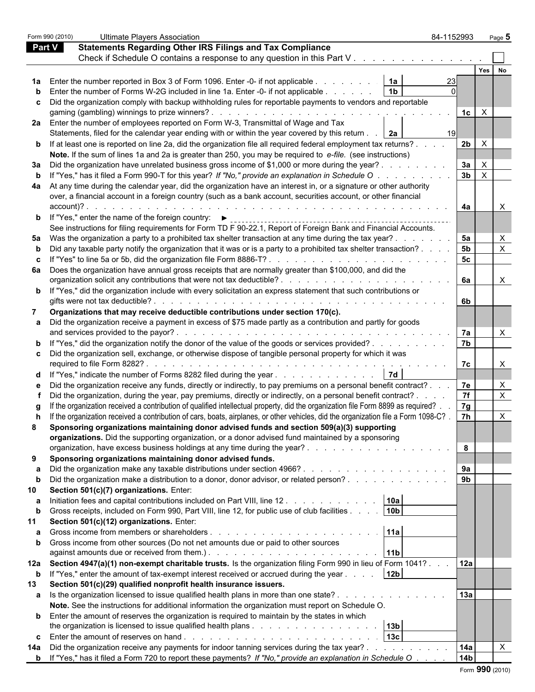|               | Form 990 (2010) | <b>Ultimate Players Association</b>                                                                                                                                                                                                    | 84-1152993 |                                | Page 5 |  |
|---------------|-----------------|----------------------------------------------------------------------------------------------------------------------------------------------------------------------------------------------------------------------------------------|------------|--------------------------------|--------|--|
| <b>Part V</b> |                 | <b>Statements Regarding Other IRS Filings and Tax Compliance</b>                                                                                                                                                                       |            |                                |        |  |
|               |                 | Check if Schedule O contains a response to any question in this Part V                                                                                                                                                                 |            |                                |        |  |
|               |                 |                                                                                                                                                                                                                                        |            | Yes   No                       |        |  |
|               |                 | 1a Enter the number reported in Box 3 of Form 1096. Enter -0- if not applicable<br>1a                                                                                                                                                  |            |                                |        |  |
|               |                 | <b>b</b> Enter the number of Forms W-2G included in line 1a. Enter -0- if not applicable<br>1 <sub>b</sub>                                                                                                                             |            |                                |        |  |
|               |                 | c Did the organization comply with backup withholding rules for reportable payments to vendors and reportable                                                                                                                          |            |                                |        |  |
|               |                 |                                                                                                                                                                                                                                        |            |                                |        |  |
|               |                 | 2a Enter the number of employees reported on Form W-3, Transmittal of Wage and Tax                                                                                                                                                     |            |                                |        |  |
|               |                 | Statements, filed for the calendar year ending with or within the year covered by this return   2a                                                                                                                                     |            |                                |        |  |
|               |                 | <b>b</b> If at least one is reported on line 2a, did the organization file all required federal employment tax returns?                                                                                                                |            | 2 <sub>b</sub><br>$\mathsf{x}$ |        |  |
|               |                 | Note. If the sum of lines 1a and 2a is greater than 250, you may be required to e-file. (see instructions)                                                                                                                             |            |                                |        |  |
|               |                 | 3a Did the organization have unrelated business gross income of \$1,000 or more during the year?.                                                                                                                                      |            | 3a                             |        |  |
|               |                 | <b>b</b> If "Yes," has it filed a Form 990-T for this year? If "No," provide an explanation in Schedule O                                                                                                                              |            | 3 <sub>b</sub>                 |        |  |
|               |                 | 4a At any time during the calendar year, did the organization have an interest in, or a signature or other authority                                                                                                                   |            |                                |        |  |
|               |                 | over, a financial account in a foreign country (such as a bank account, securities account, or other financial                                                                                                                         |            |                                |        |  |
|               | account)?.      |                                                                                                                                                                                                                                        |            |                                |        |  |
|               |                 | de la característica de la característica<br><b>b</b> If "Yes," enter the name of the foreign country: $\blacktriangleright$                                                                                                           |            | 4a                             |        |  |
|               |                 |                                                                                                                                                                                                                                        |            |                                |        |  |
|               |                 | See instructions for filing requirements for Form TD F 90-22.1, Report of Foreign Bank and Financial Accounts.                                                                                                                         |            |                                |        |  |
|               |                 | 5a Was the organization a party to a prohibited tax shelter transaction at any time during the tax year?.                                                                                                                              |            | 5a                             |        |  |
|               |                 | b Did any taxable party notify the organization that it was or is a party to a prohibited tax shelter transaction?.                                                                                                                    |            | 5 <sub>b</sub>                 | X      |  |
|               |                 | c If "Yes" to line 5a or 5b, did the organization file Form 8886-T?                                                                                                                                                                    |            | 5 <sub>c</sub>                 |        |  |
|               |                 | 6a Does the organization have annual gross receipts that are normally greater than \$100,000, and did the                                                                                                                              |            |                                |        |  |
|               |                 |                                                                                                                                                                                                                                        |            | 6а                             | X.     |  |
|               |                 | <b>b</b> If "Yes," did the organization include with every solicitation an express statement that such contributions or                                                                                                                |            |                                |        |  |
|               |                 | gifts were not tax deductible?.                                                                                                                                                                                                        |            | 6b.                            |        |  |
|               |                 | Organizations that may receive deductible contributions under section 170(c).                                                                                                                                                          |            |                                |        |  |
|               |                 | a Did the organization receive a payment in excess of \$75 made partly as a contribution and partly for goods                                                                                                                          |            |                                |        |  |
|               |                 | and services provided to the payor?.<br>the contract of the contract of the contract of the contract of the contract of                                                                                                                |            | 7а                             |        |  |
|               |                 | <b>b</b> If "Yes," did the organization notify the donor of the value of the goods or services provided?                                                                                                                               |            | 7 <sub>b</sub>                 |        |  |
|               |                 | c Did the organization sell, exchange, or otherwise dispose of tangible personal property for which it was                                                                                                                             |            |                                |        |  |
|               |                 |                                                                                                                                                                                                                                        |            | 7с.                            |        |  |
|               |                 | 7d <br>d If "Yes," indicate the number of Forms 8282 filed during the year                                                                                                                                                             |            |                                |        |  |
|               |                 | e Did the organization receive any funds, directly or indirectly, to pay premiums on a personal benefit contract?.                                                                                                                     |            | 7e                             |        |  |
|               |                 | Did the organization, during the year, pay premiums, directly or indirectly, on a personal benefit contract?.                                                                                                                          |            | 7f                             | X      |  |
|               |                 | If the organization received a contribution of qualified intellectual property, did the organization file Form 8899 as required?.                                                                                                      |            | 7g                             |        |  |
|               |                 | h If the organization received a contribution of cars, boats, airplanes, or other vehicles, did the organization file a Form 1098-C?                                                                                                   |            | 7h                             | X      |  |
| 8             |                 | Sponsoring organizations maintaining donor advised funds and section 509(a)(3) supporting                                                                                                                                              |            |                                |        |  |
|               |                 | organizations. Did the supporting organization, or a donor advised fund maintained by a sponsoring                                                                                                                                     |            |                                |        |  |
|               |                 |                                                                                                                                                                                                                                        |            | 8                              |        |  |
| 9             |                 | Sponsoring organizations maintaining donor advised funds.                                                                                                                                                                              |            |                                |        |  |
|               |                 |                                                                                                                                                                                                                                        |            | 9а                             |        |  |
| $\mathbf b$   |                 | Did the organization make a distribution to a donor, donor advisor, or related person?                                                                                                                                                 |            | 9 <sub>b</sub>                 |        |  |
| 10            |                 | Section 501(c)(7) organizations. Enter:                                                                                                                                                                                                |            |                                |        |  |
| a             |                 | Initiation fees and capital contributions included on Part VIII, line 12<br>10a                                                                                                                                                        |            |                                |        |  |
| b             |                 | Gross receipts, included on Form 990, Part VIII, line 12, for public use of club facilities<br>10 <sub>b</sub>                                                                                                                         |            |                                |        |  |
| 11            |                 | Section 501(c)(12) organizations. Enter:                                                                                                                                                                                               |            |                                |        |  |
|               |                 | 11a                                                                                                                                                                                                                                    |            |                                |        |  |
|               |                 | <b>b</b> Gross income from other sources (Do not net amounts due or paid to other sources                                                                                                                                              |            |                                |        |  |
|               |                 | against amounts due or received from them.). The state of the state of the state of the state of the state of the state of the state of the state of the state of the state of the state of the state of the state of the stat<br> 11b |            |                                |        |  |
|               |                 | 12a Section 4947(a)(1) non-exempt charitable trusts. Is the organization filing Form 990 in lieu of Form 1041?.                                                                                                                        |            | 12a                            |        |  |
| $\mathbf b$   |                 | 12 <sub>b</sub><br>If "Yes," enter the amount of tax-exempt interest received or accrued during the year                                                                                                                               |            |                                |        |  |
| 13            |                 | Section 501(c)(29) qualified nonprofit health insurance issuers.                                                                                                                                                                       |            |                                |        |  |
|               |                 | a Is the organization licensed to issue qualified health plans in more than one state?                                                                                                                                                 |            | 13a                            |        |  |
|               |                 | Note. See the instructions for additional information the organization must report on Schedule O.                                                                                                                                      |            |                                |        |  |
|               |                 | <b>b</b> Enter the amount of reserves the organization is required to maintain by the states in which                                                                                                                                  |            |                                |        |  |
|               |                 | 13 <sub>b</sub>                                                                                                                                                                                                                        |            |                                |        |  |
|               |                 | 13c                                                                                                                                                                                                                                    |            |                                |        |  |
| 14a           |                 | Did the organization receive any payments for indoor tanning services during the tax year?                                                                                                                                             |            | 14a                            |        |  |
|               |                 | <b>b</b> If "Yes," has it filed a Form 720 to report these payments? If "No," provide an explanation in Schedule O                                                                                                                     |            | 14b                            |        |  |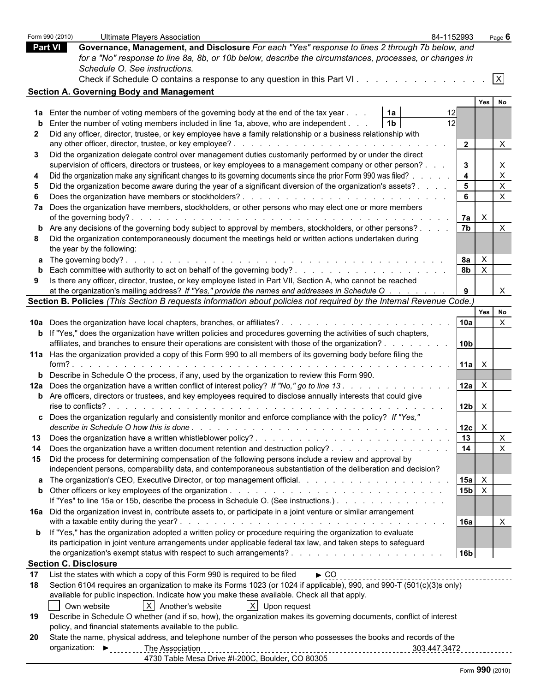|      | Form 990 (2010) | <b>Ultimate Players Association</b>                                                                                                                                                                                                                      | 84-1152993                |                 |                           | Page 6                    |
|------|-----------------|----------------------------------------------------------------------------------------------------------------------------------------------------------------------------------------------------------------------------------------------------------|---------------------------|-----------------|---------------------------|---------------------------|
|      | <b>Part VI</b>  | Governance, Management, and Disclosure For each "Yes" response to lines 2 through 7b below, and                                                                                                                                                          |                           |                 |                           |                           |
|      |                 | for a "No" response to line 8a, 8b, or 10b below, describe the circumstances, processes, or changes in                                                                                                                                                   |                           |                 |                           |                           |
|      |                 | Schedule O. See instructions.                                                                                                                                                                                                                            |                           |                 |                           |                           |
|      |                 |                                                                                                                                                                                                                                                          |                           |                 |                           | $\mathsf{X}$              |
|      |                 | <b>Section A. Governing Body and Management</b>                                                                                                                                                                                                          |                           |                 |                           |                           |
|      |                 |                                                                                                                                                                                                                                                          |                           |                 | Yes                       | No                        |
| 1a l |                 | Enter the number of voting members of the governing body at the end of the tax year<br>1a                                                                                                                                                                | 12                        |                 |                           |                           |
| b    |                 | 1 <sub>b</sub><br>Enter the number of voting members included in line 1a, above, who are independent.                                                                                                                                                    | 12                        |                 |                           |                           |
|      |                 | Did any officer, director, trustee, or key employee have a family relationship or a business relationship with                                                                                                                                           |                           |                 |                           |                           |
|      |                 |                                                                                                                                                                                                                                                          |                           | $\mathbf{2}$    |                           | X                         |
|      |                 | Did the organization delegate control over management duties customarily performed by or under the direct                                                                                                                                                |                           |                 |                           |                           |
|      |                 | supervision of officers, directors or trustees, or key employees to a management company or other person?.                                                                                                                                               |                           | 3               |                           |                           |
|      |                 |                                                                                                                                                                                                                                                          |                           |                 |                           | X                         |
|      |                 | Did the organization make any significant changes to its governing documents since the prior Form 990 was filed?.                                                                                                                                        |                           |                 |                           | $\pmb{\times}$            |
|      |                 | Did the organization become aware during the year of a significant diversion of the organization's assets?.                                                                                                                                              |                           | 5               |                           | $\pmb{\times}$            |
|      |                 | Does the organization have members or stockholders?<br>.                                                                                                                                                                                                 |                           |                 |                           | $\pmb{\times}$            |
|      |                 | 7a Does the organization have members, stockholders, or other persons who may elect one or more members                                                                                                                                                  |                           |                 |                           |                           |
|      |                 | of the governing body?.<br>and a construction of the construction of the construction of the construction of the construction of the construction of the construction of the construction of the construction of the construction of the construction of |                           | 7а              | X                         |                           |
|      |                 | <b>b</b> Are any decisions of the governing body subject to approval by members, stockholders, or other persons?.                                                                                                                                        |                           | 7b              |                           | $\boldsymbol{\mathsf{X}}$ |
|      |                 | Did the organization contemporaneously document the meetings held or written actions undertaken during                                                                                                                                                   |                           |                 |                           |                           |
|      |                 | the year by the following:                                                                                                                                                                                                                               |                           |                 |                           |                           |
|      |                 | a The governing body?.                                                                                                                                                                                                                                   |                           | 8а              | X                         |                           |
|      |                 |                                                                                                                                                                                                                                                          |                           | 8b              | $\boldsymbol{\mathsf{X}}$ |                           |
| 9    |                 | Is there any officer, director, trustee, or key employee listed in Part VII, Section A, who cannot be reached                                                                                                                                            |                           |                 |                           |                           |
|      |                 | at the organization's mailing address? If "Yes," provide the names and addresses in Schedule O                                                                                                                                                           |                           | 9               |                           |                           |
|      |                 | Section B. Policies (This Section B requests information about policies not required by the Internal Revenue Code.)                                                                                                                                      |                           |                 |                           |                           |
|      |                 |                                                                                                                                                                                                                                                          |                           |                 | Yes                       | No                        |
|      |                 |                                                                                                                                                                                                                                                          |                           | 10a             |                           | X                         |
|      |                 | b If "Yes," does the organization have written policies and procedures governing the activities of such chapters,                                                                                                                                        |                           |                 |                           |                           |
|      |                 | affiliates, and branches to ensure their operations are consistent with those of the organization?.                                                                                                                                                      |                           | 10 <sub>b</sub> |                           |                           |
|      |                 | 11a Has the organization provided a copy of this Form 990 to all members of its governing body before filing the                                                                                                                                         |                           |                 |                           |                           |
|      | form?           |                                                                                                                                                                                                                                                          |                           | 11a             | X                         |                           |
| b    |                 | Describe in Schedule O the process, if any, used by the organization to review this Form 990.                                                                                                                                                            |                           |                 |                           |                           |
|      |                 | 12a Does the organization have a written conflict of interest policy? If "No," go to line 13.                                                                                                                                                            |                           | $12a$ X         |                           |                           |
|      |                 |                                                                                                                                                                                                                                                          |                           |                 |                           |                           |
|      |                 | <b>b</b> Are officers, directors or trustees, and key employees required to disclose annually interests that could give                                                                                                                                  |                           |                 |                           |                           |
|      |                 | rise to conflicts?.                                                                                                                                                                                                                                      |                           | $12b \times$    |                           |                           |
|      |                 | c Does the organization regularly and consistently monitor and enforce compliance with the policy? If "Yes,"                                                                                                                                             |                           |                 |                           |                           |
|      |                 |                                                                                                                                                                                                                                                          |                           | $ 12c  \times$  |                           |                           |
| 13   |                 |                                                                                                                                                                                                                                                          |                           | 13              |                           | $\mathsf{X}$              |
| 14   |                 | Does the organization have a written document retention and destruction policy?                                                                                                                                                                          |                           | 14              |                           | $\pmb{\times}$            |
|      |                 | 15 Did the process for determining compensation of the following persons include a review and approval by                                                                                                                                                |                           |                 |                           |                           |
|      |                 | independent persons, comparability data, and contemporaneous substantiation of the deliberation and decision?                                                                                                                                            |                           |                 |                           |                           |
|      |                 |                                                                                                                                                                                                                                                          |                           | $15a$ X         |                           |                           |
|      |                 |                                                                                                                                                                                                                                                          |                           | $15b$ X         |                           |                           |
|      |                 | If "Yes" to line 15a or 15b, describe the process in Schedule O. (See instructions.).                                                                                                                                                                    |                           |                 |                           |                           |
|      |                 | 16a Did the organization invest in, contribute assets to, or participate in a joint venture or similar arrangement                                                                                                                                       |                           |                 |                           |                           |
|      |                 |                                                                                                                                                                                                                                                          |                           | 16a             |                           | X                         |
|      |                 | <b>b</b> If "Yes," has the organization adopted a written policy or procedure requiring the organization to evaluate                                                                                                                                     |                           |                 |                           |                           |
|      |                 | its participation in joint venture arrangements under applicable federal tax law, and taken steps to safeguard                                                                                                                                           |                           |                 |                           |                           |
|      |                 |                                                                                                                                                                                                                                                          |                           | 16b             |                           |                           |
|      |                 | <b>Section C. Disclosure</b>                                                                                                                                                                                                                             |                           |                 |                           |                           |
|      |                 |                                                                                                                                                                                                                                                          |                           |                 |                           |                           |
| 17   |                 | List the states with which a copy of this Form 990 is required to be filed<br>$\triangleright$ CO<br>--------------------------------                                                                                                                    |                           |                 |                           |                           |
| 18   |                 | Section 6104 requires an organization to make its Forms 1023 (or 1024 if applicable), 990, and 990-T (501(c)(3)s only)                                                                                                                                   |                           |                 |                           |                           |
|      |                 | available for public inspection. Indicate how you make these available. Check all that apply.                                                                                                                                                            |                           |                 |                           |                           |
|      |                 | $ X $ Upon request<br>$ X $ Another's website<br>Own website                                                                                                                                                                                             |                           |                 |                           |                           |
| 19   |                 | Describe in Schedule O whether (and if so, how), the organization makes its governing documents, conflict of interest                                                                                                                                    |                           |                 |                           |                           |
|      |                 | policy, and financial statements available to the public.                                                                                                                                                                                                |                           |                 |                           |                           |
| 20   |                 | State the name, physical address, and telephone number of the person who possesses the books and records of the                                                                                                                                          |                           |                 |                           |                           |
|      |                 | organization: ►<br>The Association                                                                                                                                                                                                                       | 303.447.3472 ____________ |                 |                           |                           |
|      |                 | 4730 Table Mesa Drive #I-200C, Boulder, CO 80305                                                                                                                                                                                                         |                           |                 |                           |                           |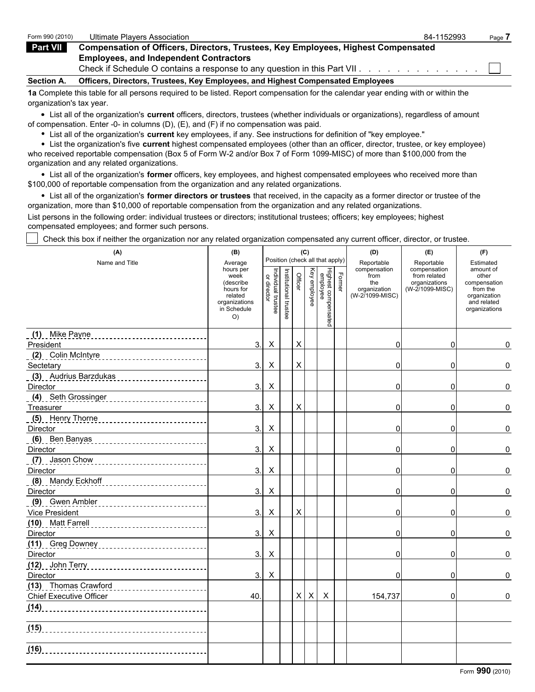| Form 990 (2010)   | Ultimate Plavers Association                                                             | 84-1152993 | Page. |
|-------------------|------------------------------------------------------------------------------------------|------------|-------|
| Part VII          | <b>Compensation of Officers, Directors, Trustees, Key Employees, Highest Compensated</b> |            |       |
|                   | <b>Employees, and Independent Contractors</b>                                            |            |       |
|                   | Check if Schedule O contains a response to any question in this Part VII.                |            |       |
| <b>Section A.</b> | Officers, Directors, Trustees, Key Employees, and Highest Compensated Employees          |            |       |

**1a** Complete this table for all persons required to be listed. Report compensation for the calendar year ending with or within the organization's tax year.

List all of the organization's **current** officers, directors, trustees (whether individuals or organizations), regardless of amount of compensation. Enter -0- in columns (D), (E), and (F) if no compensation was paid.

List all of the organization's **current** key employees, if any. See instructions for definition of "key employee."

List the organization's five **current** highest compensated employees (other than an officer, director, trustee, or key employee) who received reportable compensation (Box 5 of Form W-2 and/or Box 7 of Form 1099-MISC) of more than \$100,000 from the organization and any related organizations.

List all of the organization's **former** officers, key employees, and highest compensated employees who received more than \$100,000 of reportable compensation from the organization and any related organizations.

List all of the organization's **former directors or trustees** that received, in the capacity as a former director or trustee of the organization, more than \$10,000 of reportable compensation from the organization and any related organizations.

List persons in the following order: individual trustees or directors; institutional trustees; officers; key employees; highest compensated employees; and former such persons.

Check this box if neither the organization nor any related organization compensated any current officer, director, or trustee.

| (A)                                                                                                                                         | (B)                                                                        |                                   |                       | (C)            |                |                                            |        | (D)                                    | (E)                                        | (F)                                                                      |
|---------------------------------------------------------------------------------------------------------------------------------------------|----------------------------------------------------------------------------|-----------------------------------|-----------------------|----------------|----------------|--------------------------------------------|--------|----------------------------------------|--------------------------------------------|--------------------------------------------------------------------------|
| Name and Title                                                                                                                              | Average<br>hours per<br>week                                               |                                   |                       |                |                | Position (check all that apply)            |        | Reportable<br>compensation<br>from     | Reportable<br>compensation<br>from related | Estimated<br>amount of<br>other                                          |
|                                                                                                                                             | (describe<br>hours for<br>related<br>organizations<br>in Schedule<br>$O$ ) | Individual trustee<br>or director | Institutional trustee | Officer        | Key employee   | Highest compensated<br>Highest compensated | Former | the<br>organization<br>(W-2/1099-MISC) | organizations<br>(W-2/1099-MISC)           | compensation<br>from the<br>organization<br>and related<br>organizations |
| (1) Mike Payne                                                                                                                              |                                                                            |                                   |                       |                |                |                                            |        |                                        |                                            |                                                                          |
| President                                                                                                                                   | 3.                                                                         | X                                 |                       | Χ              |                |                                            |        | 0                                      | 0                                          | 0                                                                        |
| (2) Colin McIntyre 2001 2002 2010 10:00                                                                                                     |                                                                            |                                   |                       |                |                |                                            |        |                                        |                                            |                                                                          |
| Sectetary                                                                                                                                   | 3.                                                                         | X                                 |                       | $\mathsf{X}$   |                |                                            |        | 0                                      | 0                                          | 0                                                                        |
| (3) Audrius Barzdukas<br>Director                                                                                                           | 3.                                                                         | $\pmb{\times}$                    |                       |                |                |                                            |        | $\mathbf 0$                            | 0                                          | 0                                                                        |
| (4) Seth Grossinger                                                                                                                         |                                                                            |                                   |                       |                |                |                                            |        |                                        |                                            |                                                                          |
| Treasurer                                                                                                                                   | 3.                                                                         | X                                 |                       | $\pmb{\times}$ |                |                                            |        | 0                                      | 0                                          | 0                                                                        |
| (5) Henry Thorne                                                                                                                            |                                                                            |                                   |                       |                |                |                                            |        |                                        |                                            |                                                                          |
| Director                                                                                                                                    | 3.                                                                         | X                                 |                       |                |                |                                            |        | 0                                      | 0                                          | 0                                                                        |
| (6) Ben Banyas                                                                                                                              |                                                                            |                                   |                       |                |                |                                            |        |                                        |                                            |                                                                          |
| Director                                                                                                                                    | 3.                                                                         | $\boldsymbol{\mathsf{X}}$         |                       |                |                |                                            |        | 0                                      | 0                                          | 0                                                                        |
| (7) Jason Chow<br>and a complete the contract of the complete state of the complete state of the complete state of the complete<br>Director | 3.                                                                         | X                                 |                       |                |                |                                            |        | 0                                      | 0                                          | 0                                                                        |
| (8) Mandy Eckhoff                                                                                                                           |                                                                            |                                   |                       |                |                |                                            |        |                                        |                                            |                                                                          |
| Director                                                                                                                                    | 3.                                                                         | X                                 |                       |                |                |                                            |        | 0                                      | 0                                          | 0                                                                        |
| (9) Gwen Ambler<br>Vice President                                                                                                           | 3.                                                                         | X                                 |                       | Χ              |                |                                            |        | 0                                      | 0                                          | 0                                                                        |
| (10) Matt Farrell<br>______________________________<br>Director                                                                             | 3.                                                                         | X                                 |                       |                |                |                                            |        | 0                                      | 0                                          | 0                                                                        |
|                                                                                                                                             |                                                                            |                                   |                       |                |                |                                            |        |                                        |                                            |                                                                          |
| Director                                                                                                                                    | 3.                                                                         | $\pmb{\times}$                    |                       |                |                |                                            |        | $\mathbf 0$                            | 0                                          | 0                                                                        |
|                                                                                                                                             |                                                                            |                                   |                       |                |                |                                            |        |                                        |                                            |                                                                          |
| Director                                                                                                                                    | 3.                                                                         | Х                                 |                       |                |                |                                            |        | $\Omega$                               | 0                                          | 0                                                                        |
| (13) Thomas Crawford                                                                                                                        |                                                                            |                                   |                       |                |                |                                            |        |                                        |                                            |                                                                          |
| <b>Chief Executive Officer</b>                                                                                                              | 40.                                                                        |                                   |                       | X              | $\pmb{\times}$ | Χ                                          |        | 154,737                                | 0                                          | 0                                                                        |
| (14)                                                                                                                                        |                                                                            |                                   |                       |                |                |                                            |        |                                        |                                            |                                                                          |
| (15)                                                                                                                                        |                                                                            |                                   |                       |                |                |                                            |        |                                        |                                            |                                                                          |
| (16)                                                                                                                                        |                                                                            |                                   |                       |                |                |                                            |        |                                        |                                            |                                                                          |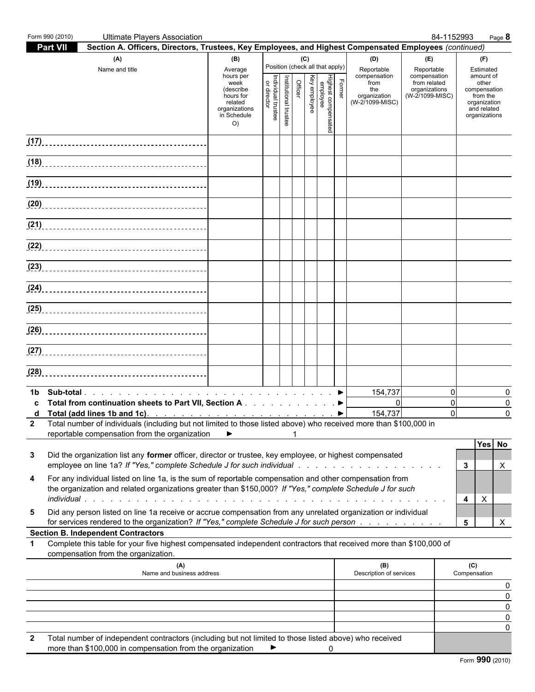|                  | Form 990 (2010) | <b>Ultimate Players Association</b>                                                                                                                                                                                                                                                                                                                                                                |                                                                                                                 |                                   |                       |                |              |                                                                    |        |                                                                                     | 84-1152993                                                                            | Page 8                                                                                                             |
|------------------|-----------------|----------------------------------------------------------------------------------------------------------------------------------------------------------------------------------------------------------------------------------------------------------------------------------------------------------------------------------------------------------------------------------------------------|-----------------------------------------------------------------------------------------------------------------|-----------------------------------|-----------------------|----------------|--------------|--------------------------------------------------------------------|--------|-------------------------------------------------------------------------------------|---------------------------------------------------------------------------------------|--------------------------------------------------------------------------------------------------------------------|
|                  | Part VII        | Section A. Officers, Directors, Trustees, Key Employees, and Highest Compensated Employees (continued)                                                                                                                                                                                                                                                                                             |                                                                                                                 |                                   |                       |                |              |                                                                    |        |                                                                                     |                                                                                       |                                                                                                                    |
|                  |                 | (A)<br>Name and title                                                                                                                                                                                                                                                                                                                                                                              | (B)<br>Average<br>hours per<br>week<br>(describe<br>hours for<br>related<br>organizations<br>in Schedule<br>O() | Individual trustee<br>or director | Institutional trustee | (C)<br>Officer | Key employee | Position (check all that apply)<br>Highest comper<br>employee<br>g | Former | (D)<br>Reportable<br>compensation<br>from<br>the<br>organization<br>(W-2/1099-MISC) | (E)<br>Reportable<br>compensation<br>from related<br>organizations<br>(W-2/1099-MISC) | (F)<br>Estimated<br>amount of<br>other<br>compensation<br>from the<br>organization<br>and related<br>organizations |
|                  |                 |                                                                                                                                                                                                                                                                                                                                                                                                    |                                                                                                                 |                                   |                       |                |              |                                                                    |        |                                                                                     |                                                                                       |                                                                                                                    |
|                  |                 |                                                                                                                                                                                                                                                                                                                                                                                                    |                                                                                                                 |                                   |                       |                |              |                                                                    |        |                                                                                     |                                                                                       |                                                                                                                    |
|                  |                 |                                                                                                                                                                                                                                                                                                                                                                                                    |                                                                                                                 |                                   |                       |                |              |                                                                    |        |                                                                                     |                                                                                       |                                                                                                                    |
|                  |                 | (20)                                                                                                                                                                                                                                                                                                                                                                                               |                                                                                                                 |                                   |                       |                |              |                                                                    |        |                                                                                     |                                                                                       |                                                                                                                    |
|                  |                 |                                                                                                                                                                                                                                                                                                                                                                                                    |                                                                                                                 |                                   |                       |                |              |                                                                    |        |                                                                                     |                                                                                       |                                                                                                                    |
|                  |                 |                                                                                                                                                                                                                                                                                                                                                                                                    |                                                                                                                 |                                   |                       |                |              |                                                                    |        |                                                                                     |                                                                                       |                                                                                                                    |
|                  |                 |                                                                                                                                                                                                                                                                                                                                                                                                    |                                                                                                                 |                                   |                       |                |              |                                                                    |        |                                                                                     |                                                                                       |                                                                                                                    |
|                  |                 | (24)                                                                                                                                                                                                                                                                                                                                                                                               |                                                                                                                 |                                   |                       |                |              |                                                                    |        |                                                                                     |                                                                                       |                                                                                                                    |
|                  |                 |                                                                                                                                                                                                                                                                                                                                                                                                    |                                                                                                                 |                                   |                       |                |              |                                                                    |        |                                                                                     |                                                                                       |                                                                                                                    |
|                  |                 |                                                                                                                                                                                                                                                                                                                                                                                                    |                                                                                                                 |                                   |                       |                |              |                                                                    |        |                                                                                     |                                                                                       |                                                                                                                    |
|                  |                 |                                                                                                                                                                                                                                                                                                                                                                                                    |                                                                                                                 |                                   |                       |                |              |                                                                    |        |                                                                                     |                                                                                       |                                                                                                                    |
|                  |                 |                                                                                                                                                                                                                                                                                                                                                                                                    |                                                                                                                 |                                   |                       |                |              |                                                                    |        |                                                                                     |                                                                                       |                                                                                                                    |
| C<br>$2^{\circ}$ |                 | Total from continuation sheets to Part VII, Section A ▶<br>d Total (add lines 1b and 1c). $\therefore$ $\therefore$ $\therefore$ $\therefore$ $\therefore$ $\therefore$ $\therefore$ $\therefore$ $\therefore$ $\Rightarrow$<br>Total number of individuals (including but not limited to those listed above) who received more than \$100,000 in<br>reportable compensation from the organization | $\rightarrow$                                                                                                   |                                   |                       |                |              |                                                                    |        | 154,737<br>$\mathbf{0}$<br>154,737                                                  | $\Omega$<br>$\Omega$<br>$\overline{0}$                                                | O<br>0<br>$\Omega$                                                                                                 |
| 3                |                 | Did the organization list any former officer, director or trustee, key employee, or highest compensated                                                                                                                                                                                                                                                                                            |                                                                                                                 |                                   |                       |                |              |                                                                    |        |                                                                                     |                                                                                       | Yes No<br>$\mathbf{3}$<br>X                                                                                        |
| 4                |                 | For any individual listed on line 1a, is the sum of reportable compensation and other compensation from<br>the organization and related organizations greater than \$150,000? If "Yes," complete Schedule J for such                                                                                                                                                                               |                                                                                                                 |                                   |                       |                |              |                                                                    |        |                                                                                     |                                                                                       | $\boldsymbol{\mathsf{X}}$<br>4                                                                                     |
| 5                |                 | Did any person listed on line 1a receive or accrue compensation from any unrelated organization or individual<br>for services rendered to the organization? If "Yes," complete Schedule J for such person<br><b>Section B. Independent Contractors</b>                                                                                                                                             |                                                                                                                 |                                   |                       |                |              |                                                                    |        |                                                                                     |                                                                                       | 5<br>$\mathsf{X}$                                                                                                  |
| $\mathbf 1$      |                 | Complete this table for your five highest compensated independent contractors that received more than \$100,000 of                                                                                                                                                                                                                                                                                 |                                                                                                                 |                                   |                       |                |              |                                                                    |        |                                                                                     |                                                                                       |                                                                                                                    |
|                  |                 | compensation from the organization.<br>(A)<br>Name and business address                                                                                                                                                                                                                                                                                                                            |                                                                                                                 |                                   |                       |                |              |                                                                    |        | (B)<br>Description of services                                                      |                                                                                       | (C)<br>Compensation                                                                                                |
|                  |                 |                                                                                                                                                                                                                                                                                                                                                                                                    |                                                                                                                 |                                   |                       |                |              |                                                                    |        |                                                                                     |                                                                                       |                                                                                                                    |
|                  |                 |                                                                                                                                                                                                                                                                                                                                                                                                    |                                                                                                                 |                                   |                       |                |              |                                                                    |        |                                                                                     |                                                                                       |                                                                                                                    |
|                  |                 |                                                                                                                                                                                                                                                                                                                                                                                                    |                                                                                                                 |                                   |                       |                |              |                                                                    |        |                                                                                     |                                                                                       |                                                                                                                    |
| 2                |                 | Total number of independent contractors (including but not limited to those listed above) who received<br>more than \$100,000 in compensation from the organization                                                                                                                                                                                                                                |                                                                                                                 |                                   |                       |                |              | 0                                                                  |        |                                                                                     |                                                                                       |                                                                                                                    |
|                  |                 |                                                                                                                                                                                                                                                                                                                                                                                                    |                                                                                                                 |                                   |                       |                |              |                                                                    |        |                                                                                     |                                                                                       | Form 990 (2010)                                                                                                    |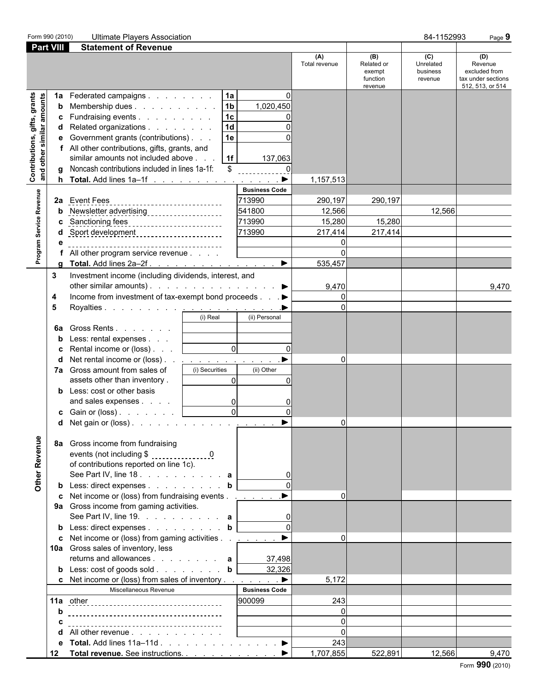| Form 990 (2010)                                           |                             | <b>Ultimate Players Association</b>                                                                                                                                                                                                                                                                                                                                                                                                                                                                                                                                                                                                                                                                                                                                                                                                                                                                                                                                                                                                                                                                                                                                                                                                                                 |                                                                                                    |                                                   |                                                    | 84-1152993                              | Page 9                                                                    |
|-----------------------------------------------------------|-----------------------------|---------------------------------------------------------------------------------------------------------------------------------------------------------------------------------------------------------------------------------------------------------------------------------------------------------------------------------------------------------------------------------------------------------------------------------------------------------------------------------------------------------------------------------------------------------------------------------------------------------------------------------------------------------------------------------------------------------------------------------------------------------------------------------------------------------------------------------------------------------------------------------------------------------------------------------------------------------------------------------------------------------------------------------------------------------------------------------------------------------------------------------------------------------------------------------------------------------------------------------------------------------------------|----------------------------------------------------------------------------------------------------|---------------------------------------------------|----------------------------------------------------|-----------------------------------------|---------------------------------------------------------------------------|
| <b>Part VIII</b>                                          |                             | <b>Statement of Revenue</b>                                                                                                                                                                                                                                                                                                                                                                                                                                                                                                                                                                                                                                                                                                                                                                                                                                                                                                                                                                                                                                                                                                                                                                                                                                         |                                                                                                    |                                                   |                                                    |                                         |                                                                           |
|                                                           |                             |                                                                                                                                                                                                                                                                                                                                                                                                                                                                                                                                                                                                                                                                                                                                                                                                                                                                                                                                                                                                                                                                                                                                                                                                                                                                     |                                                                                                    | (A)<br>Total revenue                              | (B)<br>Related or<br>exempt<br>function<br>revenue | (C)<br>Unrelated<br>business<br>revenue | (D)<br>Revenue<br>excluded from<br>tax under sections<br>512, 513, or 514 |
| Contributions, gifts, grants<br>and other similar amounts | 1a<br>b<br>c<br>d<br>е<br>h | 1a<br>Federated campaigns<br>1 <sub>b</sub><br>Membership dues<br>1 <sub>c</sub><br>Fundraising events<br>1 <sub>d</sub><br>Related organizations<br>Government grants (contributions)<br>1e<br>All other contributions, gifts, grants, and<br>similar amounts not included above<br> 1f <br>Noncash contributions included in lines 1a-1f:<br>$\mathfrak{L}$<br>Total. Add lines 1a-1f                                                                                                                                                                                                                                                                                                                                                                                                                                                                                                                                                                                                                                                                                                                                                                                                                                                                             | O<br>1,020,450<br>137,063<br>$\blacktriangleright$                                                 | 1,157,513                                         |                                                    |                                         |                                                                           |
| Program Service Revenue                                   |                             | 2a Event Fees<br>c Sanctioning fees<br>Sport development ______________________<br>--------------------------------------<br>All other program service revenue<br>Total. Add lines 2a–2f. ▶                                                                                                                                                                                                                                                                                                                                                                                                                                                                                                                                                                                                                                                                                                                                                                                                                                                                                                                                                                                                                                                                         | <b>Business Code</b><br>713990<br>541800<br>713990<br>713990                                       | 290,197<br>12,566<br>15,280<br>217,414<br>535,457 | 290,197<br>15,280<br>217,414                       | 12,566                                  |                                                                           |
| Other Revenue                                             | 3<br>4<br>5<br>6а<br>7a     | Investment income (including dividends, interest, and<br>other similar amounts). $\ldots$ $\ldots$ $\ldots$ $\ldots$ $\ldots$<br>Income from investment of tax-exempt bond proceeds ▶<br>(i) Real<br>Gross Rents<br>Less: rental expenses<br>$\overline{0}$<br>Rental income or (loss)<br>Net rental income or (loss). . <u>.</u><br>Gross amount from sales of<br>(i) Securities<br>assets other than inventory.<br>$\Omega$<br>Less: cost or other basis<br>and sales expenses<br>$\overline{0}$<br>$\overline{0}$<br><b>c</b> Gain or (loss) $\ldots$ $\ldots$ $\ldots$<br><b>d</b> Net gain or (loss). <u>. <math>\blacktriangleright</math></u><br>8a Gross income from fundraising<br>events (not including \$ 0<br>of contributions reported on line 1c).<br>See Part IV, line 18. a<br><b>b</b> Less: direct expenses <b>b</b><br>c Net income or (loss) from fundraising events ▶<br>9a Gross income from gaming activities.<br>See Part IV, line 19. $\ldots$ $\ldots$ $\ldots$ a<br><b>b</b> Less: direct expenses <b>b</b><br>c Net income or (loss) from gaming activities $\ldots$ $\ldots$ $\ldots$<br>10a Gross sales of inventory, less<br>returns and allowances $\ldots$ $\ldots$ $\ldots$ a<br><b>b</b> Less: $\cosh$ of goods $\sinh$ <b>b</b> | (ii) Personal<br>$\Omega$<br>(ii) Other<br>$\Omega$<br>$\mathbf 0$<br>$\Omega$<br>37,498<br>32,326 | 9,470<br>0<br>υı<br>$\Omega$<br>$\Omega$          |                                                    |                                         | 9,470                                                                     |
|                                                           | d<br>е                      | c Net income or (loss) from sales of inventory $\dots$ $\dots$ $\dots$<br>Miscellaneous Revenue<br>All other revenue<br>Total. Add lines $11a-11d$ . $\blacktriangleright$                                                                                                                                                                                                                                                                                                                                                                                                                                                                                                                                                                                                                                                                                                                                                                                                                                                                                                                                                                                                                                                                                          | <b>Business Code</b><br>900099                                                                     | 5,172<br>243<br>$\Omega$<br>243                   |                                                    |                                         |                                                                           |
|                                                           | 12                          | Total revenue. See instructions. ▶                                                                                                                                                                                                                                                                                                                                                                                                                                                                                                                                                                                                                                                                                                                                                                                                                                                                                                                                                                                                                                                                                                                                                                                                                                  |                                                                                                    | 1,707,855                                         | 522,891                                            | 12,566                                  | 9,470                                                                     |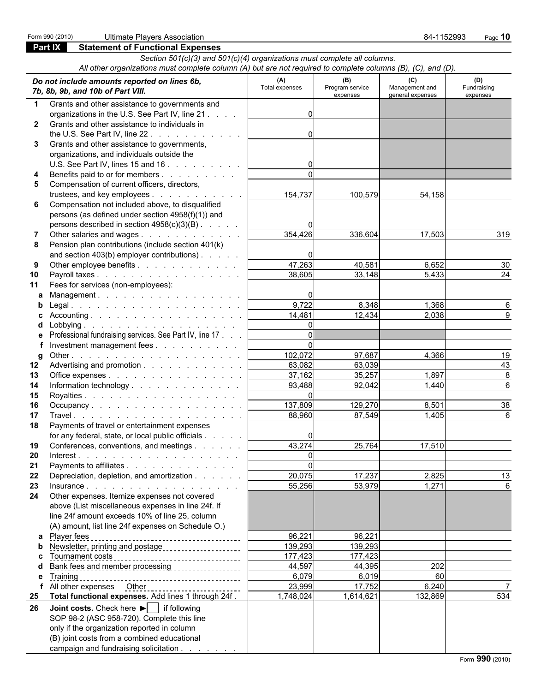|              | Form 990 (2010)<br><b>Ultimate Players Association</b>                                                                                                                                                                                                                                                                                                                                                                                                                                                                                |                       |                                    | 84-1152993                                | Page 10                        |
|--------------|---------------------------------------------------------------------------------------------------------------------------------------------------------------------------------------------------------------------------------------------------------------------------------------------------------------------------------------------------------------------------------------------------------------------------------------------------------------------------------------------------------------------------------------|-----------------------|------------------------------------|-------------------------------------------|--------------------------------|
|              | <b>Part IX</b><br><b>Statement of Functional Expenses</b>                                                                                                                                                                                                                                                                                                                                                                                                                                                                             |                       |                                    |                                           |                                |
|              | Section 501(c)(3) and 501(c)(4) organizations must complete all columns.                                                                                                                                                                                                                                                                                                                                                                                                                                                              |                       |                                    |                                           |                                |
|              | All other organizations must complete column (A) but are not required to complete columns (B), (C), and (D).                                                                                                                                                                                                                                                                                                                                                                                                                          |                       |                                    |                                           |                                |
|              | Do not include amounts reported on lines 6b,<br>7b, 8b, 9b, and 10b of Part VIII.                                                                                                                                                                                                                                                                                                                                                                                                                                                     | (A)<br>Total expenses | (B)<br>Program service<br>expenses | (C)<br>Management and<br>general expenses | (D)<br>Fundraising<br>expenses |
| $\mathbf 1$  | Grants and other assistance to governments and                                                                                                                                                                                                                                                                                                                                                                                                                                                                                        |                       |                                    |                                           |                                |
|              | organizations in the U.S. See Part IV, line 21                                                                                                                                                                                                                                                                                                                                                                                                                                                                                        | 0                     |                                    |                                           |                                |
| $\mathbf{2}$ | Grants and other assistance to individuals in                                                                                                                                                                                                                                                                                                                                                                                                                                                                                         |                       |                                    |                                           |                                |
|              | the U.S. See Part IV, line $22.1 + 1.1 + 1.1 + 1.1 + 1.1$                                                                                                                                                                                                                                                                                                                                                                                                                                                                             | 0                     |                                    |                                           |                                |
| 3            | Grants and other assistance to governments,                                                                                                                                                                                                                                                                                                                                                                                                                                                                                           |                       |                                    |                                           |                                |
|              | organizations, and individuals outside the                                                                                                                                                                                                                                                                                                                                                                                                                                                                                            |                       |                                    |                                           |                                |
|              | U.S. See Part IV, lines 15 and 16 $\ldots$ $\ldots$ $\ldots$ $\ldots$                                                                                                                                                                                                                                                                                                                                                                                                                                                                 |                       |                                    |                                           |                                |
| 4            | Benefits paid to or for members                                                                                                                                                                                                                                                                                                                                                                                                                                                                                                       | $\Omega$              |                                    |                                           |                                |
| 5            | Compensation of current officers, directors,                                                                                                                                                                                                                                                                                                                                                                                                                                                                                          |                       |                                    |                                           |                                |
|              | trustees, and key employees                                                                                                                                                                                                                                                                                                                                                                                                                                                                                                           | 154,737               | 100,579                            | 54,158                                    |                                |
| 6            | Compensation not included above, to disqualified                                                                                                                                                                                                                                                                                                                                                                                                                                                                                      |                       |                                    |                                           |                                |
|              | persons (as defined under section 4958(f)(1)) and                                                                                                                                                                                                                                                                                                                                                                                                                                                                                     | O                     |                                    |                                           |                                |
|              | persons described in section $4958(c)(3)(B)$ .                                                                                                                                                                                                                                                                                                                                                                                                                                                                                        | 354,426               | 336,604                            | 17,503                                    | 319                            |
| 7<br>8       | Other salaries and wages<br>Pension plan contributions (include section 401(k)                                                                                                                                                                                                                                                                                                                                                                                                                                                        |                       |                                    |                                           |                                |
|              | and section 403(b) employer contributions)                                                                                                                                                                                                                                                                                                                                                                                                                                                                                            | $\Omega$              |                                    |                                           |                                |
| 9            | Other employee benefits                                                                                                                                                                                                                                                                                                                                                                                                                                                                                                               | 47,263                | 40,581                             | 6,652                                     | 30                             |
| 10           | Payroll taxes                                                                                                                                                                                                                                                                                                                                                                                                                                                                                                                         | 38,605                | 33,148                             | 5,433                                     | 24                             |
| 11           | Fees for services (non-employees):                                                                                                                                                                                                                                                                                                                                                                                                                                                                                                    |                       |                                    |                                           |                                |
|              | Management.                                                                                                                                                                                                                                                                                                                                                                                                                                                                                                                           | 0                     |                                    |                                           |                                |
|              |                                                                                                                                                                                                                                                                                                                                                                                                                                                                                                                                       | 9,722                 | 8,348                              | 1,368                                     | 6                              |
|              |                                                                                                                                                                                                                                                                                                                                                                                                                                                                                                                                       | 14,481                | 12,434                             | 2,038                                     |                                |
|              |                                                                                                                                                                                                                                                                                                                                                                                                                                                                                                                                       | $\Omega$              |                                    |                                           |                                |
|              | Professional fundraising services. See Part IV, line 17                                                                                                                                                                                                                                                                                                                                                                                                                                                                               | $\Omega$              |                                    |                                           |                                |
|              | Investment management fees                                                                                                                                                                                                                                                                                                                                                                                                                                                                                                            | $\Omega$              |                                    |                                           |                                |
| g            |                                                                                                                                                                                                                                                                                                                                                                                                                                                                                                                                       | 102,072               | 97,687                             | 4,366                                     | 19                             |
| 12           | Advertising and promotion                                                                                                                                                                                                                                                                                                                                                                                                                                                                                                             | 63,082                | 63,039                             |                                           | 43                             |
| 13           | Office expenses                                                                                                                                                                                                                                                                                                                                                                                                                                                                                                                       | 37,162                | 35,257                             | 1,897                                     | 8                              |
| 14           | Information technology                                                                                                                                                                                                                                                                                                                                                                                                                                                                                                                | 93,488                | 92,042                             | 1,440                                     | 6                              |
| 15           |                                                                                                                                                                                                                                                                                                                                                                                                                                                                                                                                       | $\Omega$              |                                    |                                           |                                |
| 16           |                                                                                                                                                                                                                                                                                                                                                                                                                                                                                                                                       | 137,809               | 129,270                            | 8,501                                     | 38                             |
| 17           |                                                                                                                                                                                                                                                                                                                                                                                                                                                                                                                                       | 88,960                | 87,549                             | 1,405                                     | 6                              |
| 18           | Payments of travel or entertainment expenses                                                                                                                                                                                                                                                                                                                                                                                                                                                                                          |                       |                                    |                                           |                                |
|              | for any federal, state, or local public officials                                                                                                                                                                                                                                                                                                                                                                                                                                                                                     |                       |                                    |                                           |                                |
| 19           | Conferences, conventions, and meetings                                                                                                                                                                                                                                                                                                                                                                                                                                                                                                | 43,274                | 25,764                             | 17,510                                    |                                |
| 20           | $Interest. \qquad \qquad \ldots \qquad \ldots \qquad \ldots \qquad \ldots \qquad \ldots \qquad \ldots \qquad \ldots \qquad \ldots \qquad \ldots \qquad \ldots \qquad \ldots \qquad \ldots \qquad \ldots \qquad \ldots \qquad \ldots \qquad \ldots \qquad \ldots \qquad \ldots \qquad \ldots \qquad \ldots \qquad \ldots \qquad \ldots \qquad \ldots \qquad \ldots \qquad \ldots \qquad \ldots \qquad \ldots \qquad \ldots \qquad \ldots \qquad \ldots \qquad \ldots \qquad \ldots \qquad \ldots \qquad \ldots \qquad \ldots \qquad \$ | 0<br>$\Omega$         |                                    |                                           |                                |
| 21           | Payments to affiliates                                                                                                                                                                                                                                                                                                                                                                                                                                                                                                                |                       |                                    |                                           |                                |
| 22           | Depreciation, depletion, and amortization                                                                                                                                                                                                                                                                                                                                                                                                                                                                                             | 20,075<br>55,256      | 17,237<br>53,979                   | 2,825<br>1,271                            | 13                             |
| 23<br>24     | Other expenses. Itemize expenses not covered                                                                                                                                                                                                                                                                                                                                                                                                                                                                                          |                       |                                    |                                           |                                |
|              | above (List miscellaneous expenses in line 24f. If                                                                                                                                                                                                                                                                                                                                                                                                                                                                                    |                       |                                    |                                           |                                |
|              | line 24f amount exceeds 10% of line 25, column                                                                                                                                                                                                                                                                                                                                                                                                                                                                                        |                       |                                    |                                           |                                |
|              | (A) amount, list line 24f expenses on Schedule O.)                                                                                                                                                                                                                                                                                                                                                                                                                                                                                    |                       |                                    |                                           |                                |
|              | Player fees                                                                                                                                                                                                                                                                                                                                                                                                                                                                                                                           | 96,221                | 96,221                             |                                           |                                |
|              | --------------------------------------                                                                                                                                                                                                                                                                                                                                                                                                                                                                                                | 139,293               | 139,293                            |                                           |                                |
|              | Tournament costs                                                                                                                                                                                                                                                                                                                                                                                                                                                                                                                      | 177,423               | 177,423                            |                                           |                                |
|              | __________________________________                                                                                                                                                                                                                                                                                                                                                                                                                                                                                                    | 44,597                | 44,395                             | 202                                       |                                |
| е            | Training                                                                                                                                                                                                                                                                                                                                                                                                                                                                                                                              | 6,079                 | 6,019                              | 60                                        |                                |
|              | f All other expenses Other                                                                                                                                                                                                                                                                                                                                                                                                                                                                                                            | 23,999                | 17,752                             | 6,240                                     |                                |
|              | 25 Total functional expenses. Add lines 1 through 24f.                                                                                                                                                                                                                                                                                                                                                                                                                                                                                | 1,748,024             | 1,614,621                          | 132,869                                   | 534                            |
|              | $26$ Leint seate Check berg $\Box$ if following                                                                                                                                                                                                                                                                                                                                                                                                                                                                                       |                       |                                    |                                           |                                |

**26 Joint costs.** Check here ▶ | if following SOP 98-2 (ASC 958-720). Complete this line only if the organization reported in column (B) joint costs from a combined educational campaign and fundraising solicitation .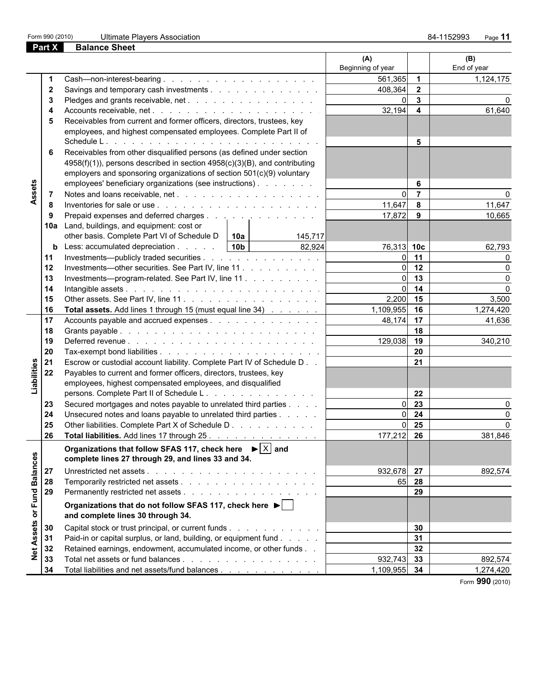**Part X Balance Sheet**

|                 |              |                                                                                | (A)<br>Beginning of year |                | (B)<br>End of year |
|-----------------|--------------|--------------------------------------------------------------------------------|--------------------------|----------------|--------------------|
|                 |              |                                                                                | 561,365                  | $\overline{1}$ | 1,124,175          |
|                 | $\mathbf{2}$ | Savings and temporary cash investments                                         | 408,364                  | $\overline{2}$ |                    |
|                 | 3            |                                                                                | $\Omega$                 | $\overline{3}$ | ∩                  |
|                 |              |                                                                                | 32,194                   | 4              | 61,640             |
|                 | 5            | Receivables from current and former officers, directors, trustees, key         |                          |                |                    |
|                 |              | employees, and highest compensated employees. Complete Part II of              |                          |                |                    |
|                 |              |                                                                                |                          | 5              |                    |
|                 | 6            | Receivables from other disqualified persons (as defined under section          |                          |                |                    |
|                 |              | 4958(f)(1)), persons described in section 4958(c)(3)(B), and contributing      |                          |                |                    |
|                 |              | employers and sponsoring organizations of section 501(c)(9) voluntary          |                          |                |                    |
|                 |              | employees' beneficiary organizations (see instructions)                        |                          | 6              |                    |
| Assets          | -7           |                                                                                | U                        | $\overline{7}$ |                    |
|                 | 8            |                                                                                | 11,647                   | 8              | 11,647             |
|                 | 9            | Prepaid expenses and deferred charges                                          | 17,872                   | 9              | 10,665             |
|                 |              | 10a Land, buildings, and equipment: cost or                                    |                          |                |                    |
|                 |              | other basis. Complete Part VI of Schedule $D \parallel 10a$<br>145,717         |                          |                |                    |
|                 | b            | 10b <br>82,924<br>Less: accumulated depreciation                               | 76,313 10c               |                | 62,793             |
|                 | 11           | Investments—publicly traded securities                                         |                          | 11             |                    |
|                 | 12           | Investments—other securities. See Part IV, line 11                             |                          | 12             |                    |
|                 | 13           | Investments—program-related. See Part IV, line 11                              | U                        | 13             | $\Omega$           |
|                 | 14           |                                                                                | $\Omega$                 | 14             | $\Omega$           |
|                 | 15           |                                                                                | 2,200                    | 15             | 3,500              |
|                 | 16           | Total assets. Add lines 1 through 15 (must equal line 34)                      | 1,109,955                | 16             | 1,274,420          |
|                 | 17           | Accounts payable and accrued expenses                                          | 48.174                   | 17<br>18       | 41,636             |
|                 | 18<br>19     |                                                                                | 129,038                  | 19             | 340,210            |
|                 | 20           |                                                                                |                          | 20             |                    |
|                 | 21           | Escrow or custodial account liability. Complete Part IV of Schedule D          |                          | 21             |                    |
| Liabilities     | 22           | Payables to current and former officers, directors, trustees, key              |                          |                |                    |
|                 |              | employees, highest compensated employees, and disqualified                     |                          |                |                    |
|                 |              | persons. Complete Part II of Schedule L.                                       |                          | 22             |                    |
|                 | 23           | Secured mortgages and notes payable to unrelated third parties                 |                          | 23             |                    |
|                 | 24           | Unsecured notes and loans payable to unrelated third parties                   |                          | 24             |                    |
|                 | 25           | Other liabilities. Complete Part X of Schedule D                               |                          | 25             |                    |
|                 | 26           | Total liabilities. Add lines 17 through 25.                                    | 177,212                  | 26             | 381,846            |
|                 |              | Organizations that follow SFAS 117, check here $\blacktriangleright$ $ X $ and |                          |                |                    |
|                 |              | complete lines 27 through 29, and lines 33 and 34.                             |                          |                |                    |
|                 | 27           |                                                                                | 932,678 27               |                | 892,574            |
| <b>Balances</b> | 28           |                                                                                |                          | 65 28          |                    |
|                 | 29           |                                                                                |                          | 29             |                    |
|                 |              | Organizations that do not follow SFAS 117, check here $\blacktriangleright$    |                          |                |                    |
| or Fund         |              | and complete lines 30 through 34.                                              |                          |                |                    |
| <b>Assets</b>   | 30           | Capital stock or trust principal, or current funds                             |                          | 30             |                    |
|                 | 31           | Paid-in or capital surplus, or land, building, or equipment fund               |                          | 31             |                    |
|                 | 32           | Retained earnings, endowment, accumulated income, or other funds               |                          | 32             |                    |
| $\frac{1}{2}$   | 33           |                                                                                | 932,743                  | 33             | 892,574            |
|                 | 34           | Total liabilities and net assets/fund balances                                 | 1,109,955 34             |                | 1,274,420          |
|                 |              |                                                                                |                          |                | Form 990 (2010)    |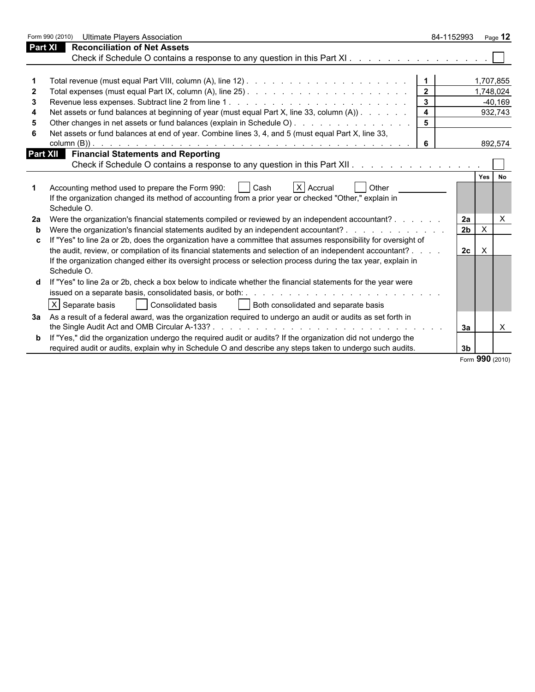|   | Form 990 (2010)<br><b>Ultimate Players Association</b>                                                                                                                                                  | 84-1152993 Page 12      |                           |           |
|---|---------------------------------------------------------------------------------------------------------------------------------------------------------------------------------------------------------|-------------------------|---------------------------|-----------|
|   | <b>Reconciliation of Net Assets</b><br><b>Part XI</b>                                                                                                                                                   |                         |                           |           |
|   | Check if Schedule O contains a response to any question in this Part XI.                                                                                                                                |                         |                           |           |
|   |                                                                                                                                                                                                         |                         |                           |           |
|   |                                                                                                                                                                                                         | $\overline{1}$          | 1,707,855                 |           |
|   |                                                                                                                                                                                                         |                         |                           | 1,748,024 |
| 3 |                                                                                                                                                                                                         |                         |                           | $-40,169$ |
| 4 | Net assets or fund balances at beginning of year (must equal Part X, line 33, column (A))                                                                                                               | $\overline{\mathbf{4}}$ |                           | 932,743   |
|   |                                                                                                                                                                                                         |                         |                           |           |
|   | Net assets or fund balances at end of year. Combine lines 3, 4, and 5 (must equal Part X, line 33,                                                                                                      |                         |                           |           |
|   |                                                                                                                                                                                                         | 6                       |                           | 892,574   |
|   | <b>Financial Statements and Reporting</b><br>Part XII                                                                                                                                                   |                         |                           |           |
|   | Check if Schedule O contains a response to any question in this Part XII.                                                                                                                               |                         |                           |           |
|   | Accounting method used to prepare the Form 990:<br>X Accrual<br>Other<br>  Cash<br>If the organization changed its method of accounting from a prior year or checked "Other," explain in<br>Schedule O. |                         | Yes                       | <b>No</b> |
|   | Were the organization's financial statements compiled or reviewed by an independent accountant?                                                                                                         | 2a                      |                           | X         |
| b | Were the organization's financial statements audited by an independent accountant?                                                                                                                      | $\overline{2b}$         | $\boldsymbol{\mathsf{X}}$ |           |
|   | If "Yes" to line 2a or 2b, does the organization have a committee that assumes responsibility for oversight of                                                                                          |                         |                           |           |
|   | the audit, review, or compilation of its financial statements and selection of an independent accountant? .                                                                                             | 2c                      | $\mathsf{X}$              |           |
|   | If the organization changed either its oversight process or selection process during the tax year, explain in<br>Schedule O.                                                                            |                         |                           |           |
|   | If "Yes" to line 2a or 2b, check a box below to indicate whether the financial statements for the year were                                                                                             |                         |                           |           |
|   |                                                                                                                                                                                                         |                         |                           |           |
|   | $ X $ Separate basis<br>Both consolidated and separate basis<br>Consolidated basis                                                                                                                      |                         |                           |           |
|   | 3a As a result of a federal award, was the organization required to undergo an audit or audits as set forth in                                                                                          |                         |                           |           |
|   |                                                                                                                                                                                                         | 3a                      |                           | X         |
|   | <b>b</b> If "Yes," did the organization undergo the required audit or audits? If the organization did not undergo the                                                                                   |                         |                           |           |
|   | required audit or audits, explain why in Schedule O and describe any steps taken to undergo such audits.                                                                                                | 3 <sub>b</sub>          |                           |           |
|   |                                                                                                                                                                                                         |                         | Form 990 (2010)           |           |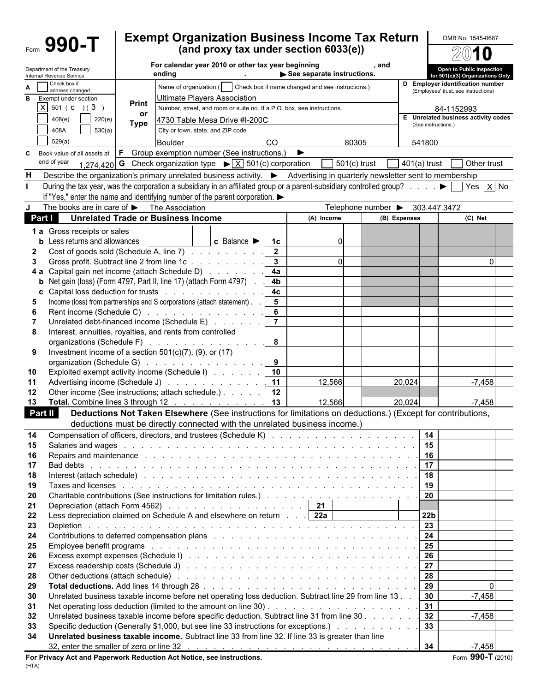Form  $\mathbf{990}\text{-}\mathbf{T}$  Exempt Organization Business Income Tax Return  $\overline{\text{OMB No. 1545-0687}}$ U /2 For calendar year 2010 or other tax year beginning **comparently**, and Department of the Treasury<br>Internal Revenue Service The Treasury<br>
Internal Revenue Service<br>
■ Check box if **and instructions. D** Employer identification number<br>
The characteristic instructions. **D** Employer identification number for 501(c)(3) Organizations Onl **Employer identification number A**  $\bigcap_{\text{Solved}}$  Check box if name changed and see instructions.) address changed (Employees' trust, see instructions) **B** Exempt under section **Definition** Ultimate Players Association **Print**  $\boxed{\text{X}}$  501 ( C ) ( 3 ) **Print** Number, street, and room or suite no. If a P.O. box, see instructions. 84-1152993 **or** 408(e) 220(e) 4730 Table Mesa Drive #I-200C **<sup>E</sup> Unrelated business activity codes Type** (See instructions.) 408A 530(a) City or town, state, and ZIP code 529(a) Boulder CO 80305 541800 **C** Book value of all assets at **F** Group exemption number (See instructions.) ▶ end of year  $_{1.274,420}$  **G** Check organization type  $\triangleright$  X 501(c) corporation 501(c) trust 401(a) trust 60ther trust **H** Describe the organization's primary unrelated business activity.  $\blacktriangleright$  Advertising in quarterly newsletter sent to membership **I** During the tax year, was the corporation a subsidiary in an affiliated group or a parent-subsidiary controlled group? . . . .  $\blacktriangleright \Box$  Yes  $\Box$  Y No If "Yes," enter the name and identifying number of the parent corporation.  $\blacktriangleright$ The books are in care of  $\blacktriangleright$  The Association Telephone number  $\blacktriangleright$  303.447.3472 **Part I Unrelated Trade or Business Income A)** (A) Income **(B) Expenses** (C) Net **1 a** Gross receipts or sales **b** Less returns and allowances **c c c** Balance **1c 1c c** 0 **2** Cost of goods sold (Schedule A, line 7)  $\ldots$  . . . . . . . . 1 **2 3** Gross profit. Subtract line 2 from line 1c . . . . . . . . . . . . . . . . . . . . . . . . . . . . . . . . . . . . . . . . . . . . . . . . . . . **3** 0 0 **4 a** Capital gain net income (attach Schedule D) . . . . . . . . 4**a b** Net gain (loss) (Form 4797, Part II, line 17) (attach Form 4797) . . . . 4**b c** Capital loss deduction for trusts . . . . . . . . . . . . . . . 4c **5** Income (loss) from partnerships and S corporations (attach statement). . . . . . . 5 **6** Rent income (Schedule C) . . . . . . . . . . . . . . . . 6 **7** Unrelated debt-financed income (Schedule E) . . . . . . | **7 8** Interest, annuities, royalties, and rents from controlled organizations (Schedule F) . . . . . . . . . . . . . . . . 8 **9** Investment income of a section 501(c)(7), (9), or (17) organization (Schedule G) . . . . . . . . . . . . . . . 1 9 **10** Exploited exempt activity income (Schedule I) . . . . . . . 10 **11** Advertising income (Schedule J) . . . . . . . . . . . | **11** | 12,566 | | 20,024 | | -7,458 **12** Other income (See instructions: attach schedule.) . . . . . 1 **12 13 Total.** Combine lines 3 through 12 . . . . . . . . . . . . 13 | 12,566 | 20,024 | | -7,458 **Part II Deductions Not Taken Elsewhere** (See instructions for limitations on deductions.) (Except for contributions, deductions must be directly connected with the unrelated business income.) **14** Compensation of officers, directors, and trustees (Schedule K) . . . . . . . . . . . . . . . . . . . . . . . . . . . . . . . . . . . . . . . . . . . . . . **14 15** Salaries and wages . . . . . . . . . . . . . . . . . . . . . . . . . . . . . . . . . . . . . . . . . . . . . . . . . . . . . . . . . **15 16** Repairs and maintenance . . . . . . . . . . . . . . . . . . . . . . . . . . . . . . . . . . . . . . . . . . . . . . . . . . . . . . . . **16 17** Bad debts . . . . . . . . . . . . . . . . . . . . . . . . . . . . . . . . . . . . . . . . . . . . . . . . . . . . . . . . . . . . **17 18** Interest (attach schedule) . . . . . . . . . . . . . . . . . . . . . . . . . . . . . . . . . . . . . . . . . . . . . . . . . . . . . . . **18 19** Taxes and licenses . . . . . . . . . . . . . . . . . . . . . . . . . . . . . . . . . . . . . . . . . . . . . . . . . . . . . . . . . **19 20** Charitable contributions (See instructions for limitation rules.) . . . . . . . . . . . . . . . . . . . . . . . . . . . . . . . . . . . . . . . . . **20 21** Depreciation (attach Form 4562) . . . . . . . . . . . . . . . . . . . . . . . . . . . . . . . . . . . . . . . . . . . . . . . . . . . . . . **21 22** Less depreciation claimed on Schedule A and elsewhere on return . . . . . **22a 22b 23** Depletion . . . . . . . . . . . . . . . . . . . . . . . . . . . . . . . . . . . . . . . . . . . . . . . . . . . . . . . . . . . . **23 24** Contributions to deferred compensation plans . . . . . . . . . . . . . . . . . . . . . . . . . . . . . . . . . . . . . . . . . . . . . . . . . . . **24 25** Employee benefit programs . . . . . . . . . . . . . . . . . . . . . . . . . . . . . . . . . . . . . . . . . . . . . . . . . . . . . . . . **25 26** Excess exempt expenses (Schedule I) . . . . . . . . . . . . . . . . . . . . . . . . . . . . . . . . . . . . . . . . . . . . . . . . . . . . . **26 27** Excess readership costs (Schedule J) . . . . . . . . . . . . . . . . . . . . . . . . . . . . . . . . . . . . . . . . . . . . . . . . . . . . . **27 28** Other deductions (attach schedule) . . . . . . . . . . . . . . . . . . . . . . . . . . . . . . . . . . . . . . . . . . . . . . . . . . . . . **28 29 Total deductions.** Add lines 14 through 28 . . . . . . . . . . . . . . . . . . . . . . . . . . . . . . . . . . . . . . . . . . . . . . . . . . . **29** 0 **30** Unrelated business taxable income before net operating loss deduction. Subtract line 29 from line 13 . . . 30 - 7,458 **31** Net operating loss deduction (limited to the amount on line 30) . . . . . . . . . . . . . . . . . . . . . . . . . . . . . . . . . . . . . . . . . . . . . . **31 32** Unrelated business taxable income before specific deduction. Subtract line 31 from line 30 . . . . . . . . . . . . . . . . . . . . . . . . . . . . . . . . . . . . . . . **32** -7,458 **33** Specific deduction (Generally \$1,000, but see line 33 instructions for exceptions.) . . . . . . . . . . . . . . . . . . . . . . . . . . . . . . . . . . . . . . . . . **33 34 Unrelated business taxable income.** Subtract line 33 from line 32. If line 33 is greater than line 32, enter the smaller of zero or line 32 . . . . . . . . . . . . . . . . . . . . . . . . . . . . . . . . . . . . . . . . . . . . . . . . **34** -7,458

**For Privacy Act and Paperwork Reduction Act Notice, see instructions.** The state of the state of the state of  $(2010)$ (HTA)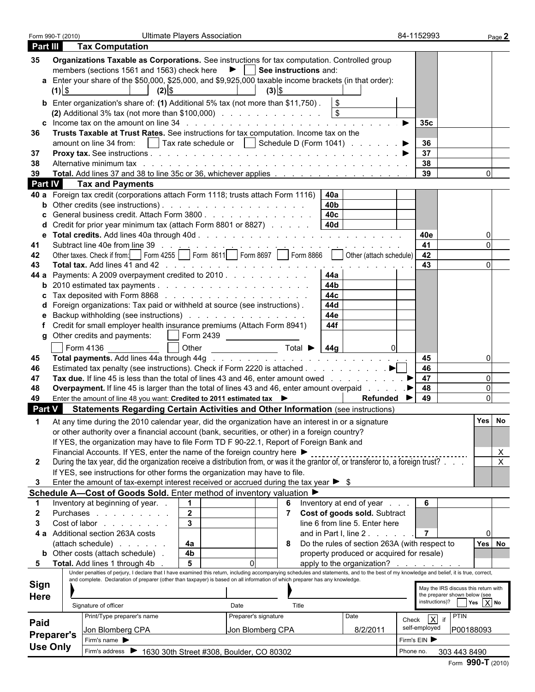| Form 990-T (2010) |                                                                                                                                                                                                                               | <b>Ultimate Players Association</b> |                      |                                                       |                      | 84-1152993                                                            |
|-------------------|-------------------------------------------------------------------------------------------------------------------------------------------------------------------------------------------------------------------------------|-------------------------------------|----------------------|-------------------------------------------------------|----------------------|-----------------------------------------------------------------------|
| Part III          | <b>Tax Computation</b>                                                                                                                                                                                                        |                                     |                      |                                                       |                      |                                                                       |
| 35                | Organizations Taxable as Corporations. See instructions for tax computation. Controlled group                                                                                                                                 |                                     |                      |                                                       |                      |                                                                       |
|                   | members (sections 1561 and 1563) check here $\blacktriangleright$   See instructions and:                                                                                                                                     |                                     |                      |                                                       |                      |                                                                       |
|                   | a Enter your share of the \$50,000, \$25,000, and \$9,925,000 taxable income brackets (in that order):                                                                                                                        |                                     |                      |                                                       |                      |                                                                       |
| $(1)$ \$          | $(2)$ \$                                                                                                                                                                                                                      |                                     | $(3)$ \$             |                                                       |                      |                                                                       |
|                   |                                                                                                                                                                                                                               |                                     |                      |                                                       |                      |                                                                       |
|                   | <b>b</b> Enter organization's share of: (1) Additional 5% tax (not more than \$11,750). $\sqrt{\$}$                                                                                                                           |                                     |                      |                                                       |                      |                                                                       |
|                   | (2) Additional 3% tax (not more than \$100,000) $\ldots$ $\ldots$ $\ldots$ $\ldots$ $\ldots$ $\qquad$                                                                                                                         |                                     |                      |                                                       |                      |                                                                       |
|                   | <b>c</b> Income tax on the amount on line $34$ by $\ldots$ is a contracted in the set of $\ldots$ is a contracted in the set of $\ldots$                                                                                      |                                     |                      |                                                       | 35c                  |                                                                       |
| 36.               | Trusts Taxable at Trust Rates. See instructions for tax computation. Income tax on the                                                                                                                                        |                                     |                      |                                                       |                      |                                                                       |
|                   |                                                                                                                                                                                                                               |                                     |                      |                                                       | 36                   |                                                                       |
| -37               |                                                                                                                                                                                                                               |                                     |                      |                                                       | 37                   |                                                                       |
| 38                | Alternative minimum tax research and contact the contact of the contact of the contact of the contact of the contact of the contact of the contact of the contact of the contact of the contact of the contact of the contact |                                     |                      |                                                       | $\vert$ 38           |                                                                       |
| 39                |                                                                                                                                                                                                                               |                                     |                      |                                                       | 39                   |                                                                       |
| <b>Part IV</b>    | <b>Tax and Payments</b>                                                                                                                                                                                                       |                                     |                      |                                                       |                      |                                                                       |
|                   | 40 a Foreign tax credit (corporations attach Form 1118; trusts attach Form 1116)   40a                                                                                                                                        |                                     |                      |                                                       |                      |                                                                       |
|                   | <b>b</b> Other credits (see instructions). $\ldots$ $\ldots$ $\ldots$ $\ldots$ $\ldots$ $\ldots$                                                                                                                              |                                     |                      | 40b                                                   |                      |                                                                       |
|                   | General business credit. Attach Form 3800                                                                                                                                                                                     |                                     |                      | 40 <sub>c</sub>                                       |                      |                                                                       |
|                   | Credit for prior year minimum tax (attach Form 8801 or 8827) $\ldots$ 40d                                                                                                                                                     |                                     |                      |                                                       |                      |                                                                       |
|                   |                                                                                                                                                                                                                               |                                     |                      |                                                       | 40e                  |                                                                       |
| 41                |                                                                                                                                                                                                                               |                                     |                      |                                                       |                      |                                                                       |
| 42                |                                                                                                                                                                                                                               |                                     |                      |                                                       |                      |                                                                       |
| 43                |                                                                                                                                                                                                                               |                                     |                      |                                                       | 43                   |                                                                       |
|                   | 44 a Payments: A 2009 overpayment credited to 2010                                                                                                                                                                            |                                     |                      | - 44a                                                 |                      |                                                                       |
|                   | <b>b</b> 2010 estimated tax payments $\ldots$ $\ldots$ $\ldots$ $\ldots$ $\ldots$ $\ldots$ $\ldots$                                                                                                                           |                                     |                      | 44b                                                   |                      |                                                                       |
|                   | <b>c</b> Tax deposited with Form 8868 $\ldots$ $\ldots$ $\ldots$ $\ldots$ $\ldots$ $\ldots$ $\ldots$                                                                                                                          |                                     |                      | 44c                                                   |                      |                                                                       |
|                   | d Foreign organizations: Tax paid or withheld at source (see instructions).                                                                                                                                                   |                                     |                      | 44d                                                   |                      |                                                                       |
|                   | Backup withholding (see instructions)                                                                                                                                                                                         |                                     |                      | 44e                                                   |                      |                                                                       |
|                   |                                                                                                                                                                                                                               |                                     |                      | 44f                                                   |                      |                                                                       |
|                   | f Credit for small employer health insurance premiums (Attach Form 8941)                                                                                                                                                      |                                     |                      |                                                       |                      |                                                                       |
|                   | g Other credits and payments: $\vert \ \vert$ Form 2439                                                                                                                                                                       |                                     |                      |                                                       |                      |                                                                       |
|                   | Form 4136                                                                                                                                                                                                                     |                                     |                      |                                                       |                      |                                                                       |
| 45                |                                                                                                                                                                                                                               |                                     |                      |                                                       | 45                   |                                                                       |
| 46                | Estimated tax penalty (see instructions). Check if Form 2220 is attached $\blacktriangleright$                                                                                                                                |                                     |                      |                                                       | 46                   |                                                                       |
| 47                |                                                                                                                                                                                                                               |                                     |                      |                                                       | 47                   |                                                                       |
| 48                | <b>Overpayment.</b> If line 45 is larger than the total of lines 43 and 46, enter amount overpaid                                                                                                                             |                                     |                      |                                                       | 48<br>▁▶∣            |                                                                       |
| 49                | Enter the amount of line 48 you want: Credited to 2011 estimated tax ▶                                                                                                                                                        |                                     |                      | Refunded $\blacktriangleright$                        | 49                   |                                                                       |
| Part V            | <b>Statements Regarding Certain Activities and Other Information (see instructions)</b>                                                                                                                                       |                                     |                      |                                                       |                      |                                                                       |
|                   |                                                                                                                                                                                                                               |                                     |                      |                                                       |                      |                                                                       |
|                   | At any time during the 2010 calendar year, did the organization have an interest in or a signature                                                                                                                            |                                     |                      |                                                       |                      |                                                                       |
|                   | or other authority over a financial account (bank, securities, or other) in a foreign country?                                                                                                                                |                                     |                      |                                                       |                      |                                                                       |
|                   | If YES, the organization may have to file Form TD F 90-22.1, Report of Foreign Bank and                                                                                                                                       |                                     |                      |                                                       |                      |                                                                       |
|                   | Financial Accounts. If YES, enter the name of the foreign country here ▶                                                                                                                                                      |                                     |                      |                                                       |                      |                                                                       |
| $\mathbf{2}$      | During the tax year, did the organization receive a distribution from, or was it the grantor of, or transferor to, a foreign trust?                                                                                           |                                     |                      |                                                       |                      |                                                                       |
|                   | If YES, see instructions for other forms the organization may have to file.                                                                                                                                                   |                                     |                      |                                                       |                      |                                                                       |
|                   | Enter the amount of tax-exempt interest received or accrued during the tax year $\triangleright$ \$                                                                                                                           |                                     |                      |                                                       |                      |                                                                       |
|                   | Schedule A-Cost of Goods Sold. Enter method of inventory valuation ▶                                                                                                                                                          |                                     |                      |                                                       |                      |                                                                       |
|                   | Inventory at beginning of year                                                                                                                                                                                                | $\mathbf 1$                         |                      | 6 Inventory at end of year                            | 6                    |                                                                       |
|                   | Purchases                                                                                                                                                                                                                     | $\overline{2}$                      |                      | Cost of goods sold. Subtract                          |                      |                                                                       |
|                   | Cost of labor                                                                                                                                                                                                                 | $\mathbf{3}$                        |                      | line 6 from line 5. Enter here                        |                      |                                                                       |
|                   | 4 a Additional section 263A costs                                                                                                                                                                                             |                                     |                      | and in Part I, line 2.                                | $\overline{7}$       |                                                                       |
|                   | (attach schedule)                                                                                                                                                                                                             | 4a                                  |                      | 8 Do the rules of section 263A (with respect to       |                      | Yes No                                                                |
|                   | <b>b</b> Other costs (attach schedule).                                                                                                                                                                                       | 4 <sub>b</sub>                      |                      | property produced or acquired for resale)             |                      |                                                                       |
|                   | 5 Total. Add lines 1 through 4b                                                                                                                                                                                               | 5                                   |                      | apply to the organization? $\ldots$ $\ldots$ $\ldots$ |                      |                                                                       |
|                   | Under penalties of perjury, I declare that I have examined this return, including accompanying schedules and statements, and to the best of my knowledge and belief, it is true, correct,                                     |                                     |                      |                                                       |                      |                                                                       |
| <b>Sign</b>       | and complete. Declaration of preparer (other than taxpayer) is based on all information of which preparer has any knowledge.                                                                                                  |                                     |                      |                                                       |                      |                                                                       |
|                   |                                                                                                                                                                                                                               |                                     |                      |                                                       |                      | May the IRS discuss this return with<br>the preparer shown below (see |
| <b>Here</b>       | Signature of officer                                                                                                                                                                                                          | Date                                | Title                |                                                       |                      | instructions)? $Yes \ X$ No                                           |
|                   |                                                                                                                                                                                                                               |                                     |                      |                                                       |                      |                                                                       |
| Paid              | Print/Type preparer's name                                                                                                                                                                                                    |                                     | Preparer's signature | Date                                                  | Check $\overline{X}$ | PTIN                                                                  |
|                   | Jon Blomberg CPA                                                                                                                                                                                                              |                                     | Jon Blomberg CPA     | 8/2/2011                                              | self-employed        | P00188093                                                             |
| <b>Preparer's</b> | Firm's name                                                                                                                                                                                                                   |                                     |                      |                                                       | Firm's EIN           |                                                                       |
| <b>Use Only</b>   | Firm's address > 1630 30th Street #308, Boulder, CO 80302                                                                                                                                                                     |                                     |                      |                                                       | Phone no.            | 303 443 8490                                                          |
|                   |                                                                                                                                                                                                                               |                                     |                      |                                                       |                      |                                                                       |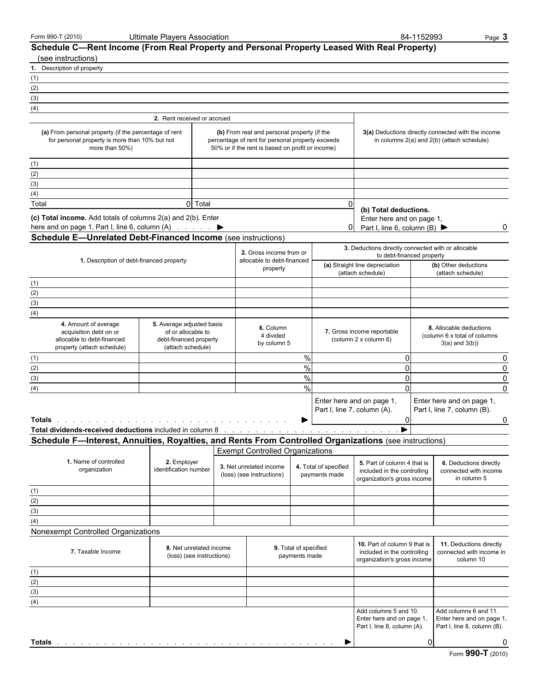|  |  | Form 990-T (2010) |
|--|--|-------------------|
|--|--|-------------------|

Form 990-T (2010) Ultimate Players Association 84-1152993 Page 3

|        | Schedule C—Rent Income (From Real Property and Personal Property Leased With Real Property)<br>(see instructions)                   |                                                                                                |                                                                                                                                                     |                                        |                                                                                 |                                                                                                                                                                                                                                |                                                                                                                                                                |                                                                                                        |                                           |                                                                                   |           |
|--------|-------------------------------------------------------------------------------------------------------------------------------------|------------------------------------------------------------------------------------------------|-----------------------------------------------------------------------------------------------------------------------------------------------------|----------------------------------------|---------------------------------------------------------------------------------|--------------------------------------------------------------------------------------------------------------------------------------------------------------------------------------------------------------------------------|----------------------------------------------------------------------------------------------------------------------------------------------------------------|--------------------------------------------------------------------------------------------------------|-------------------------------------------|-----------------------------------------------------------------------------------|-----------|
|        | 1. Description of property                                                                                                          |                                                                                                |                                                                                                                                                     |                                        |                                                                                 |                                                                                                                                                                                                                                |                                                                                                                                                                |                                                                                                        |                                           |                                                                                   |           |
| (1)    |                                                                                                                                     |                                                                                                |                                                                                                                                                     |                                        |                                                                                 |                                                                                                                                                                                                                                |                                                                                                                                                                |                                                                                                        |                                           |                                                                                   |           |
| (2)    |                                                                                                                                     |                                                                                                |                                                                                                                                                     |                                        |                                                                                 |                                                                                                                                                                                                                                |                                                                                                                                                                |                                                                                                        |                                           |                                                                                   |           |
| (3)    |                                                                                                                                     |                                                                                                |                                                                                                                                                     |                                        |                                                                                 |                                                                                                                                                                                                                                |                                                                                                                                                                |                                                                                                        |                                           |                                                                                   |           |
| (4)    |                                                                                                                                     |                                                                                                |                                                                                                                                                     |                                        |                                                                                 |                                                                                                                                                                                                                                |                                                                                                                                                                |                                                                                                        |                                           |                                                                                   |           |
|        |                                                                                                                                     | 2. Rent received or accrued                                                                    |                                                                                                                                                     |                                        |                                                                                 |                                                                                                                                                                                                                                |                                                                                                                                                                |                                                                                                        |                                           |                                                                                   |           |
|        | (a) From personal property (if the percentage of rent<br>for personal property is more than 10% but not<br>more than 50%)           |                                                                                                | (b) From real and personal property (if the<br>percentage of rent for personal property exceeds<br>50% or if the rent is based on profit or income) |                                        |                                                                                 |                                                                                                                                                                                                                                |                                                                                                                                                                | 3(a) Deductions directly connected with the income<br>in columns 2(a) and 2(b) (attach schedule)       |                                           |                                                                                   |           |
| (1)    |                                                                                                                                     |                                                                                                |                                                                                                                                                     |                                        |                                                                                 |                                                                                                                                                                                                                                |                                                                                                                                                                |                                                                                                        |                                           |                                                                                   |           |
| (2)    |                                                                                                                                     |                                                                                                |                                                                                                                                                     |                                        |                                                                                 |                                                                                                                                                                                                                                |                                                                                                                                                                |                                                                                                        |                                           |                                                                                   |           |
| (3)    |                                                                                                                                     |                                                                                                |                                                                                                                                                     |                                        |                                                                                 |                                                                                                                                                                                                                                |                                                                                                                                                                |                                                                                                        |                                           |                                                                                   |           |
| (4)    |                                                                                                                                     |                                                                                                |                                                                                                                                                     |                                        |                                                                                 |                                                                                                                                                                                                                                |                                                                                                                                                                |                                                                                                        |                                           |                                                                                   |           |
| Total  |                                                                                                                                     | 0 Total                                                                                        |                                                                                                                                                     |                                        |                                                                                 | 0                                                                                                                                                                                                                              |                                                                                                                                                                |                                                                                                        |                                           |                                                                                   |           |
|        | (c) Total income. Add totals of columns 2(a) and 2(b). Enter<br><b>Schedule E-Unrelated Debt-Financed Income (see instructions)</b> |                                                                                                |                                                                                                                                                     |                                        |                                                                                 | 0                                                                                                                                                                                                                              |                                                                                                                                                                | (b) Total deductions.<br>Enter here and on page 1,<br>Part I, line 6, column (B) $\blacktriangleright$ |                                           |                                                                                   | 0         |
|        |                                                                                                                                     |                                                                                                | 2. Gross income from or                                                                                                                             |                                        |                                                                                 |                                                                                                                                                                                                                                |                                                                                                                                                                | 3. Deductions directly connected with or allocable<br>to debt-financed property                        |                                           |                                                                                   |           |
|        | 1. Description of debt-financed property                                                                                            |                                                                                                | allocable to debt-financed                                                                                                                          | property                               |                                                                                 |                                                                                                                                                                                                                                |                                                                                                                                                                | (a) Straight line depreciation<br>(attach schedule)                                                    | (b) Other deductions<br>(attach schedule) |                                                                                   |           |
| (1)    |                                                                                                                                     |                                                                                                |                                                                                                                                                     |                                        |                                                                                 |                                                                                                                                                                                                                                |                                                                                                                                                                |                                                                                                        |                                           |                                                                                   |           |
| (2)    |                                                                                                                                     |                                                                                                |                                                                                                                                                     |                                        |                                                                                 |                                                                                                                                                                                                                                |                                                                                                                                                                |                                                                                                        |                                           |                                                                                   |           |
| (3)    |                                                                                                                                     |                                                                                                |                                                                                                                                                     |                                        |                                                                                 |                                                                                                                                                                                                                                |                                                                                                                                                                |                                                                                                        |                                           |                                                                                   |           |
| (4)    |                                                                                                                                     |                                                                                                |                                                                                                                                                     |                                        |                                                                                 |                                                                                                                                                                                                                                |                                                                                                                                                                |                                                                                                        |                                           |                                                                                   |           |
|        | 4. Amount of average<br>acquisition debt on or<br>allocable to debt-financed<br>property (attach schedule)                          | 5. Average adjusted basis<br>of or allocable to<br>debt-financed property<br>(attach schedule) | 6. Column<br>7. Gross income reportable<br>4 divided<br>(column 2 x column 6)<br>by column 5                                                        |                                        | 8. Allocable deductions<br>(column 6 x total of columns)<br>$3(a)$ and $3(b)$ ) |                                                                                                                                                                                                                                |                                                                                                                                                                |                                                                                                        |                                           |                                                                                   |           |
| (1)    |                                                                                                                                     |                                                                                                |                                                                                                                                                     |                                        | $\%$                                                                            |                                                                                                                                                                                                                                |                                                                                                                                                                | 0                                                                                                      |                                           |                                                                                   | 0         |
| (2)    |                                                                                                                                     |                                                                                                |                                                                                                                                                     |                                        | $\%$                                                                            |                                                                                                                                                                                                                                |                                                                                                                                                                | 0                                                                                                      |                                           |                                                                                   | $\pmb{0}$ |
| (3)    |                                                                                                                                     |                                                                                                |                                                                                                                                                     |                                        | $\%$                                                                            |                                                                                                                                                                                                                                |                                                                                                                                                                | 0                                                                                                      |                                           |                                                                                   | 0         |
| (4)    |                                                                                                                                     |                                                                                                |                                                                                                                                                     |                                        | %                                                                               |                                                                                                                                                                                                                                |                                                                                                                                                                | $\Omega$                                                                                               |                                           |                                                                                   | $\Omega$  |
| Totals |                                                                                                                                     |                                                                                                |                                                                                                                                                     |                                        |                                                                                 | Enter here and on page 1,<br>Part I, line 7, column (A).                                                                                                                                                                       |                                                                                                                                                                | $\Omega$                                                                                               |                                           | Enter here and on page 1,<br>Part I, line 7, column (B).                          | 0         |
|        | Total dividends-received deductions included in column 8                                                                            |                                                                                                |                                                                                                                                                     |                                        |                                                                                 | the contract of the contract of the contract of the contract of the contract of the contract of the contract of the contract of the contract of the contract of the contract of the contract of the contract of the contract o |                                                                                                                                                                |                                                                                                        |                                           |                                                                                   |           |
|        | Schedule F-Interest, Annuities, Royalties, and Rents From Controlled Organizations (see instructions)                               |                                                                                                |                                                                                                                                                     |                                        |                                                                                 |                                                                                                                                                                                                                                |                                                                                                                                                                |                                                                                                        |                                           |                                                                                   |           |
|        |                                                                                                                                     |                                                                                                |                                                                                                                                                     |                                        |                                                                                 |                                                                                                                                                                                                                                |                                                                                                                                                                |                                                                                                        |                                           |                                                                                   |           |
|        | 1. Name of controlled<br>organization                                                                                               | 2. Employer<br>identification number                                                           | <b>Exempt Controlled Organizations</b><br>3. Net unrelated income<br>(loss) (see instructions)                                                      |                                        | 4. Total of specified<br>payments made                                          |                                                                                                                                                                                                                                |                                                                                                                                                                | 5. Part of column 4 that is<br>included in the controlling<br>organization's gross income              |                                           | 6. Deductions directly<br>connected with income<br>in column 5                    |           |
| (1)    |                                                                                                                                     |                                                                                                |                                                                                                                                                     |                                        |                                                                                 |                                                                                                                                                                                                                                |                                                                                                                                                                |                                                                                                        |                                           |                                                                                   |           |
| (2)    |                                                                                                                                     |                                                                                                |                                                                                                                                                     |                                        |                                                                                 |                                                                                                                                                                                                                                |                                                                                                                                                                |                                                                                                        |                                           |                                                                                   |           |
| (3)    |                                                                                                                                     |                                                                                                |                                                                                                                                                     |                                        |                                                                                 |                                                                                                                                                                                                                                |                                                                                                                                                                |                                                                                                        |                                           |                                                                                   |           |
| (4)    |                                                                                                                                     |                                                                                                |                                                                                                                                                     |                                        |                                                                                 |                                                                                                                                                                                                                                |                                                                                                                                                                |                                                                                                        |                                           |                                                                                   |           |
|        | Nonexempt Controlled Organizations                                                                                                  |                                                                                                |                                                                                                                                                     |                                        |                                                                                 |                                                                                                                                                                                                                                |                                                                                                                                                                |                                                                                                        |                                           |                                                                                   |           |
|        | 7. Taxable Income                                                                                                                   | 8. Net unrelated income<br>(loss) (see instructions)                                           |                                                                                                                                                     | 9. Total of specified<br>payments made |                                                                                 |                                                                                                                                                                                                                                | 10. Part of column 9 that is<br>11. Deductions directly<br>included in the controlling<br>connected with income in<br>organization's gross income<br>column 10 |                                                                                                        |                                           |                                                                                   |           |
| (1)    |                                                                                                                                     |                                                                                                |                                                                                                                                                     |                                        |                                                                                 |                                                                                                                                                                                                                                |                                                                                                                                                                |                                                                                                        |                                           |                                                                                   |           |
| (2)    |                                                                                                                                     |                                                                                                |                                                                                                                                                     |                                        |                                                                                 |                                                                                                                                                                                                                                |                                                                                                                                                                |                                                                                                        |                                           |                                                                                   |           |
| (3)    |                                                                                                                                     |                                                                                                |                                                                                                                                                     |                                        |                                                                                 |                                                                                                                                                                                                                                |                                                                                                                                                                |                                                                                                        |                                           |                                                                                   |           |
| (4)    |                                                                                                                                     |                                                                                                |                                                                                                                                                     |                                        |                                                                                 |                                                                                                                                                                                                                                |                                                                                                                                                                |                                                                                                        |                                           |                                                                                   |           |
|        |                                                                                                                                     |                                                                                                |                                                                                                                                                     |                                        |                                                                                 |                                                                                                                                                                                                                                |                                                                                                                                                                | Add columns 5 and 10.<br>Enter here and on page 1,<br>Part I, line 8, column (A).                      |                                           | Add columns 6 and 11.<br>Enter here and on page 1,<br>Part I, line 8, column (B). |           |
| Totals |                                                                                                                                     |                                                                                                |                                                                                                                                                     |                                        |                                                                                 |                                                                                                                                                                                                                                |                                                                                                                                                                |                                                                                                        | 0                                         |                                                                                   | $\Omega$  |
|        |                                                                                                                                     |                                                                                                |                                                                                                                                                     |                                        |                                                                                 |                                                                                                                                                                                                                                |                                                                                                                                                                |                                                                                                        |                                           |                                                                                   |           |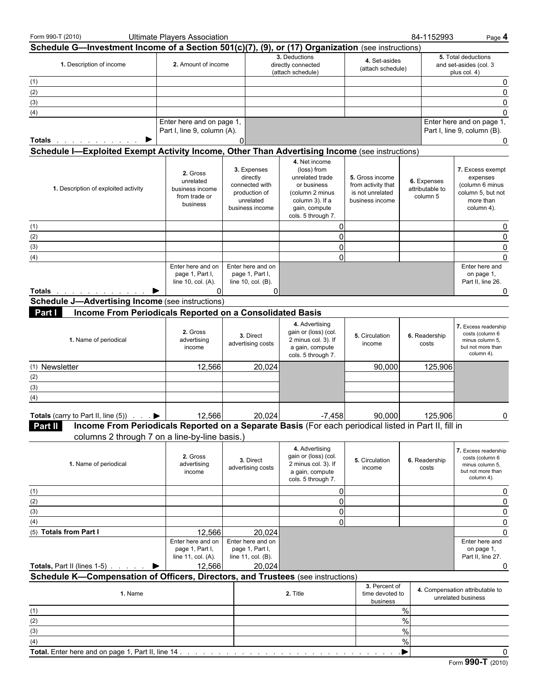| Form 990-T (2010)                                                                                                                                                                                                             | <b>Ultimate Players Association</b>                                       |                                                                                            |                                                                                                                                             |                                                                              | 84-1152993                                 | Page 4                                                                                          |
|-------------------------------------------------------------------------------------------------------------------------------------------------------------------------------------------------------------------------------|---------------------------------------------------------------------------|--------------------------------------------------------------------------------------------|---------------------------------------------------------------------------------------------------------------------------------------------|------------------------------------------------------------------------------|--------------------------------------------|-------------------------------------------------------------------------------------------------|
| Schedule G-Investment Income of a Section 501(c)(7), (9), or (17) Organization (see instructions)                                                                                                                             |                                                                           |                                                                                            |                                                                                                                                             |                                                                              |                                            |                                                                                                 |
| 1. Description of income                                                                                                                                                                                                      | 2. Amount of income                                                       |                                                                                            | 3. Deductions<br>directly connected<br>(attach schedule)                                                                                    | 4. Set-asides<br>(attach schedule)                                           |                                            | 5. Total deductions<br>and set-asides (col. 3<br>plus col. 4)                                   |
| (1)                                                                                                                                                                                                                           |                                                                           |                                                                                            |                                                                                                                                             |                                                                              |                                            | 0                                                                                               |
| (2)                                                                                                                                                                                                                           |                                                                           |                                                                                            |                                                                                                                                             |                                                                              |                                            | $\mathbf{0}$                                                                                    |
| (3)                                                                                                                                                                                                                           |                                                                           |                                                                                            |                                                                                                                                             |                                                                              |                                            | $\mathbf{0}$                                                                                    |
| (4)                                                                                                                                                                                                                           |                                                                           |                                                                                            |                                                                                                                                             |                                                                              |                                            | $\mathbf{0}$                                                                                    |
|                                                                                                                                                                                                                               | Enter here and on page 1,<br>Part I, line 9, column (A).                  |                                                                                            |                                                                                                                                             |                                                                              |                                            | Enter here and on page 1,<br>Part I, line 9, column (B).                                        |
| ▶<br><b>Totals</b>                                                                                                                                                                                                            |                                                                           | 0                                                                                          |                                                                                                                                             |                                                                              |                                            | 0                                                                                               |
| Schedule I-Exploited Exempt Activity Income, Other Than Advertising Income (see instructions)                                                                                                                                 |                                                                           |                                                                                            |                                                                                                                                             |                                                                              |                                            |                                                                                                 |
| 1. Description of exploited activity                                                                                                                                                                                          | 2. Gross<br>unrelated<br>business income<br>from trade or<br>business     | 3. Expenses<br>directly<br>connected with<br>production of<br>unrelated<br>business income | 4. Net income<br>(loss) from<br>unrelated trade<br>or business<br>(column 2 minus<br>column 3). If a<br>gain, compute<br>cols. 5 through 7. | 5. Gross income<br>from activity that<br>is not unrelated<br>business income | 6. Expenses<br>attributable to<br>column 5 | 7. Excess exempt<br>expenses<br>(column 6 minus<br>column 5, but not<br>more than<br>column 4). |
| (1)                                                                                                                                                                                                                           |                                                                           |                                                                                            | 0                                                                                                                                           |                                                                              |                                            | 0                                                                                               |
| (2)                                                                                                                                                                                                                           |                                                                           |                                                                                            | 0                                                                                                                                           |                                                                              |                                            | $\mathbf{0}$                                                                                    |
| (3)                                                                                                                                                                                                                           |                                                                           |                                                                                            | $\overline{0}$                                                                                                                              |                                                                              |                                            | $\mathbf{0}$                                                                                    |
| (4)                                                                                                                                                                                                                           |                                                                           |                                                                                            | $\overline{0}$                                                                                                                              |                                                                              |                                            | $\Omega$                                                                                        |
| Totals and the second service of the service of the service of the service of the series of the series of the series of the series of the series of the series of the series of the series of the series of the series of the | Enter here and on<br>page 1, Part I,<br>line 10, col. (A).<br>$\Omega$    | Enter here and on<br>page 1, Part I,<br>line 10, col. (B).<br>0                            |                                                                                                                                             |                                                                              |                                            | Enter here and<br>on page 1,<br>Part II, line 26.<br>0                                          |
| <b>Schedule J-Advertising Income (see instructions)</b>                                                                                                                                                                       |                                                                           |                                                                                            |                                                                                                                                             |                                                                              |                                            |                                                                                                 |
| Income From Periodicals Reported on a Consolidated Basis<br>Part I                                                                                                                                                            |                                                                           |                                                                                            |                                                                                                                                             |                                                                              |                                            |                                                                                                 |
| 1. Name of periodical                                                                                                                                                                                                         | 2. Gross<br>advertising<br>income                                         | 3. Direct<br>advertising costs                                                             | 4. Advertising<br>gain or (loss) (col.<br>2 minus col. 3). If<br>a gain, compute<br>cols. 5 through 7.                                      | 5. Circulation<br>income                                                     | 6. Readership<br>costs                     | 7. Excess readership<br>costs (column 6<br>minus column 5,<br>but not more than<br>column 4).   |
| (1) Newsletter                                                                                                                                                                                                                | 12,566                                                                    | 20,024                                                                                     |                                                                                                                                             | 90,000                                                                       | 125,906                                    |                                                                                                 |
| (2)                                                                                                                                                                                                                           |                                                                           |                                                                                            |                                                                                                                                             |                                                                              |                                            |                                                                                                 |
| (3)                                                                                                                                                                                                                           |                                                                           |                                                                                            |                                                                                                                                             |                                                                              |                                            |                                                                                                 |
| (4)                                                                                                                                                                                                                           |                                                                           |                                                                                            |                                                                                                                                             |                                                                              |                                            |                                                                                                 |
|                                                                                                                                                                                                                               |                                                                           |                                                                                            |                                                                                                                                             |                                                                              |                                            |                                                                                                 |
| <b>Totals</b> (carry to Part II, line (5)) $\cdot \cdot \cdot$                                                                                                                                                                | 12,566                                                                    | 20,024                                                                                     | $-7,458$                                                                                                                                    | 90,000                                                                       | 125,906                                    | 0                                                                                               |
| Income From Periodicals Reported on a Separate Basis (For each periodical listed in Part II, fill in<br><b>Part II</b>                                                                                                        |                                                                           |                                                                                            |                                                                                                                                             |                                                                              |                                            |                                                                                                 |
| columns 2 through 7 on a line-by-line basis.)                                                                                                                                                                                 |                                                                           |                                                                                            |                                                                                                                                             |                                                                              |                                            |                                                                                                 |
| 1. Name of periodical                                                                                                                                                                                                         | 2. Gross<br>advertising<br>income                                         | 3. Direct<br>advertising costs                                                             | 4. Advertising<br>gain or (loss) (col.<br>2 minus col. 3). If<br>a gain, compute<br>cols. 5 through 7.                                      | 5. Circulation<br>income                                                     | 6. Readership<br>costs                     | 7. Excess readership<br>costs (column 6<br>minus column 5,<br>but not more than<br>column 4).   |
| (1)                                                                                                                                                                                                                           |                                                                           |                                                                                            | $\overline{0}$                                                                                                                              |                                                                              |                                            | 0                                                                                               |
| (2)                                                                                                                                                                                                                           |                                                                           |                                                                                            | 0                                                                                                                                           |                                                                              |                                            |                                                                                                 |
| (3)                                                                                                                                                                                                                           |                                                                           |                                                                                            | $\overline{0}$                                                                                                                              |                                                                              |                                            | 0                                                                                               |
| (4)                                                                                                                                                                                                                           |                                                                           |                                                                                            | $\overline{0}$                                                                                                                              |                                                                              |                                            | 0                                                                                               |
| (5) Totals from Part I                                                                                                                                                                                                        | 12,566                                                                    | 20,024                                                                                     |                                                                                                                                             |                                                                              |                                            | $\Omega$                                                                                        |
| <b>Totals, Part II (lines 1-5)</b>                                                                                                                                                                                            | Enter here and on<br>page 1, Part I,<br>line 11, col. (A).<br>12,566<br>▶ | Enter here and on<br>page 1, Part I,<br>line 11, col. (B).<br>20,024                       |                                                                                                                                             |                                                                              |                                            | Enter here and<br>on page 1,<br>Part II, line 27.<br>0                                          |
| Schedule K-Compensation of Officers, Directors, and Trustees (see instructions)                                                                                                                                               |                                                                           |                                                                                            |                                                                                                                                             |                                                                              |                                            |                                                                                                 |
| 1. Name                                                                                                                                                                                                                       |                                                                           |                                                                                            | 2. Title                                                                                                                                    | 3. Percent of<br>time devoted to<br>business                                 |                                            | 4. Compensation attributable to<br>unrelated business                                           |
| (1)                                                                                                                                                                                                                           |                                                                           |                                                                                            |                                                                                                                                             |                                                                              | $\%$                                       |                                                                                                 |
| (2)                                                                                                                                                                                                                           |                                                                           |                                                                                            |                                                                                                                                             |                                                                              | $\%$                                       |                                                                                                 |
| (3)                                                                                                                                                                                                                           |                                                                           |                                                                                            |                                                                                                                                             |                                                                              | $\%$                                       |                                                                                                 |
| (4)                                                                                                                                                                                                                           |                                                                           |                                                                                            |                                                                                                                                             |                                                                              | %                                          |                                                                                                 |
| Total. Enter here and on page 1, Part II, line 14                                                                                                                                                                             |                                                                           |                                                                                            |                                                                                                                                             |                                                                              | ▸                                          | 0                                                                                               |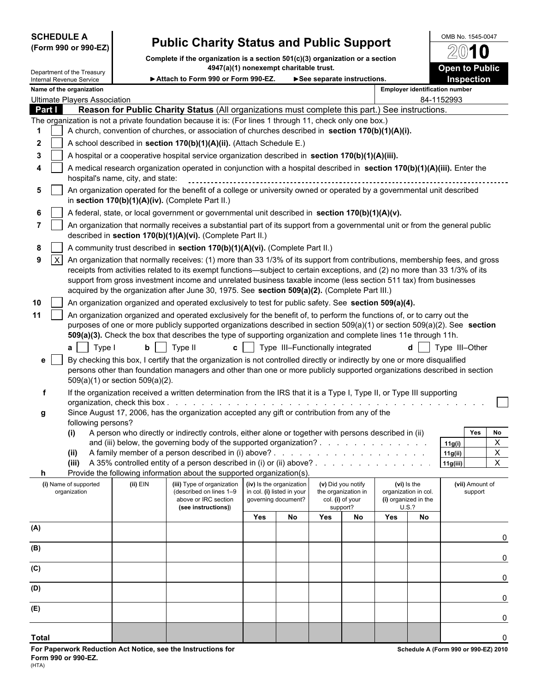# **SCHEDULE A** Public Charity Status and Public Support <u>DOMB No. 1545-0047</u>

**Complete if the organization is a section 501(c)(3) organization or a section**

|                          |                 | Department of the Treasury            |                                                                  | 4947(a)(1) nonexempt charitable trust.                                                                                                                                                                                                                                                                                                                                                                                                                                           |     |                                                                               |     |                                                                           |                                                                                                                                                                                                                                |                                                                      | <b>Open to Public</b>      |  |  |  |  |
|--------------------------|-----------------|---------------------------------------|------------------------------------------------------------------|----------------------------------------------------------------------------------------------------------------------------------------------------------------------------------------------------------------------------------------------------------------------------------------------------------------------------------------------------------------------------------------------------------------------------------------------------------------------------------|-----|-------------------------------------------------------------------------------|-----|---------------------------------------------------------------------------|--------------------------------------------------------------------------------------------------------------------------------------------------------------------------------------------------------------------------------|----------------------------------------------------------------------|----------------------------|--|--|--|--|
|                          |                 | Internal Revenue Service              | Attach to Form 990 or Form 990-EZ.<br>See separate instructions. |                                                                                                                                                                                                                                                                                                                                                                                                                                                                                  |     |                                                                               |     |                                                                           |                                                                                                                                                                                                                                | <b>Inspection</b>                                                    |                            |  |  |  |  |
| Name of the organization |                 |                                       |                                                                  |                                                                                                                                                                                                                                                                                                                                                                                                                                                                                  |     |                                                                               |     |                                                                           | <b>Employer identification number</b>                                                                                                                                                                                          |                                                                      |                            |  |  |  |  |
|                          |                 | <b>Ultimate Players Association</b>   |                                                                  |                                                                                                                                                                                                                                                                                                                                                                                                                                                                                  |     |                                                                               |     |                                                                           |                                                                                                                                                                                                                                |                                                                      | 84-1152993                 |  |  |  |  |
| Part I                   |                 |                                       |                                                                  | Reason for Public Charity Status (All organizations must complete this part.) See instructions.<br>The organization is not a private foundation because it is: (For lines 1 through 11, check only one box.)                                                                                                                                                                                                                                                                     |     |                                                                               |     |                                                                           |                                                                                                                                                                                                                                |                                                                      |                            |  |  |  |  |
|                          |                 |                                       |                                                                  | A church, convention of churches, or association of churches described in section 170(b)(1)(A)(i).                                                                                                                                                                                                                                                                                                                                                                               |     |                                                                               |     |                                                                           |                                                                                                                                                                                                                                |                                                                      |                            |  |  |  |  |
| $\mathbf{2}$             |                 |                                       |                                                                  | A school described in section 170(b)(1)(A)(ii). (Attach Schedule E.)                                                                                                                                                                                                                                                                                                                                                                                                             |     |                                                                               |     |                                                                           |                                                                                                                                                                                                                                |                                                                      |                            |  |  |  |  |
| 3                        |                 |                                       |                                                                  | A hospital or a cooperative hospital service organization described in section 170(b)(1)(A)(iii).                                                                                                                                                                                                                                                                                                                                                                                |     |                                                                               |     |                                                                           |                                                                                                                                                                                                                                |                                                                      |                            |  |  |  |  |
|                          |                 |                                       |                                                                  | A medical research organization operated in conjunction with a hospital described in section 170(b)(1)(A)(iii). Enter the                                                                                                                                                                                                                                                                                                                                                        |     |                                                                               |     |                                                                           |                                                                                                                                                                                                                                |                                                                      |                            |  |  |  |  |
|                          |                 |                                       | hospital's name, city, and state:                                |                                                                                                                                                                                                                                                                                                                                                                                                                                                                                  |     |                                                                               |     |                                                                           |                                                                                                                                                                                                                                |                                                                      |                            |  |  |  |  |
| 5                        |                 |                                       |                                                                  | An organization operated for the benefit of a college or university owned or operated by a governmental unit described<br>in section 170(b)(1)(A)(iv). (Complete Part II.)                                                                                                                                                                                                                                                                                                       |     |                                                                               |     |                                                                           |                                                                                                                                                                                                                                |                                                                      |                            |  |  |  |  |
| 6                        |                 |                                       |                                                                  | A federal, state, or local government or governmental unit described in section 170(b)(1)(A)(v).                                                                                                                                                                                                                                                                                                                                                                                 |     |                                                                               |     |                                                                           |                                                                                                                                                                                                                                |                                                                      |                            |  |  |  |  |
|                          |                 |                                       |                                                                  | An organization that normally receives a substantial part of its support from a governmental unit or from the general public<br>described in section 170(b)(1)(A)(vi). (Complete Part II.)                                                                                                                                                                                                                                                                                       |     |                                                                               |     |                                                                           |                                                                                                                                                                                                                                |                                                                      |                            |  |  |  |  |
| 8                        |                 |                                       |                                                                  | A community trust described in section 170(b)(1)(A)(vi). (Complete Part II.)                                                                                                                                                                                                                                                                                                                                                                                                     |     |                                                                               |     |                                                                           |                                                                                                                                                                                                                                |                                                                      |                            |  |  |  |  |
| 9                        | $\vert x \vert$ |                                       |                                                                  | An organization that normally receives: (1) more than 33 1/3% of its support from contributions, membership fees, and gross<br>receipts from activities related to its exempt functions—subject to certain exceptions, and (2) no more than 33 1/3% of its<br>support from gross investment income and unrelated business taxable income (less section 511 tax) from businesses<br>acquired by the organization after June 30, 1975. See section 509(a)(2). (Complete Part III.) |     |                                                                               |     |                                                                           |                                                                                                                                                                                                                                |                                                                      |                            |  |  |  |  |
| 10                       |                 |                                       |                                                                  | An organization organized and operated exclusively to test for public safety. See section 509(a)(4).                                                                                                                                                                                                                                                                                                                                                                             |     |                                                                               |     |                                                                           |                                                                                                                                                                                                                                |                                                                      |                            |  |  |  |  |
| 11                       |                 | Type I<br>a <sub>l</sub>              | bl                                                               | An organization organized and operated exclusively for the benefit of, to perform the functions of, or to carry out the<br>purposes of one or more publicly supported organizations described in section $509(a)(1)$ or section $509(a)(2)$ . See section<br>509(a)(3). Check the box that describes the type of supporting organization and complete lines 11e through 11h.<br>Type II<br>c l                                                                                   |     | Type III-Functionally integrated                                              |     |                                                                           |                                                                                                                                                                                                                                |                                                                      | Type III-Other             |  |  |  |  |
| e                        |                 |                                       | 509(a)(1) or section 509(a)(2).                                  | By checking this box, I certify that the organization is not controlled directly or indirectly by one or more disqualified<br>persons other than foundation managers and other than one or more publicly supported organizations described in section                                                                                                                                                                                                                            |     |                                                                               |     |                                                                           |                                                                                                                                                                                                                                |                                                                      |                            |  |  |  |  |
| f                        |                 |                                       |                                                                  | If the organization received a written determination from the IRS that it is a Type I, Type II, or Type III supporting                                                                                                                                                                                                                                                                                                                                                           |     |                                                                               |     |                                                                           |                                                                                                                                                                                                                                |                                                                      |                            |  |  |  |  |
|                          |                 |                                       | organization, check this box.                                    |                                                                                                                                                                                                                                                                                                                                                                                                                                                                                  |     |                                                                               |     |                                                                           |                                                                                                                                                                                                                                |                                                                      |                            |  |  |  |  |
| g                        |                 |                                       |                                                                  | Since August 17, 2006, has the organization accepted any gift or contribution from any of the                                                                                                                                                                                                                                                                                                                                                                                    |     |                                                                               |     |                                                                           |                                                                                                                                                                                                                                |                                                                      |                            |  |  |  |  |
|                          |                 | following persons?<br>(i)             |                                                                  | A person who directly or indirectly controls, either alone or together with persons described in (ii)                                                                                                                                                                                                                                                                                                                                                                            |     |                                                                               |     |                                                                           |                                                                                                                                                                                                                                |                                                                      | <b>Yes</b><br>No           |  |  |  |  |
|                          |                 |                                       |                                                                  | and (iii) below, the governing body of the supported organization?                                                                                                                                                                                                                                                                                                                                                                                                               |     |                                                                               |     |                                                                           |                                                                                                                                                                                                                                |                                                                      | X<br>11g(i)                |  |  |  |  |
|                          |                 | (ii)                                  |                                                                  | A family member of a person described in (i) above?.                                                                                                                                                                                                                                                                                                                                                                                                                             |     |                                                                               |     |                                                                           | and the second control of the second control of the second control of the second control of the second control of the second control of the second control of the second control of the second control of the second control o |                                                                      | $\mathsf{x}$<br>11g(ii)    |  |  |  |  |
|                          |                 |                                       |                                                                  | (iii) A 35% controlled entity of a person described in (i) or (ii) above?.                                                                                                                                                                                                                                                                                                                                                                                                       |     |                                                                               |     |                                                                           | the contract of the contract of the con-                                                                                                                                                                                       |                                                                      | $\overline{X}$<br>11g(iii) |  |  |  |  |
| h.                       |                 |                                       |                                                                  | Provide the following information about the supported organization(s).                                                                                                                                                                                                                                                                                                                                                                                                           |     |                                                                               |     |                                                                           |                                                                                                                                                                                                                                |                                                                      |                            |  |  |  |  |
|                          |                 | (i) Name of supported<br>organization | (ii) EIN                                                         | (iii) Type of organization<br>(described on lines 1-9<br>above or IRC section<br>(see instructions))                                                                                                                                                                                                                                                                                                                                                                             |     | (iv) Is the organization<br>in col. (i) listed in your<br>governing document? |     | (v) Did you notify<br>the organization in<br>col. (i) of your<br>support? |                                                                                                                                                                                                                                | (vi) is the<br>organization in col.<br>(i) organized in the<br>U.S.? | (vii) Amount of<br>support |  |  |  |  |
|                          |                 |                                       |                                                                  |                                                                                                                                                                                                                                                                                                                                                                                                                                                                                  | Yes | No                                                                            | Yes | No                                                                        | Yes                                                                                                                                                                                                                            | No                                                                   |                            |  |  |  |  |
| (A)                      |                 |                                       |                                                                  |                                                                                                                                                                                                                                                                                                                                                                                                                                                                                  |     |                                                                               |     |                                                                           |                                                                                                                                                                                                                                |                                                                      |                            |  |  |  |  |
|                          |                 |                                       |                                                                  |                                                                                                                                                                                                                                                                                                                                                                                                                                                                                  |     |                                                                               |     |                                                                           |                                                                                                                                                                                                                                |                                                                      | 0                          |  |  |  |  |
| (B)                      |                 |                                       |                                                                  |                                                                                                                                                                                                                                                                                                                                                                                                                                                                                  |     |                                                                               |     |                                                                           |                                                                                                                                                                                                                                |                                                                      | 0                          |  |  |  |  |
| (C)                      |                 |                                       |                                                                  |                                                                                                                                                                                                                                                                                                                                                                                                                                                                                  |     |                                                                               |     |                                                                           |                                                                                                                                                                                                                                |                                                                      |                            |  |  |  |  |
| (D)                      |                 |                                       |                                                                  |                                                                                                                                                                                                                                                                                                                                                                                                                                                                                  |     |                                                                               |     |                                                                           |                                                                                                                                                                                                                                |                                                                      | 0                          |  |  |  |  |
| (E)                      |                 |                                       |                                                                  |                                                                                                                                                                                                                                                                                                                                                                                                                                                                                  |     |                                                                               |     |                                                                           |                                                                                                                                                                                                                                |                                                                      | 0                          |  |  |  |  |
|                          |                 |                                       |                                                                  |                                                                                                                                                                                                                                                                                                                                                                                                                                                                                  |     |                                                                               |     |                                                                           |                                                                                                                                                                                                                                |                                                                      | 0                          |  |  |  |  |

**Total** 0

2010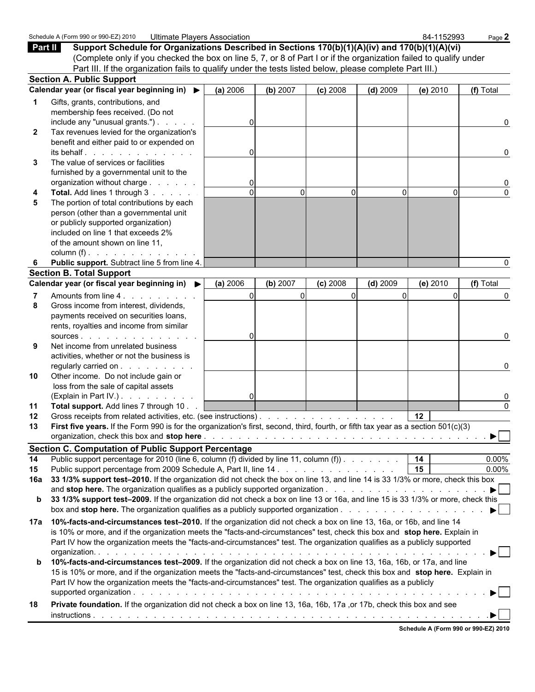|              | Schedule A (Form 990 or 990-EZ) 2010<br><b>Ultimate Players Association</b>                                                        |               |          |            |            | 84-1152993                           | Page 2                  |
|--------------|------------------------------------------------------------------------------------------------------------------------------------|---------------|----------|------------|------------|--------------------------------------|-------------------------|
| Part II      | Support Schedule for Organizations Described in Sections 170(b)(1)(A)(iv) and 170(b)(1)(A)(vi)                                     |               |          |            |            |                                      |                         |
|              | (Complete only if you checked the box on line 5, 7, or 8 of Part I or if the organization failed to qualify under                  |               |          |            |            |                                      |                         |
|              | Part III. If the organization fails to qualify under the tests listed below, please complete Part III.)                            |               |          |            |            |                                      |                         |
|              | <b>Section A. Public Support</b>                                                                                                   |               |          |            |            |                                      |                         |
|              | Calendar year (or fiscal year beginning in) ▶                                                                                      | (a) 2006      | (b) 2007 | $(c)$ 2008 | $(d)$ 2009 | (e) 2010                             | (f) Total               |
|              | Gifts, grants, contributions, and                                                                                                  |               |          |            |            |                                      |                         |
|              | membership fees received. (Do not                                                                                                  |               |          |            |            |                                      |                         |
|              | include any "unusual grants.") $\ldots$                                                                                            |               |          |            |            |                                      | $\Omega$                |
| $\mathbf{2}$ | Tax revenues levied for the organization's                                                                                         |               |          |            |            |                                      |                         |
|              | benefit and either paid to or expended on                                                                                          |               |          |            |            |                                      |                         |
|              | $its$ behalf $\ldots$ $\ldots$ $\ldots$ $\ldots$                                                                                   | $\Omega$      |          |            |            |                                      | $\Omega$                |
| 3            | The value of services or facilities                                                                                                |               |          |            |            |                                      |                         |
|              | furnished by a governmental unit to the                                                                                            |               |          |            |            |                                      |                         |
|              | organization without charge<br><b>Total.</b> Add lines 1 through 3                                                                 | 0<br>$\Omega$ | $\Omega$ | ŋ          | $\Omega$   | $\Omega$                             | $\Omega$                |
| 5            | The portion of total contributions by each                                                                                         |               |          |            |            |                                      |                         |
|              | person (other than a governmental unit                                                                                             |               |          |            |            |                                      |                         |
|              | or publicly supported organization)                                                                                                |               |          |            |            |                                      |                         |
|              | included on line 1 that exceeds 2%                                                                                                 |               |          |            |            |                                      |                         |
|              | of the amount shown on line 11,                                                                                                    |               |          |            |            |                                      |                         |
|              | column (f) $\ldots$ $\ldots$ $\ldots$ $\ldots$ $\ldots$                                                                            |               |          |            |            |                                      |                         |
|              | Public support. Subtract line 5 from line 4.                                                                                       |               |          |            |            |                                      |                         |
|              | <b>Section B. Total Support</b>                                                                                                    |               |          |            |            |                                      |                         |
|              | Calendar year (or fiscal year beginning in) ▶                                                                                      | (a) 2006      | (b) 2007 | $(c)$ 2008 | $(d)$ 2009 | (e) 2010                             | (f) Total               |
|              | Amounts from line 4.                                                                                                               | $\Omega$      | $\Omega$ |            | $\Omega$   | $\Omega$                             |                         |
| 8            | Gross income from interest, dividends,                                                                                             |               |          |            |            |                                      |                         |
|              | payments received on securities loans,                                                                                             |               |          |            |            |                                      |                         |
|              | rents, royalties and income from similar                                                                                           |               |          |            |            |                                      |                         |
|              | SOUICES.                                                                                                                           | O             |          |            |            |                                      | $\Omega$                |
| 9            | Net income from unrelated business                                                                                                 |               |          |            |            |                                      |                         |
|              | activities, whether or not the business is                                                                                         |               |          |            |            |                                      |                         |
|              | regularly carried on                                                                                                               |               |          |            |            |                                      | 0                       |
| 10           | Other income. Do not include gain or                                                                                               |               |          |            |            |                                      |                         |
|              | loss from the sale of capital assets                                                                                               |               |          |            |            |                                      |                         |
|              | (Explain in Part IV.)                                                                                                              | $\mathbf 0$   |          |            |            |                                      | 0                       |
| 11           | Total support. Add lines 7 through 10.                                                                                             |               |          |            |            |                                      | $\Omega$                |
| 12           | Gross receipts from related activities, etc. (see instructions).                                                                   |               |          |            |            | 12 <sub>2</sub>                      |                         |
|              | First five years. If the Form 990 is for the organization's first, second, third, fourth, or fifth tax year as a section 501(c)(3) |               |          |            |            |                                      |                         |
|              |                                                                                                                                    |               |          |            |            |                                      |                         |
|              | <b>Section C. Computation of Public Support Percentage</b>                                                                         |               |          |            |            |                                      |                         |
| 14           | Public support percentage for 2010 (line 6, column (f) divided by line 11, column (f) $\ldots$ $\ldots$ $\ldots$                   |               |          |            |            | 14                                   | $0.00\%$                |
| 15           | Public support percentage from 2009 Schedule A, Part II, line 14.                                                                  |               |          |            |            | 15                                   | $0.00\%$                |
| 16a          | 33 1/3% support test-2010. If the organization did not check the box on line 13, and line 14 is 33 1/3% or more, check this box    |               |          |            |            |                                      |                         |
|              |                                                                                                                                    |               |          |            |            |                                      | $\blacktriangleright$   |
|              | b 33 1/3% support test-2009. If the organization did not check a box on line 13 or 16a, and line 15 is 33 1/3% or more, check this |               |          |            |            |                                      |                         |
|              |                                                                                                                                    |               |          |            |            |                                      | $\blacktriangleright$   |
| 17a          | 10%-facts-and-circumstances test-2010. If the organization did not check a box on line 13, 16a, or 16b, and line 14                |               |          |            |            |                                      |                         |
|              | is 10% or more, and if the organization meets the "facts-and-circumstances" test, check this box and stop here. Explain in         |               |          |            |            |                                      |                         |
|              | Part IV how the organization meets the "facts-and-circumstances" test. The organization qualifies as a publicly supported          |               |          |            |            |                                      |                         |
|              |                                                                                                                                    |               |          |            |            |                                      | $\blacktriangleright$ l |
|              | <b>b</b> 10%-facts-and-circumstances test-2009. If the organization did not check a box on line 13, 16a, 16b, or 17a, and line     |               |          |            |            |                                      |                         |
|              | 15 is 10% or more, and if the organization meets the "facts-and-circumstances" test, check this box and stop here. Explain in      |               |          |            |            |                                      |                         |
|              | Part IV how the organization meets the "facts-and-circumstances" test. The organization qualifies as a publicly                    |               |          |            |            |                                      |                         |
|              |                                                                                                                                    |               |          |            |            |                                      |                         |
| 18           | Private foundation. If the organization did not check a box on line 13, 16a, 16b, 17a , or 17b, check this box and see             |               |          |            |            |                                      |                         |
|              |                                                                                                                                    |               |          |            |            |                                      |                         |
|              |                                                                                                                                    |               |          |            |            | Schedule A (Form 990 or 990-EZ) 2010 |                         |
|              |                                                                                                                                    |               |          |            |            |                                      |                         |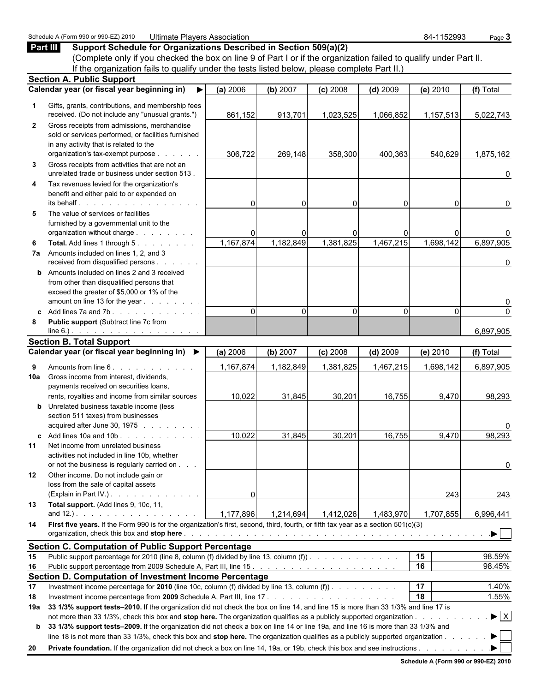|              | Part III<br>Support Schedule for Organizations Described in Section 509(a)(2)                                                                                                                                                                                                                                                                                                                 |                |             |                |            |                 |                                |
|--------------|-----------------------------------------------------------------------------------------------------------------------------------------------------------------------------------------------------------------------------------------------------------------------------------------------------------------------------------------------------------------------------------------------|----------------|-------------|----------------|------------|-----------------|--------------------------------|
|              | (Complete only if you checked the box on line 9 of Part I or if the organization failed to qualify under Part II.                                                                                                                                                                                                                                                                             |                |             |                |            |                 |                                |
|              | If the organization fails to qualify under the tests listed below, please complete Part II.)                                                                                                                                                                                                                                                                                                  |                |             |                |            |                 |                                |
|              | <b>Section A. Public Support</b>                                                                                                                                                                                                                                                                                                                                                              |                |             |                |            |                 |                                |
|              | Calendar year (or fiscal year beginning in)                                                                                                                                                                                                                                                                                                                                                   | (a) 2006       | (b) 2007    | $(c)$ 2008     | $(d)$ 2009 | $(e)$ 2010      | (f) Total                      |
| 1            | Gifts, grants, contributions, and membership fees<br>received. (Do not include any "unusual grants.")                                                                                                                                                                                                                                                                                         | 861,152        | 913,701     | 1,023,525      | 1,066,852  | 1,157,513       | 5,022,743                      |
| $\mathbf{2}$ | Gross receipts from admissions, merchandise<br>sold or services performed, or facilities furnished<br>in any activity that is related to the<br>organization's tax-exempt purpose                                                                                                                                                                                                             | 306,722        | 269,148     | 358,300        | 400,363    | 540,629         | 1,875,162                      |
| 3            | Gross receipts from activities that are not an<br>unrelated trade or business under section 513.                                                                                                                                                                                                                                                                                              |                |             |                |            |                 | 0                              |
| 4            | Tax revenues levied for the organization's<br>benefit and either paid to or expended on<br>its behalf.                                                                                                                                                                                                                                                                                        | 0              | $\Omega$    | $\Omega$       |            | 0               | 0                              |
| 5            | The value of services or facilities<br>furnished by a governmental unit to the<br>organization without charge                                                                                                                                                                                                                                                                                 |                |             | $\overline{0}$ |            | 0               | 0                              |
| 6            | Total. Add lines 1 through 5.<br>7a Amounts included on lines 1, 2, and 3                                                                                                                                                                                                                                                                                                                     | 1,167,874      | 1,182,849   | 1,381,825      | 1,467,215  | 1,698,142       | 6,897,905                      |
|              | received from disqualified persons<br><b>b</b> Amounts included on lines 2 and 3 received<br>from other than disqualified persons that<br>exceed the greater of \$5,000 or 1% of the                                                                                                                                                                                                          |                |             |                |            |                 | 0                              |
|              | amount on line 13 for the year                                                                                                                                                                                                                                                                                                                                                                |                |             |                |            |                 | 0                              |
| C.<br>8      | Add lines 7a and 7b.<br>Public support (Subtract line 7c from<br>$line 6.)$ .                                                                                                                                                                                                                                                                                                                 | $\Omega$       | $\mathbf 0$ | $\Omega$       | $\Omega$   | $\Omega$        | $\pmb{0}$<br>6,897,905         |
|              | <b>Section B. Total Support</b>                                                                                                                                                                                                                                                                                                                                                               |                |             |                |            |                 |                                |
|              | Calendar year (or fiscal year beginning in) ▶                                                                                                                                                                                                                                                                                                                                                 | (a) 2006       | (b) 2007    | $(c)$ 2008     | $(d)$ 2009 | (e) 2010        | (f) Total                      |
| 9            | Amounts from line 6.                                                                                                                                                                                                                                                                                                                                                                          | 1,167,874      | 1,182,849   | 1,381,825      | 1,467,215  |                 |                                |
| 10a          | Gross income from interest, dividends,<br>payments received on securities loans,                                                                                                                                                                                                                                                                                                              |                |             |                |            | 1,698,142       | 6,897,905                      |
|              | rents, royalties and income from similar sources<br><b>b</b> Unrelated business taxable income (less<br>section 511 taxes) from businesses<br>acquired after June 30, 1975                                                                                                                                                                                                                    | 10,022         | 31,845      | 30,201         | 16,755     | 9,470           | 98,293<br>0                    |
| C            | Add lines 10a and 10b                                                                                                                                                                                                                                                                                                                                                                         | 10,022         | 31,845      | 30,201         | 16,755     | 9,470           | 98,293                         |
| 11           | Net income from unrelated business<br>activities not included in line 10b, whether<br>or not the business is regularly carried on                                                                                                                                                                                                                                                             |                |             |                |            |                 | 0                              |
| 12           | Other income. Do not include gain or<br>loss from the sale of capital assets<br>(Explain in Part IV.)                                                                                                                                                                                                                                                                                         | $\overline{0}$ |             |                |            | 243             | 243                            |
| 13           | Total support. (Add lines 9, 10c, 11,                                                                                                                                                                                                                                                                                                                                                         | 1,177,896      | 1,214,694   | 1,412,026      | 1,483,970  | 1,707,855       | 6,996,441                      |
| 14           | First five years. If the Form 990 is for the organization's first, second, third, fourth, or fifth tax year as a section 501(c)(3)                                                                                                                                                                                                                                                            |                |             |                |            |                 | $\blacktriangleright$          |
|              | <b>Section C. Computation of Public Support Percentage</b>                                                                                                                                                                                                                                                                                                                                    |                |             |                |            |                 |                                |
| 15           | Public support percentage for 2010 (line 8, column (f) divided by line 13, column (f)).                                                                                                                                                                                                                                                                                                       |                |             |                |            | 15              | 98.59%                         |
| 16           |                                                                                                                                                                                                                                                                                                                                                                                               |                |             |                |            | 16              | 98.45%                         |
|              | Section D. Computation of Investment Income Percentage                                                                                                                                                                                                                                                                                                                                        |                |             |                |            |                 |                                |
| 17           | Investment income percentage for 2010 (line 10c, column (f) divided by line 13, column (f)).                                                                                                                                                                                                                                                                                                  |                |             |                |            | $\overline{17}$ | 1.40%                          |
| 18           |                                                                                                                                                                                                                                                                                                                                                                                               |                |             |                |            | 18              | 1.55%                          |
| 19a<br>b     | 33 1/3% support tests-2010. If the organization did not check the box on line 14, and line 15 is more than 33 1/3% and line 17 is<br>not more than 33 1/3%, check this box and stop here. The organization qualifies as a publicly supported organization<br>33 1/3% support tests-2009. If the organization did not check a box on line 14 or line 19a, and line 16 is more than 33 1/3% and |                |             |                |            |                 | $\blacktriangleright$ $\mid$ X |
|              | line 18 is not more than 33 1/3%, check this box and stop here. The organization qualifies as a publicly supported organization                                                                                                                                                                                                                                                               |                |             |                |            |                 |                                |
| 20           | <b>Private foundation.</b> If the organization did not check a box on line 14, 19a, or 19b, check this box and see instructions                                                                                                                                                                                                                                                               |                |             |                |            |                 |                                |

Schedule A (Form 990 or 990-EZ) 2010 Ultimate Players Association 84-1152993 Page 3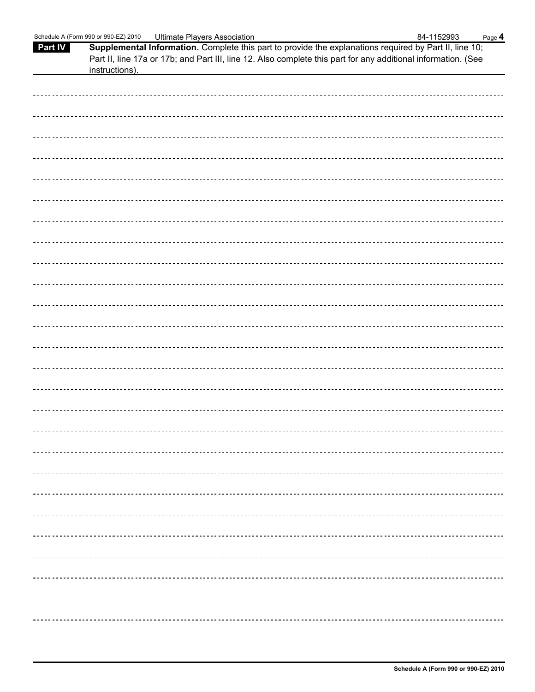|         | Schedule A (Form 990 or 990-EZ) 2010 | <b>Ultimate Players Association</b>                                                                                                                                                                                     | 84-1152993 | Page 4 |
|---------|--------------------------------------|-------------------------------------------------------------------------------------------------------------------------------------------------------------------------------------------------------------------------|------------|--------|
| Part IV |                                      | Supplemental Information. Complete this part to provide the explanations required by Part II, line 10;<br>Part II, line 17a or 17b; and Part III, line 12. Also complete this part for any additional information. (See |            |        |
|         | instructions).                       |                                                                                                                                                                                                                         |            |        |
|         |                                      |                                                                                                                                                                                                                         |            |        |
|         |                                      |                                                                                                                                                                                                                         |            |        |
|         |                                      |                                                                                                                                                                                                                         |            |        |
|         |                                      |                                                                                                                                                                                                                         |            |        |
|         |                                      |                                                                                                                                                                                                                         |            |        |
|         |                                      |                                                                                                                                                                                                                         |            |        |
|         |                                      |                                                                                                                                                                                                                         |            |        |
|         |                                      |                                                                                                                                                                                                                         |            |        |
|         |                                      |                                                                                                                                                                                                                         |            |        |
|         |                                      |                                                                                                                                                                                                                         |            |        |
|         |                                      |                                                                                                                                                                                                                         |            |        |
|         |                                      |                                                                                                                                                                                                                         |            |        |
|         |                                      |                                                                                                                                                                                                                         |            |        |
|         |                                      |                                                                                                                                                                                                                         |            |        |
|         |                                      |                                                                                                                                                                                                                         |            |        |
|         |                                      |                                                                                                                                                                                                                         |            |        |
|         |                                      |                                                                                                                                                                                                                         |            |        |
|         |                                      |                                                                                                                                                                                                                         |            |        |
|         |                                      |                                                                                                                                                                                                                         |            |        |
|         |                                      |                                                                                                                                                                                                                         |            |        |
|         |                                      |                                                                                                                                                                                                                         |            |        |
|         |                                      |                                                                                                                                                                                                                         |            |        |
|         |                                      |                                                                                                                                                                                                                         |            |        |
|         |                                      |                                                                                                                                                                                                                         |            |        |
|         |                                      |                                                                                                                                                                                                                         |            |        |
|         |                                      |                                                                                                                                                                                                                         |            |        |
|         |                                      |                                                                                                                                                                                                                         |            |        |
|         |                                      |                                                                                                                                                                                                                         |            |        |
|         |                                      |                                                                                                                                                                                                                         |            |        |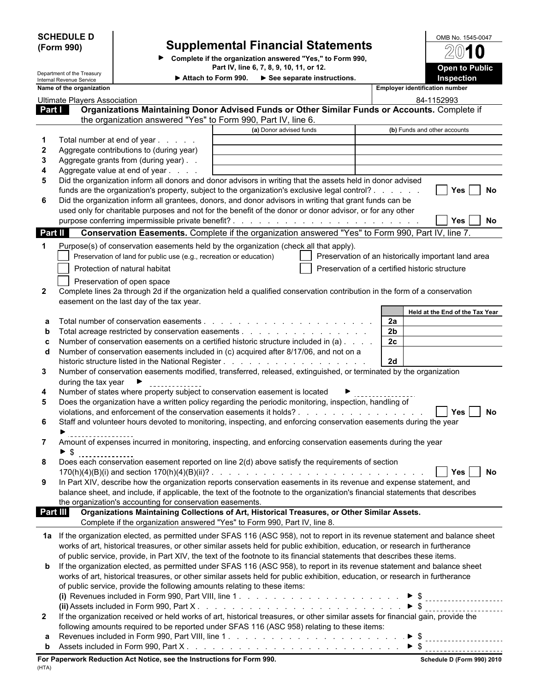| <b>SCHEDULE D</b><br>(Form 990) |                                                        | <b>Supplemental Financial Statements</b><br>Complete if the organization answered "Yes," to Form 990,<br>Part IV, line 6, 7, 8, 9, 10, 11, or 12. |                         |                                                     |                                       | OMB No. 1545-0047                                   |  |
|---------------------------------|--------------------------------------------------------|---------------------------------------------------------------------------------------------------------------------------------------------------|-------------------------|-----------------------------------------------------|---------------------------------------|-----------------------------------------------------|--|
|                                 |                                                        |                                                                                                                                                   |                         |                                                     |                                       | <b>Open to Public</b>                               |  |
|                                 | Department of the Treasury<br>Internal Revenue Service |                                                                                                                                                   | Attach to Form 990.     | See separate instructions.                          |                                       | Inspection                                          |  |
|                                 | Name of the organization                               |                                                                                                                                                   |                         |                                                     | <b>Employer identification number</b> |                                                     |  |
|                                 | <b>Ultimate Players Association</b>                    |                                                                                                                                                   |                         |                                                     |                                       | 84-1152993                                          |  |
| Part I                          |                                                        | Organizations Maintaining Donor Advised Funds or Other Similar Funds or Accounts. Complete if                                                     |                         |                                                     |                                       |                                                     |  |
|                                 |                                                        | the organization answered "Yes" to Form 990, Part IV, line 6.                                                                                     |                         |                                                     |                                       |                                                     |  |
|                                 |                                                        |                                                                                                                                                   | (a) Donor advised funds |                                                     |                                       | (b) Funds and other accounts                        |  |
|                                 |                                                        | Total number at end of year                                                                                                                       |                         |                                                     |                                       |                                                     |  |
| $\mathbf{2}$                    |                                                        | Aggregate contributions to (during year)                                                                                                          |                         |                                                     |                                       |                                                     |  |
| 3                               |                                                        | Aggregate grants from (during year)                                                                                                               |                         |                                                     |                                       |                                                     |  |
| 4                               |                                                        | Aggregate value at end of year                                                                                                                    |                         |                                                     |                                       |                                                     |  |
| 5                               |                                                        | Did the organization inform all donors and donor advisors in writing that the assets held in donor advised                                        |                         |                                                     |                                       |                                                     |  |
|                                 |                                                        | funds are the organization's property, subject to the organization's exclusive legal control?                                                     |                         |                                                     |                                       | <b>Yes</b><br>No                                    |  |
| 6                               |                                                        | Did the organization inform all grantees, donors, and donor advisors in writing that grant funds can be                                           |                         |                                                     |                                       |                                                     |  |
|                                 |                                                        | used only for charitable purposes and not for the benefit of the donor or donor advisor, or for any other                                         |                         |                                                     |                                       | <b>No</b>                                           |  |
|                                 |                                                        | purpose conferring impermissible private benefit?.                                                                                                |                         | and the contract of the contract of the contract of |                                       | <b>Yes</b>                                          |  |
| <b>Part II</b>                  |                                                        | Conservation Easements. Complete if the organization answered "Yes" to Form 990, Part IV, line 7.                                                 |                         |                                                     |                                       |                                                     |  |
| 1                               |                                                        | Purpose(s) of conservation easements held by the organization (check all that apply).                                                             |                         |                                                     |                                       |                                                     |  |
|                                 |                                                        | Preservation of land for public use (e.g., recreation or education)                                                                               |                         |                                                     |                                       | Preservation of an historically important land area |  |
|                                 |                                                        | Protection of natural habitat                                                                                                                     |                         | Preservation of a certified historic structure      |                                       |                                                     |  |
|                                 |                                                        | Preservation of open space                                                                                                                        |                         |                                                     |                                       |                                                     |  |
| $\mathbf{2}$                    |                                                        | Complete lines 2a through 2d if the organization held a qualified conservation contribution in the form of a conservation                         |                         |                                                     |                                       |                                                     |  |
|                                 |                                                        | easement on the last day of the tax year.                                                                                                         |                         |                                                     |                                       |                                                     |  |
|                                 |                                                        |                                                                                                                                                   |                         |                                                     |                                       | Held at the End of the Tax Year                     |  |
|                                 |                                                        |                                                                                                                                                   |                         |                                                     | 2a                                    |                                                     |  |
| b                               |                                                        |                                                                                                                                                   |                         |                                                     | 2 <sub>b</sub>                        |                                                     |  |
|                                 |                                                        | Number of conservation easements on a certified historic structure included in (a)                                                                |                         |                                                     | 2c                                    |                                                     |  |
| d                               |                                                        | Number of conservation easements included in (c) acquired after 8/17/06, and not on a                                                             |                         |                                                     |                                       |                                                     |  |
|                                 |                                                        |                                                                                                                                                   |                         |                                                     | 2d                                    |                                                     |  |
| 3                               |                                                        | Number of conservation easements modified, transferred, released, extinguished, or terminated by the organization                                 |                         |                                                     |                                       |                                                     |  |
|                                 | during the tax year                                    |                                                                                                                                                   |                         |                                                     |                                       |                                                     |  |
| 4                               |                                                        | Number of states where property subject to conservation easement is located                                                                       |                         |                                                     |                                       |                                                     |  |
| 5                               |                                                        | Does the organization have a written policy regarding the periodic monitoring, inspection, handling of                                            |                         |                                                     |                                       |                                                     |  |
|                                 |                                                        |                                                                                                                                                   |                         |                                                     |                                       | <b>Yes</b><br>No                                    |  |
| 6                               |                                                        | Staff and volunteer hours devoted to monitoring, inspecting, and enforcing conservation easements during the year                                 |                         |                                                     |                                       |                                                     |  |
|                                 |                                                        |                                                                                                                                                   |                         |                                                     |                                       |                                                     |  |
| $7^{\circ}$                     |                                                        | Amount of expenses incurred in monitoring, inspecting, and enforcing conservation easements during the year                                       |                         |                                                     |                                       |                                                     |  |
|                                 | $\blacktriangleright$ \$                               |                                                                                                                                                   |                         |                                                     |                                       |                                                     |  |
| 8                               |                                                        | Does each conservation easement reported on line 2(d) above satisfy the requirements of section                                                   |                         |                                                     |                                       |                                                     |  |
|                                 |                                                        |                                                                                                                                                   |                         |                                                     |                                       | No<br><b>Yes</b>                                    |  |
| 9                               |                                                        | In Part XIV, describe how the organization reports conservation easements in its revenue and expense statement, and                               |                         |                                                     |                                       |                                                     |  |
|                                 |                                                        | balance sheet, and include, if applicable, the text of the footnote to the organization's financial statements that describes                     |                         |                                                     |                                       |                                                     |  |
|                                 |                                                        | the organization's accounting for conservation easements.                                                                                         |                         |                                                     |                                       |                                                     |  |
| Part III                        |                                                        | Organizations Maintaining Collections of Art, Historical Treasures, or Other Similar Assets.                                                      |                         |                                                     |                                       |                                                     |  |
|                                 |                                                        | Complete if the organization answered "Yes" to Form 990, Part IV, line 8.                                                                         |                         |                                                     |                                       |                                                     |  |
|                                 |                                                        | 1a If the organization elected, as permitted under SFAS 116 (ASC 958), not to report in its revenue statement and balance sheet                   |                         |                                                     |                                       |                                                     |  |
|                                 |                                                        | works of art, historical treasures, or other similar assets held for public exhibition, education, or research in furtherance                     |                         |                                                     |                                       |                                                     |  |
|                                 |                                                        | of public service, provide, in Part XIV, the text of the footnote to its financial statements that describes these items.                         |                         |                                                     |                                       |                                                     |  |
| b                               |                                                        | If the organization elected, as permitted under SFAS 116 (ASC 958), to report in its revenue statement and balance sheet                          |                         |                                                     |                                       |                                                     |  |
|                                 |                                                        | works of art, historical treasures, or other similar assets held for public exhibition, education, or research in furtherance                     |                         |                                                     |                                       |                                                     |  |
|                                 |                                                        | of public service, provide the following amounts relating to these items:                                                                         |                         |                                                     |                                       |                                                     |  |
|                                 |                                                        |                                                                                                                                                   |                         |                                                     |                                       |                                                     |  |
|                                 |                                                        |                                                                                                                                                   |                         |                                                     |                                       |                                                     |  |
| $\mathbf{2}$                    |                                                        | If the organization received or held works of art, historical treasures, or other similar assets for financial gain, provide the                  |                         |                                                     |                                       |                                                     |  |
|                                 |                                                        | following amounts required to be reported under SFAS 116 (ASC 958) relating to these items:                                                       |                         |                                                     |                                       |                                                     |  |
|                                 |                                                        |                                                                                                                                                   |                         |                                                     | $\triangleright$ \$                   |                                                     |  |
| b                               |                                                        |                                                                                                                                                   |                         |                                                     |                                       | ---------------------                               |  |
|                                 |                                                        |                                                                                                                                                   |                         |                                                     |                                       |                                                     |  |
|                                 |                                                        | For Paperwork Reduction Act Notice, see the Instructions for Form 990.                                                                            |                         |                                                     |                                       | Schedule D (Form 990) 2010                          |  |

(HTA)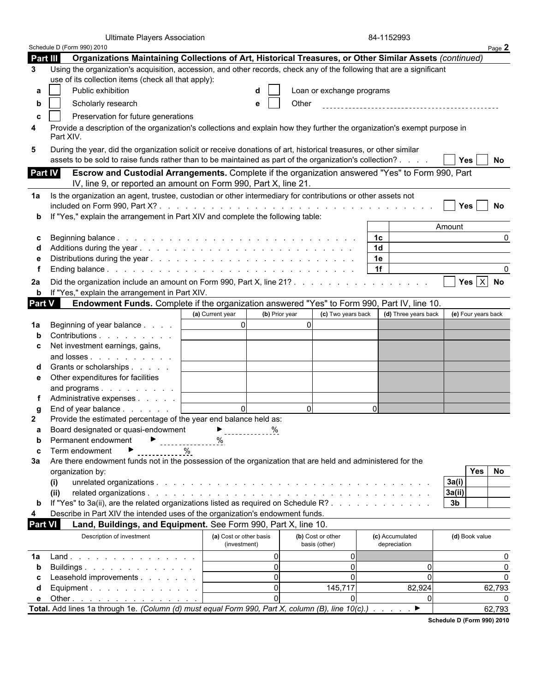| Schedule D (Form 990) 2010<br>Part III<br>Organizations Maintaining Collections of Art, Historical Treasures, or Other Similar Assets (continued)<br>Using the organization's acquisition, accession, and other records, check any of the following that are a significant<br>use of its collection items (check all that apply):<br>Public exhibition<br>Loan or exchange programs<br>a<br>Scholarly research<br>Other<br>e<br>b<br>Preservation for future generations<br>C<br>Provide a description of the organization's collections and explain how they further the organization's exempt purpose in<br>Part XIV.<br>During the year, did the organization solicit or receive donations of art, historical treasures, or other similar<br>assets to be sold to raise funds rather than to be maintained as part of the organization's collection?<br>Yes  <br>No<br>Part IV<br>Escrow and Custodial Arrangements. Complete if the organization answered "Yes" to Form 990, Part<br>IV, line 9, or reported an amount on Form 990, Part X, line 21.<br>Is the organization an agent, trustee, custodian or other intermediary for contributions or other assets not<br><b>Yes</b><br><b>No</b><br>If "Yes," explain the arrangement in Part XIV and complete the following table:<br>Amount<br>1 <sup>c</sup><br>0<br>1 <sub>d</sub><br>1e<br>1f<br>∩<br>Yes $X$ No<br>If "Yes," explain the arrangement in Part XIV.<br>b<br>Part V<br>Endowment Funds. Complete if the organization answered "Yes" to Form 990, Part IV, line 10.<br>(a) Current year<br>(c) Two years back<br>(d) Three years back<br>(e) Four years back<br>(b) Prior year<br> 0 <br>$\Omega$<br>Beginning of year balance<br>Contributions<br>Net investment earnings, gains,<br>C<br>and losses<br>Grants or scholarships<br>Other expenditures for facilities<br>e<br>and programs<br>Administrative expenses<br>$\Omega$<br>$\Omega$<br>ΩI<br>End of year balance<br>Provide the estimated percentage of the year end balance held as:<br>$\%$<br>Board designated or quasi-endowment<br>Permanent endowment<br>b<br>$\%$<br>Term endowment<br>C<br>Are there endowment funds not in the possession of the organization that are held and administered for the<br>No<br>Yes<br>organization by:<br>3a(i)<br>(i)<br>3a(ii)<br>(ii)<br>If "Yes" to 3a(ii), are the related organizations listed as required on Schedule R?<br>3 <sub>b</sub><br>b<br>Describe in Part XIV the intended uses of the organization's endowment funds.<br><b>Part VI</b><br>Land, Buildings, and Equipment. See Form 990, Part X, line 10.<br>Description of investment<br>(a) Cost or other basis<br>(b) Cost or other<br>(c) Accumulated<br>(d) Book value<br>(investment)<br>basis (other)<br>depreciation<br>$\mathbf 0$<br>0l<br>Land.<br>O<br>$\mathbf 0$<br>$\Omega$<br>$\Omega$<br>Buildings<br>b<br>$\mathbf 0$<br>$\Omega$<br>$\Omega$<br>Leasehold improvements<br>$\mathbf 0$<br>145,717<br>82,924<br>62,793<br>Equipment. $\ldots$ $\ldots$ $\ldots$ $\ldots$ $\ldots$<br>d<br>$\Omega$<br>$\Omega$<br>Other<br>е<br>Total. Add lines 1a through 1e. (Column (d) must equal Form 990, Part X, column (B), line 10(c).) ▶<br>62,793 |              | <b>Ultimate Players Association</b> |  | 84-1152993 |        |
|--------------------------------------------------------------------------------------------------------------------------------------------------------------------------------------------------------------------------------------------------------------------------------------------------------------------------------------------------------------------------------------------------------------------------------------------------------------------------------------------------------------------------------------------------------------------------------------------------------------------------------------------------------------------------------------------------------------------------------------------------------------------------------------------------------------------------------------------------------------------------------------------------------------------------------------------------------------------------------------------------------------------------------------------------------------------------------------------------------------------------------------------------------------------------------------------------------------------------------------------------------------------------------------------------------------------------------------------------------------------------------------------------------------------------------------------------------------------------------------------------------------------------------------------------------------------------------------------------------------------------------------------------------------------------------------------------------------------------------------------------------------------------------------------------------------------------------------------------------------------------------------------------------------------------------------------------------------------------------------------------------------------------------------------------------------------------------------------------------------------------------------------------------------------------------------------------------------------------------------------------------------------------------------------------------------------------------------------------------------------------------------------------------------------------------------------------------------------------------------------------------------------------------------------------------------------------------------------------------------------------------------------------------------------------------------------------------------------------------------------------------------------------------------------------------------------------------------------------------------------------------------------------------------------------------------------------------------------------------------------------------------------------------------------------------------------------------------------------------------------------------------------------------------------------------------------------------|--------------|-------------------------------------|--|------------|--------|
|                                                                                                                                                                                                                                                                                                                                                                                                                                                                                                                                                                                                                                                                                                                                                                                                                                                                                                                                                                                                                                                                                                                                                                                                                                                                                                                                                                                                                                                                                                                                                                                                                                                                                                                                                                                                                                                                                                                                                                                                                                                                                                                                                                                                                                                                                                                                                                                                                                                                                                                                                                                                                                                                                                                                                                                                                                                                                                                                                                                                                                                                                                                                                                                                        |              |                                     |  |            | Page 2 |
|                                                                                                                                                                                                                                                                                                                                                                                                                                                                                                                                                                                                                                                                                                                                                                                                                                                                                                                                                                                                                                                                                                                                                                                                                                                                                                                                                                                                                                                                                                                                                                                                                                                                                                                                                                                                                                                                                                                                                                                                                                                                                                                                                                                                                                                                                                                                                                                                                                                                                                                                                                                                                                                                                                                                                                                                                                                                                                                                                                                                                                                                                                                                                                                                        |              |                                     |  |            |        |
|                                                                                                                                                                                                                                                                                                                                                                                                                                                                                                                                                                                                                                                                                                                                                                                                                                                                                                                                                                                                                                                                                                                                                                                                                                                                                                                                                                                                                                                                                                                                                                                                                                                                                                                                                                                                                                                                                                                                                                                                                                                                                                                                                                                                                                                                                                                                                                                                                                                                                                                                                                                                                                                                                                                                                                                                                                                                                                                                                                                                                                                                                                                                                                                                        | 3            |                                     |  |            |        |
|                                                                                                                                                                                                                                                                                                                                                                                                                                                                                                                                                                                                                                                                                                                                                                                                                                                                                                                                                                                                                                                                                                                                                                                                                                                                                                                                                                                                                                                                                                                                                                                                                                                                                                                                                                                                                                                                                                                                                                                                                                                                                                                                                                                                                                                                                                                                                                                                                                                                                                                                                                                                                                                                                                                                                                                                                                                                                                                                                                                                                                                                                                                                                                                                        |              |                                     |  |            |        |
|                                                                                                                                                                                                                                                                                                                                                                                                                                                                                                                                                                                                                                                                                                                                                                                                                                                                                                                                                                                                                                                                                                                                                                                                                                                                                                                                                                                                                                                                                                                                                                                                                                                                                                                                                                                                                                                                                                                                                                                                                                                                                                                                                                                                                                                                                                                                                                                                                                                                                                                                                                                                                                                                                                                                                                                                                                                                                                                                                                                                                                                                                                                                                                                                        |              |                                     |  |            |        |
|                                                                                                                                                                                                                                                                                                                                                                                                                                                                                                                                                                                                                                                                                                                                                                                                                                                                                                                                                                                                                                                                                                                                                                                                                                                                                                                                                                                                                                                                                                                                                                                                                                                                                                                                                                                                                                                                                                                                                                                                                                                                                                                                                                                                                                                                                                                                                                                                                                                                                                                                                                                                                                                                                                                                                                                                                                                                                                                                                                                                                                                                                                                                                                                                        |              |                                     |  |            |        |
|                                                                                                                                                                                                                                                                                                                                                                                                                                                                                                                                                                                                                                                                                                                                                                                                                                                                                                                                                                                                                                                                                                                                                                                                                                                                                                                                                                                                                                                                                                                                                                                                                                                                                                                                                                                                                                                                                                                                                                                                                                                                                                                                                                                                                                                                                                                                                                                                                                                                                                                                                                                                                                                                                                                                                                                                                                                                                                                                                                                                                                                                                                                                                                                                        | 4            |                                     |  |            |        |
|                                                                                                                                                                                                                                                                                                                                                                                                                                                                                                                                                                                                                                                                                                                                                                                                                                                                                                                                                                                                                                                                                                                                                                                                                                                                                                                                                                                                                                                                                                                                                                                                                                                                                                                                                                                                                                                                                                                                                                                                                                                                                                                                                                                                                                                                                                                                                                                                                                                                                                                                                                                                                                                                                                                                                                                                                                                                                                                                                                                                                                                                                                                                                                                                        | 5            |                                     |  |            |        |
|                                                                                                                                                                                                                                                                                                                                                                                                                                                                                                                                                                                                                                                                                                                                                                                                                                                                                                                                                                                                                                                                                                                                                                                                                                                                                                                                                                                                                                                                                                                                                                                                                                                                                                                                                                                                                                                                                                                                                                                                                                                                                                                                                                                                                                                                                                                                                                                                                                                                                                                                                                                                                                                                                                                                                                                                                                                                                                                                                                                                                                                                                                                                                                                                        |              |                                     |  |            |        |
|                                                                                                                                                                                                                                                                                                                                                                                                                                                                                                                                                                                                                                                                                                                                                                                                                                                                                                                                                                                                                                                                                                                                                                                                                                                                                                                                                                                                                                                                                                                                                                                                                                                                                                                                                                                                                                                                                                                                                                                                                                                                                                                                                                                                                                                                                                                                                                                                                                                                                                                                                                                                                                                                                                                                                                                                                                                                                                                                                                                                                                                                                                                                                                                                        | 1a           |                                     |  |            |        |
|                                                                                                                                                                                                                                                                                                                                                                                                                                                                                                                                                                                                                                                                                                                                                                                                                                                                                                                                                                                                                                                                                                                                                                                                                                                                                                                                                                                                                                                                                                                                                                                                                                                                                                                                                                                                                                                                                                                                                                                                                                                                                                                                                                                                                                                                                                                                                                                                                                                                                                                                                                                                                                                                                                                                                                                                                                                                                                                                                                                                                                                                                                                                                                                                        |              |                                     |  |            |        |
|                                                                                                                                                                                                                                                                                                                                                                                                                                                                                                                                                                                                                                                                                                                                                                                                                                                                                                                                                                                                                                                                                                                                                                                                                                                                                                                                                                                                                                                                                                                                                                                                                                                                                                                                                                                                                                                                                                                                                                                                                                                                                                                                                                                                                                                                                                                                                                                                                                                                                                                                                                                                                                                                                                                                                                                                                                                                                                                                                                                                                                                                                                                                                                                                        |              |                                     |  |            |        |
|                                                                                                                                                                                                                                                                                                                                                                                                                                                                                                                                                                                                                                                                                                                                                                                                                                                                                                                                                                                                                                                                                                                                                                                                                                                                                                                                                                                                                                                                                                                                                                                                                                                                                                                                                                                                                                                                                                                                                                                                                                                                                                                                                                                                                                                                                                                                                                                                                                                                                                                                                                                                                                                                                                                                                                                                                                                                                                                                                                                                                                                                                                                                                                                                        |              |                                     |  |            |        |
|                                                                                                                                                                                                                                                                                                                                                                                                                                                                                                                                                                                                                                                                                                                                                                                                                                                                                                                                                                                                                                                                                                                                                                                                                                                                                                                                                                                                                                                                                                                                                                                                                                                                                                                                                                                                                                                                                                                                                                                                                                                                                                                                                                                                                                                                                                                                                                                                                                                                                                                                                                                                                                                                                                                                                                                                                                                                                                                                                                                                                                                                                                                                                                                                        |              |                                     |  |            |        |
|                                                                                                                                                                                                                                                                                                                                                                                                                                                                                                                                                                                                                                                                                                                                                                                                                                                                                                                                                                                                                                                                                                                                                                                                                                                                                                                                                                                                                                                                                                                                                                                                                                                                                                                                                                                                                                                                                                                                                                                                                                                                                                                                                                                                                                                                                                                                                                                                                                                                                                                                                                                                                                                                                                                                                                                                                                                                                                                                                                                                                                                                                                                                                                                                        |              |                                     |  |            |        |
|                                                                                                                                                                                                                                                                                                                                                                                                                                                                                                                                                                                                                                                                                                                                                                                                                                                                                                                                                                                                                                                                                                                                                                                                                                                                                                                                                                                                                                                                                                                                                                                                                                                                                                                                                                                                                                                                                                                                                                                                                                                                                                                                                                                                                                                                                                                                                                                                                                                                                                                                                                                                                                                                                                                                                                                                                                                                                                                                                                                                                                                                                                                                                                                                        |              |                                     |  |            |        |
|                                                                                                                                                                                                                                                                                                                                                                                                                                                                                                                                                                                                                                                                                                                                                                                                                                                                                                                                                                                                                                                                                                                                                                                                                                                                                                                                                                                                                                                                                                                                                                                                                                                                                                                                                                                                                                                                                                                                                                                                                                                                                                                                                                                                                                                                                                                                                                                                                                                                                                                                                                                                                                                                                                                                                                                                                                                                                                                                                                                                                                                                                                                                                                                                        | 2a           |                                     |  |            |        |
|                                                                                                                                                                                                                                                                                                                                                                                                                                                                                                                                                                                                                                                                                                                                                                                                                                                                                                                                                                                                                                                                                                                                                                                                                                                                                                                                                                                                                                                                                                                                                                                                                                                                                                                                                                                                                                                                                                                                                                                                                                                                                                                                                                                                                                                                                                                                                                                                                                                                                                                                                                                                                                                                                                                                                                                                                                                                                                                                                                                                                                                                                                                                                                                                        |              |                                     |  |            |        |
|                                                                                                                                                                                                                                                                                                                                                                                                                                                                                                                                                                                                                                                                                                                                                                                                                                                                                                                                                                                                                                                                                                                                                                                                                                                                                                                                                                                                                                                                                                                                                                                                                                                                                                                                                                                                                                                                                                                                                                                                                                                                                                                                                                                                                                                                                                                                                                                                                                                                                                                                                                                                                                                                                                                                                                                                                                                                                                                                                                                                                                                                                                                                                                                                        |              |                                     |  |            |        |
|                                                                                                                                                                                                                                                                                                                                                                                                                                                                                                                                                                                                                                                                                                                                                                                                                                                                                                                                                                                                                                                                                                                                                                                                                                                                                                                                                                                                                                                                                                                                                                                                                                                                                                                                                                                                                                                                                                                                                                                                                                                                                                                                                                                                                                                                                                                                                                                                                                                                                                                                                                                                                                                                                                                                                                                                                                                                                                                                                                                                                                                                                                                                                                                                        | 1a           |                                     |  |            |        |
|                                                                                                                                                                                                                                                                                                                                                                                                                                                                                                                                                                                                                                                                                                                                                                                                                                                                                                                                                                                                                                                                                                                                                                                                                                                                                                                                                                                                                                                                                                                                                                                                                                                                                                                                                                                                                                                                                                                                                                                                                                                                                                                                                                                                                                                                                                                                                                                                                                                                                                                                                                                                                                                                                                                                                                                                                                                                                                                                                                                                                                                                                                                                                                                                        |              |                                     |  |            |        |
|                                                                                                                                                                                                                                                                                                                                                                                                                                                                                                                                                                                                                                                                                                                                                                                                                                                                                                                                                                                                                                                                                                                                                                                                                                                                                                                                                                                                                                                                                                                                                                                                                                                                                                                                                                                                                                                                                                                                                                                                                                                                                                                                                                                                                                                                                                                                                                                                                                                                                                                                                                                                                                                                                                                                                                                                                                                                                                                                                                                                                                                                                                                                                                                                        |              |                                     |  |            |        |
|                                                                                                                                                                                                                                                                                                                                                                                                                                                                                                                                                                                                                                                                                                                                                                                                                                                                                                                                                                                                                                                                                                                                                                                                                                                                                                                                                                                                                                                                                                                                                                                                                                                                                                                                                                                                                                                                                                                                                                                                                                                                                                                                                                                                                                                                                                                                                                                                                                                                                                                                                                                                                                                                                                                                                                                                                                                                                                                                                                                                                                                                                                                                                                                                        |              |                                     |  |            |        |
|                                                                                                                                                                                                                                                                                                                                                                                                                                                                                                                                                                                                                                                                                                                                                                                                                                                                                                                                                                                                                                                                                                                                                                                                                                                                                                                                                                                                                                                                                                                                                                                                                                                                                                                                                                                                                                                                                                                                                                                                                                                                                                                                                                                                                                                                                                                                                                                                                                                                                                                                                                                                                                                                                                                                                                                                                                                                                                                                                                                                                                                                                                                                                                                                        |              |                                     |  |            |        |
|                                                                                                                                                                                                                                                                                                                                                                                                                                                                                                                                                                                                                                                                                                                                                                                                                                                                                                                                                                                                                                                                                                                                                                                                                                                                                                                                                                                                                                                                                                                                                                                                                                                                                                                                                                                                                                                                                                                                                                                                                                                                                                                                                                                                                                                                                                                                                                                                                                                                                                                                                                                                                                                                                                                                                                                                                                                                                                                                                                                                                                                                                                                                                                                                        |              |                                     |  |            |        |
|                                                                                                                                                                                                                                                                                                                                                                                                                                                                                                                                                                                                                                                                                                                                                                                                                                                                                                                                                                                                                                                                                                                                                                                                                                                                                                                                                                                                                                                                                                                                                                                                                                                                                                                                                                                                                                                                                                                                                                                                                                                                                                                                                                                                                                                                                                                                                                                                                                                                                                                                                                                                                                                                                                                                                                                                                                                                                                                                                                                                                                                                                                                                                                                                        |              |                                     |  |            |        |
|                                                                                                                                                                                                                                                                                                                                                                                                                                                                                                                                                                                                                                                                                                                                                                                                                                                                                                                                                                                                                                                                                                                                                                                                                                                                                                                                                                                                                                                                                                                                                                                                                                                                                                                                                                                                                                                                                                                                                                                                                                                                                                                                                                                                                                                                                                                                                                                                                                                                                                                                                                                                                                                                                                                                                                                                                                                                                                                                                                                                                                                                                                                                                                                                        |              |                                     |  |            |        |
|                                                                                                                                                                                                                                                                                                                                                                                                                                                                                                                                                                                                                                                                                                                                                                                                                                                                                                                                                                                                                                                                                                                                                                                                                                                                                                                                                                                                                                                                                                                                                                                                                                                                                                                                                                                                                                                                                                                                                                                                                                                                                                                                                                                                                                                                                                                                                                                                                                                                                                                                                                                                                                                                                                                                                                                                                                                                                                                                                                                                                                                                                                                                                                                                        |              |                                     |  |            |        |
|                                                                                                                                                                                                                                                                                                                                                                                                                                                                                                                                                                                                                                                                                                                                                                                                                                                                                                                                                                                                                                                                                                                                                                                                                                                                                                                                                                                                                                                                                                                                                                                                                                                                                                                                                                                                                                                                                                                                                                                                                                                                                                                                                                                                                                                                                                                                                                                                                                                                                                                                                                                                                                                                                                                                                                                                                                                                                                                                                                                                                                                                                                                                                                                                        | $\mathbf{2}$ |                                     |  |            |        |
|                                                                                                                                                                                                                                                                                                                                                                                                                                                                                                                                                                                                                                                                                                                                                                                                                                                                                                                                                                                                                                                                                                                                                                                                                                                                                                                                                                                                                                                                                                                                                                                                                                                                                                                                                                                                                                                                                                                                                                                                                                                                                                                                                                                                                                                                                                                                                                                                                                                                                                                                                                                                                                                                                                                                                                                                                                                                                                                                                                                                                                                                                                                                                                                                        |              |                                     |  |            |        |
|                                                                                                                                                                                                                                                                                                                                                                                                                                                                                                                                                                                                                                                                                                                                                                                                                                                                                                                                                                                                                                                                                                                                                                                                                                                                                                                                                                                                                                                                                                                                                                                                                                                                                                                                                                                                                                                                                                                                                                                                                                                                                                                                                                                                                                                                                                                                                                                                                                                                                                                                                                                                                                                                                                                                                                                                                                                                                                                                                                                                                                                                                                                                                                                                        |              |                                     |  |            |        |
|                                                                                                                                                                                                                                                                                                                                                                                                                                                                                                                                                                                                                                                                                                                                                                                                                                                                                                                                                                                                                                                                                                                                                                                                                                                                                                                                                                                                                                                                                                                                                                                                                                                                                                                                                                                                                                                                                                                                                                                                                                                                                                                                                                                                                                                                                                                                                                                                                                                                                                                                                                                                                                                                                                                                                                                                                                                                                                                                                                                                                                                                                                                                                                                                        |              |                                     |  |            |        |
|                                                                                                                                                                                                                                                                                                                                                                                                                                                                                                                                                                                                                                                                                                                                                                                                                                                                                                                                                                                                                                                                                                                                                                                                                                                                                                                                                                                                                                                                                                                                                                                                                                                                                                                                                                                                                                                                                                                                                                                                                                                                                                                                                                                                                                                                                                                                                                                                                                                                                                                                                                                                                                                                                                                                                                                                                                                                                                                                                                                                                                                                                                                                                                                                        | За           |                                     |  |            |        |
|                                                                                                                                                                                                                                                                                                                                                                                                                                                                                                                                                                                                                                                                                                                                                                                                                                                                                                                                                                                                                                                                                                                                                                                                                                                                                                                                                                                                                                                                                                                                                                                                                                                                                                                                                                                                                                                                                                                                                                                                                                                                                                                                                                                                                                                                                                                                                                                                                                                                                                                                                                                                                                                                                                                                                                                                                                                                                                                                                                                                                                                                                                                                                                                                        |              |                                     |  |            |        |
|                                                                                                                                                                                                                                                                                                                                                                                                                                                                                                                                                                                                                                                                                                                                                                                                                                                                                                                                                                                                                                                                                                                                                                                                                                                                                                                                                                                                                                                                                                                                                                                                                                                                                                                                                                                                                                                                                                                                                                                                                                                                                                                                                                                                                                                                                                                                                                                                                                                                                                                                                                                                                                                                                                                                                                                                                                                                                                                                                                                                                                                                                                                                                                                                        |              |                                     |  |            |        |
|                                                                                                                                                                                                                                                                                                                                                                                                                                                                                                                                                                                                                                                                                                                                                                                                                                                                                                                                                                                                                                                                                                                                                                                                                                                                                                                                                                                                                                                                                                                                                                                                                                                                                                                                                                                                                                                                                                                                                                                                                                                                                                                                                                                                                                                                                                                                                                                                                                                                                                                                                                                                                                                                                                                                                                                                                                                                                                                                                                                                                                                                                                                                                                                                        |              |                                     |  |            |        |
|                                                                                                                                                                                                                                                                                                                                                                                                                                                                                                                                                                                                                                                                                                                                                                                                                                                                                                                                                                                                                                                                                                                                                                                                                                                                                                                                                                                                                                                                                                                                                                                                                                                                                                                                                                                                                                                                                                                                                                                                                                                                                                                                                                                                                                                                                                                                                                                                                                                                                                                                                                                                                                                                                                                                                                                                                                                                                                                                                                                                                                                                                                                                                                                                        |              |                                     |  |            |        |
|                                                                                                                                                                                                                                                                                                                                                                                                                                                                                                                                                                                                                                                                                                                                                                                                                                                                                                                                                                                                                                                                                                                                                                                                                                                                                                                                                                                                                                                                                                                                                                                                                                                                                                                                                                                                                                                                                                                                                                                                                                                                                                                                                                                                                                                                                                                                                                                                                                                                                                                                                                                                                                                                                                                                                                                                                                                                                                                                                                                                                                                                                                                                                                                                        | 4            |                                     |  |            |        |
|                                                                                                                                                                                                                                                                                                                                                                                                                                                                                                                                                                                                                                                                                                                                                                                                                                                                                                                                                                                                                                                                                                                                                                                                                                                                                                                                                                                                                                                                                                                                                                                                                                                                                                                                                                                                                                                                                                                                                                                                                                                                                                                                                                                                                                                                                                                                                                                                                                                                                                                                                                                                                                                                                                                                                                                                                                                                                                                                                                                                                                                                                                                                                                                                        |              |                                     |  |            |        |
|                                                                                                                                                                                                                                                                                                                                                                                                                                                                                                                                                                                                                                                                                                                                                                                                                                                                                                                                                                                                                                                                                                                                                                                                                                                                                                                                                                                                                                                                                                                                                                                                                                                                                                                                                                                                                                                                                                                                                                                                                                                                                                                                                                                                                                                                                                                                                                                                                                                                                                                                                                                                                                                                                                                                                                                                                                                                                                                                                                                                                                                                                                                                                                                                        |              |                                     |  |            |        |
|                                                                                                                                                                                                                                                                                                                                                                                                                                                                                                                                                                                                                                                                                                                                                                                                                                                                                                                                                                                                                                                                                                                                                                                                                                                                                                                                                                                                                                                                                                                                                                                                                                                                                                                                                                                                                                                                                                                                                                                                                                                                                                                                                                                                                                                                                                                                                                                                                                                                                                                                                                                                                                                                                                                                                                                                                                                                                                                                                                                                                                                                                                                                                                                                        | 1a           |                                     |  |            |        |
|                                                                                                                                                                                                                                                                                                                                                                                                                                                                                                                                                                                                                                                                                                                                                                                                                                                                                                                                                                                                                                                                                                                                                                                                                                                                                                                                                                                                                                                                                                                                                                                                                                                                                                                                                                                                                                                                                                                                                                                                                                                                                                                                                                                                                                                                                                                                                                                                                                                                                                                                                                                                                                                                                                                                                                                                                                                                                                                                                                                                                                                                                                                                                                                                        |              |                                     |  |            |        |
|                                                                                                                                                                                                                                                                                                                                                                                                                                                                                                                                                                                                                                                                                                                                                                                                                                                                                                                                                                                                                                                                                                                                                                                                                                                                                                                                                                                                                                                                                                                                                                                                                                                                                                                                                                                                                                                                                                                                                                                                                                                                                                                                                                                                                                                                                                                                                                                                                                                                                                                                                                                                                                                                                                                                                                                                                                                                                                                                                                                                                                                                                                                                                                                                        |              |                                     |  |            |        |
|                                                                                                                                                                                                                                                                                                                                                                                                                                                                                                                                                                                                                                                                                                                                                                                                                                                                                                                                                                                                                                                                                                                                                                                                                                                                                                                                                                                                                                                                                                                                                                                                                                                                                                                                                                                                                                                                                                                                                                                                                                                                                                                                                                                                                                                                                                                                                                                                                                                                                                                                                                                                                                                                                                                                                                                                                                                                                                                                                                                                                                                                                                                                                                                                        |              |                                     |  |            |        |
|                                                                                                                                                                                                                                                                                                                                                                                                                                                                                                                                                                                                                                                                                                                                                                                                                                                                                                                                                                                                                                                                                                                                                                                                                                                                                                                                                                                                                                                                                                                                                                                                                                                                                                                                                                                                                                                                                                                                                                                                                                                                                                                                                                                                                                                                                                                                                                                                                                                                                                                                                                                                                                                                                                                                                                                                                                                                                                                                                                                                                                                                                                                                                                                                        |              |                                     |  |            |        |
|                                                                                                                                                                                                                                                                                                                                                                                                                                                                                                                                                                                                                                                                                                                                                                                                                                                                                                                                                                                                                                                                                                                                                                                                                                                                                                                                                                                                                                                                                                                                                                                                                                                                                                                                                                                                                                                                                                                                                                                                                                                                                                                                                                                                                                                                                                                                                                                                                                                                                                                                                                                                                                                                                                                                                                                                                                                                                                                                                                                                                                                                                                                                                                                                        |              |                                     |  |            |        |

**Schedule D (Form 990) 2010**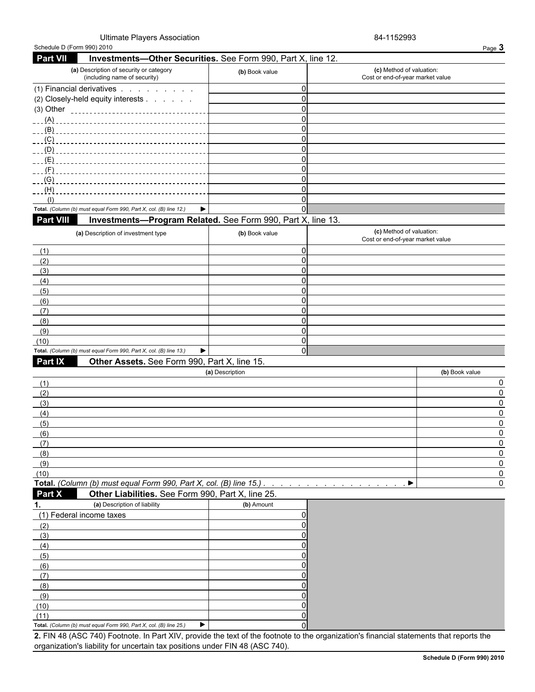#### Ultimate Players Association **84-1152993**

| Schedule D (Form 990) 2010                                                                                                              |                 |                                                              | Page 3         |
|-----------------------------------------------------------------------------------------------------------------------------------------|-----------------|--------------------------------------------------------------|----------------|
| <b>Part VII</b><br>Investments-Other Securities. See Form 990, Part X, line 12.                                                         |                 |                                                              |                |
| (a) Description of security or category<br>(including name of security)                                                                 | (b) Book value  | (c) Method of valuation:<br>Cost or end-of-year market value |                |
| (1) Financial derivatives                                                                                                               | $\mathbf 0$     |                                                              |                |
| (2) Closely-held equity interests                                                                                                       | $\mathbf 0$     |                                                              |                |
|                                                                                                                                         | $\Omega$        |                                                              |                |
|                                                                                                                                         | $\Omega$        |                                                              |                |
|                                                                                                                                         | $\Omega$        |                                                              |                |
| (C)                                                                                                                                     | $\Omega$        |                                                              |                |
| (D)                                                                                                                                     | 0               |                                                              |                |
| (E)                                                                                                                                     | 0               |                                                              |                |
| $-F$ )                                                                                                                                  | 0               |                                                              |                |
| (G)                                                                                                                                     | 0               |                                                              |                |
| (H)                                                                                                                                     | 0               |                                                              |                |
| (1)                                                                                                                                     | 0               |                                                              |                |
| Total. (Column (b) must equal Form 990, Part X, col. (B) line 12.)<br>▶                                                                 | $\Omega$        |                                                              |                |
| Part VIII<br>Investments-Program Related. See Form 990, Part X, line 13.                                                                |                 |                                                              |                |
| (a) Description of investment type                                                                                                      | (b) Book value  | (c) Method of valuation:<br>Cost or end-of-year market value |                |
| (1)                                                                                                                                     | 0               |                                                              |                |
| (2)                                                                                                                                     | $\Omega$        |                                                              |                |
| (3)                                                                                                                                     | 0               |                                                              |                |
| (4)                                                                                                                                     | $\mathbf 0$     |                                                              |                |
| (5)                                                                                                                                     | 0<br>0          |                                                              |                |
| (6)                                                                                                                                     | 0               |                                                              |                |
| (7)<br>(8)                                                                                                                              | $\Omega$        |                                                              |                |
| (9)                                                                                                                                     | $\Omega$        |                                                              |                |
| (10)                                                                                                                                    | 0               |                                                              |                |
| Total. (Column (b) must equal Form 990, Part X, col. (B) line 13.)<br>▶                                                                 | $\Omega$        |                                                              |                |
| Part IX<br>Other Assets. See Form 990, Part X, line 15.                                                                                 |                 |                                                              |                |
|                                                                                                                                         | (a) Description |                                                              | (b) Book value |
| (1)                                                                                                                                     |                 |                                                              | 0              |
| (2)                                                                                                                                     |                 |                                                              | $\mathbf 0$    |
| (3)                                                                                                                                     |                 |                                                              | 0              |
| (4)                                                                                                                                     |                 |                                                              | <sup>0</sup>   |
| (5)                                                                                                                                     |                 |                                                              | 0              |
| (6)                                                                                                                                     |                 |                                                              | <sup>0</sup>   |
| (7)                                                                                                                                     |                 |                                                              | 0              |
| (8)                                                                                                                                     |                 |                                                              |                |
| (9)                                                                                                                                     |                 |                                                              | $\Omega$       |
| (10)                                                                                                                                    |                 |                                                              | $\mathbf{0}$   |
| Total. (Column (b) must equal Form 990, Part X, col. (B) line 15.)                                                                      |                 | ▶                                                            | 0              |
| Part X<br>Other Liabilities. See Form 990, Part X, line 25.                                                                             |                 |                                                              |                |
| (a) Description of liability<br>1.                                                                                                      | (b) Amount      |                                                              |                |
| (1) Federal income taxes                                                                                                                | 0               |                                                              |                |
| (2)                                                                                                                                     |                 |                                                              |                |
| (3)                                                                                                                                     |                 |                                                              |                |
| (4)                                                                                                                                     |                 |                                                              |                |
| (5)                                                                                                                                     |                 |                                                              |                |
| (6)                                                                                                                                     |                 |                                                              |                |
| (7)                                                                                                                                     |                 |                                                              |                |
| (8)                                                                                                                                     |                 |                                                              |                |
| (9)                                                                                                                                     |                 |                                                              |                |
| (10)                                                                                                                                    |                 |                                                              |                |
| (11)                                                                                                                                    |                 |                                                              |                |
| ▶<br>Total. (Column (b) must equal Form 990, Part X, col. (B) line 25.)                                                                 |                 |                                                              |                |
| 2. FIN 48 (ASC 740) Footnote. In Part XIV, provide the text of the footnote to the organization's financial statements that reports the |                 |                                                              |                |
| organization's liability for uncertain tax positions under FIN 48 (ASC 740).                                                            |                 |                                                              |                |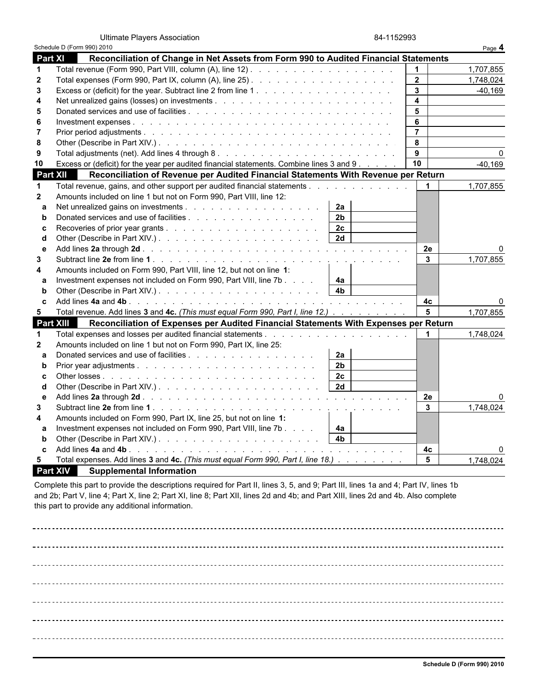Ultimate Players Association 84-1152993

|                  | Schedule D (Form 990) 2010                                                               |                      |                         | Page 4         |
|------------------|------------------------------------------------------------------------------------------|----------------------|-------------------------|----------------|
| <b>Part XI</b>   | Reconciliation of Change in Net Assets from Form 990 to Audited Financial Statements     |                      |                         |                |
| $\mathbf{1}$     |                                                                                          |                      |                         | 1,707,855      |
| $\mathbf{2}$     |                                                                                          |                      | $\overline{2}$          | 1.748.024      |
| 3                |                                                                                          |                      | $\mathbf{3}$            | $-40,169$      |
| 4                |                                                                                          |                      | $\overline{\mathbf{4}}$ |                |
| 5                |                                                                                          |                      | 5                       |                |
| 6                |                                                                                          |                      | 6                       |                |
| 7                |                                                                                          |                      | $\overline{7}$          |                |
| 8                |                                                                                          |                      | 8                       |                |
| 9                |                                                                                          |                      | 9                       | 0              |
| 10               | Excess or (deficit) for the year per audited financial statements. Combine lines 3 and 9 |                      | 10                      | $-40,169$      |
| <b>Part XII</b>  | Reconciliation of Revenue per Audited Financial Statements With Revenue per Return       |                      |                         |                |
| -1               | Total revenue, gains, and other support per audited financial statements                 |                      | $\mathbf 1$             | 1,707,855      |
| $\mathbf{2}$     | Amounts included on line 1 but not on Form 990, Part VIII, line 12:                      |                      |                         |                |
| a                |                                                                                          | 2a                   |                         |                |
| b                | Donated services and use of facilities                                                   | 2 <sub>b</sub>       |                         |                |
| c                |                                                                                          | 2c                   |                         |                |
| d                |                                                                                          | 2d                   |                         |                |
| e                |                                                                                          |                      | 2e                      | ŋ              |
| 3                |                                                                                          |                      | $\mathbf{3}$            | 1,707,855      |
| 4                | Amounts included on Form 990, Part VIII, line 12, but not on line 1:                     |                      |                         |                |
| a                | Investment expenses not included on Form 990, Part VIII, line 7b                         | 4a                   |                         |                |
| b                |                                                                                          | 4 <sub>b</sub>       |                         |                |
| C                |                                                                                          |                      | 4 <sub>c</sub>          | 0              |
| 5                | Total revenue. Add lines 3 and 4c. (This must equal Form 990, Part I, line 12.)          |                      | $5\phantom{1}$          | 1,707,855      |
| <b>Part XIII</b> | Reconciliation of Expenses per Audited Financial Statements With Expenses per Return     |                      |                         |                |
| 1                |                                                                                          |                      |                         | 1,748,024      |
| $\mathbf 2$      | Amounts included on line 1 but not on Form 990, Part IX, line 25:                        |                      |                         |                |
| a                | Donated services and use of facilities                                                   | 2a                   |                         |                |
| b                |                                                                                          | 2 <sub>b</sub>       |                         |                |
| c                |                                                                                          | 2c<br>$\sqrt{2d}$    |                         |                |
| d                |                                                                                          |                      |                         |                |
| e                |                                                                                          |                      | 2e                      | 0<br>1,748,024 |
| 3                |                                                                                          |                      | $\mathbf{3}$            |                |
| 4                | Amounts included on Form 990, Part IX, line 25, but not on line 1:                       |                      |                         |                |
| a<br>b           | Investment expenses not included on Form 990, Part VIII, line 7b                         | 4a<br>4 <sub>b</sub> |                         |                |
|                  |                                                                                          |                      |                         |                |
|                  |                                                                                          |                      | 4c<br>$5\phantom{1}$    |                |
| 5.               | Total expenses. Add lines 3 and 4c. (This must equal Form 990, Part I, line 18.)         |                      |                         | 1,748,024      |

 **Part XIV Supplemental Information**

Complete this part to provide the descriptions required for Part II, lines 3, 5, and 9; Part III, lines 1a and 4; Part IV, lines 1b and 2b; Part V, line 4; Part X, line 2; Part XI, line 8; Part XII, lines 2d and 4b; and Part XIII, lines 2d and 4b. Also complete this part to provide any additional information.

\_\_\_\_\_\_\_\_\_\_\_\_\_\_\_\_\_\_\_\_\_\_\_\_\_\_\_\_\_\_\_\_\_\_\_\_\_\_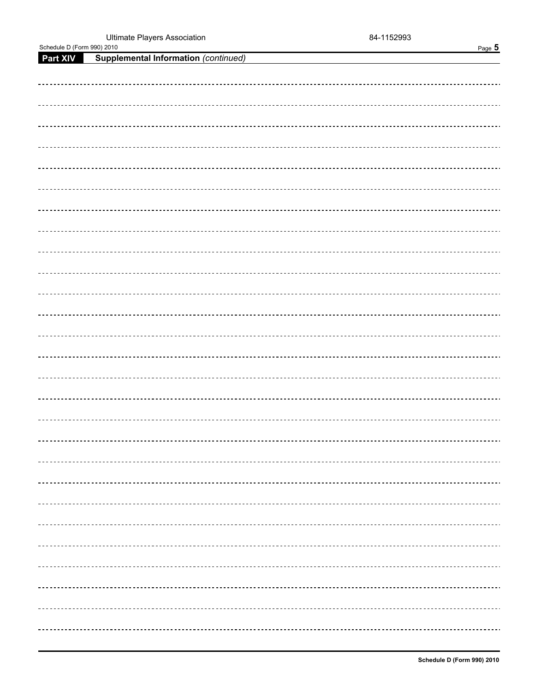Schedule D (Form 990) 2010 Page 5

| <b>Part XIV</b> Supplemental Information (continued) |
|------------------------------------------------------|
|                                                      |
|                                                      |
|                                                      |
|                                                      |
|                                                      |
|                                                      |
|                                                      |
|                                                      |
|                                                      |
|                                                      |
|                                                      |
|                                                      |
|                                                      |
|                                                      |
|                                                      |
|                                                      |
|                                                      |
|                                                      |
|                                                      |
|                                                      |
|                                                      |
|                                                      |
|                                                      |
|                                                      |
|                                                      |
|                                                      |
|                                                      |
|                                                      |
|                                                      |
|                                                      |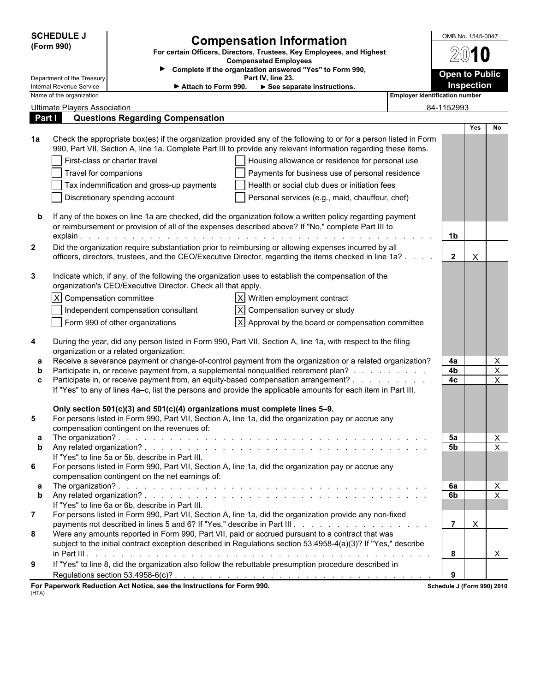| <b>SCHEDULE J</b><br>(Form 990)<br>Department of the Treasury |                                     | <b>Compensation Information</b><br>For certain Officers, Directors, Trustees, Key Employees, and Highest<br><b>Compensated Employees</b><br>Complete if the organization answered "Yes" to Form 990, |                                                                                                                                                                                                                                      | OMB No. 1545-0047<br><b>Open to Public</b> |                |            |                           |  |
|---------------------------------------------------------------|-------------------------------------|------------------------------------------------------------------------------------------------------------------------------------------------------------------------------------------------------|--------------------------------------------------------------------------------------------------------------------------------------------------------------------------------------------------------------------------------------|--------------------------------------------|----------------|------------|---------------------------|--|
| Internal Revenue Service<br>► Attach to Form 990.             |                                     |                                                                                                                                                                                                      | See separate instructions.                                                                                                                                                                                                           |                                            |                | Inspection |                           |  |
|                                                               | Name of the organization            |                                                                                                                                                                                                      |                                                                                                                                                                                                                                      | <b>Employer identification number</b>      |                |            |                           |  |
|                                                               | <b>Ultimate Players Association</b> |                                                                                                                                                                                                      |                                                                                                                                                                                                                                      |                                            | 84-1152993     |            |                           |  |
| Part I                                                        |                                     | <b>Questions Regarding Compensation</b>                                                                                                                                                              |                                                                                                                                                                                                                                      |                                            |                |            |                           |  |
|                                                               |                                     |                                                                                                                                                                                                      |                                                                                                                                                                                                                                      |                                            |                | <b>Yes</b> | No.                       |  |
| 1a                                                            |                                     |                                                                                                                                                                                                      | Check the appropriate box(es) if the organization provided any of the following to or for a person listed in Form<br>990, Part VII, Section A, line 1a. Complete Part III to provide any relevant information regarding these items. |                                            |                |            |                           |  |
|                                                               |                                     | First-class or charter travel                                                                                                                                                                        | Housing allowance or residence for personal use                                                                                                                                                                                      |                                            |                |            |                           |  |
|                                                               | Travel for companions               |                                                                                                                                                                                                      | Payments for business use of personal residence                                                                                                                                                                                      |                                            |                |            |                           |  |
|                                                               |                                     | Tax indemnification and gross-up payments                                                                                                                                                            | Health or social club dues or initiation fees                                                                                                                                                                                        |                                            |                |            |                           |  |
|                                                               |                                     | Discretionary spending account                                                                                                                                                                       | Personal services (e.g., maid, chauffeur, chef)                                                                                                                                                                                      |                                            |                |            |                           |  |
|                                                               |                                     |                                                                                                                                                                                                      |                                                                                                                                                                                                                                      |                                            |                |            |                           |  |
|                                                               |                                     |                                                                                                                                                                                                      | If any of the boxes on line 1a are checked, did the organization follow a written policy regarding payment                                                                                                                           |                                            |                |            |                           |  |
|                                                               |                                     |                                                                                                                                                                                                      | or reimbursement or provision of all of the expenses described above? If "No," complete Part III to                                                                                                                                  |                                            |                |            |                           |  |
|                                                               |                                     |                                                                                                                                                                                                      |                                                                                                                                                                                                                                      |                                            | 1 <sub>b</sub> |            |                           |  |
| $\mathbf{2}$                                                  |                                     |                                                                                                                                                                                                      | Did the organization require substantiation prior to reimbursing or allowing expenses incurred by all                                                                                                                                |                                            |                |            |                           |  |
|                                                               |                                     |                                                                                                                                                                                                      | officers, directors, trustees, and the CEO/Executive Director, regarding the items checked in line 1a?                                                                                                                               |                                            | $\overline{2}$ | X          |                           |  |
|                                                               |                                     |                                                                                                                                                                                                      |                                                                                                                                                                                                                                      |                                            |                |            |                           |  |
| 3                                                             |                                     |                                                                                                                                                                                                      | Indicate which, if any, of the following the organization uses to establish the compensation of the                                                                                                                                  |                                            |                |            |                           |  |
|                                                               |                                     | organization's CEO/Executive Director. Check all that apply.                                                                                                                                         |                                                                                                                                                                                                                                      |                                            |                |            |                           |  |
|                                                               | X Compensation committee            |                                                                                                                                                                                                      | $ X $ Written employment contract                                                                                                                                                                                                    |                                            |                |            |                           |  |
|                                                               |                                     | Independent compensation consultant                                                                                                                                                                  | X Compensation survey or study                                                                                                                                                                                                       |                                            |                |            |                           |  |
|                                                               |                                     | Form 990 of other organizations                                                                                                                                                                      | $ X $ Approval by the board or compensation committee                                                                                                                                                                                |                                            |                |            |                           |  |
|                                                               |                                     |                                                                                                                                                                                                      |                                                                                                                                                                                                                                      |                                            |                |            |                           |  |
| 4                                                             |                                     |                                                                                                                                                                                                      | During the year, did any person listed in Form 990, Part VII, Section A, line 1a, with respect to the filing                                                                                                                         |                                            |                |            |                           |  |
|                                                               |                                     | organization or a related organization:                                                                                                                                                              |                                                                                                                                                                                                                                      |                                            |                |            |                           |  |
| a                                                             |                                     |                                                                                                                                                                                                      | Receive a severance payment or change-of-control payment from the organization or a related organization?                                                                                                                            |                                            | 4a             |            | X                         |  |
| b                                                             |                                     |                                                                                                                                                                                                      | Participate in, or receive payment from, a supplemental nonqualified retirement plan?                                                                                                                                                |                                            | 4b             |            | $\mathsf X$               |  |
| C                                                             |                                     |                                                                                                                                                                                                      | Participate in, or receive payment from, an equity-based compensation arrangement?                                                                                                                                                   |                                            | 4c             |            | X                         |  |
|                                                               |                                     |                                                                                                                                                                                                      | If "Yes" to any of lines 4a-c, list the persons and provide the applicable amounts for each item in Part III.                                                                                                                        |                                            |                |            |                           |  |
|                                                               |                                     |                                                                                                                                                                                                      |                                                                                                                                                                                                                                      |                                            |                |            |                           |  |
|                                                               |                                     | Only section 501(c)(3) and 501(c)(4) organizations must complete lines 5-9.                                                                                                                          | For persons listed in Form 990, Part VII, Section A, line 1a, did the organization pay or accrue any                                                                                                                                 |                                            |                |            |                           |  |
|                                                               |                                     | compensation contingent on the revenues of:                                                                                                                                                          |                                                                                                                                                                                                                                      |                                            |                |            |                           |  |
| а                                                             |                                     |                                                                                                                                                                                                      |                                                                                                                                                                                                                                      |                                            | 5а             |            | X                         |  |
| b                                                             |                                     |                                                                                                                                                                                                      |                                                                                                                                                                                                                                      |                                            | 5b             |            | $\overline{X}$            |  |
|                                                               |                                     | If "Yes" to line 5a or 5b, describe in Part III.                                                                                                                                                     |                                                                                                                                                                                                                                      |                                            |                |            |                           |  |
| 6                                                             |                                     |                                                                                                                                                                                                      | For persons listed in Form 990, Part VII, Section A, line 1a, did the organization pay or accrue any                                                                                                                                 |                                            |                |            |                           |  |
|                                                               |                                     | compensation contingent on the net earnings of:                                                                                                                                                      |                                                                                                                                                                                                                                      |                                            |                |            |                           |  |
| а                                                             |                                     |                                                                                                                                                                                                      |                                                                                                                                                                                                                                      |                                            | 6a             |            | $\boldsymbol{\mathsf{X}}$ |  |
| b                                                             |                                     |                                                                                                                                                                                                      |                                                                                                                                                                                                                                      |                                            | 6b             |            | $\pmb{\times}$            |  |
|                                                               |                                     | If "Yes" to line 6a or 6b, describe in Part III.                                                                                                                                                     |                                                                                                                                                                                                                                      |                                            |                |            |                           |  |
| $\overline{7}$                                                |                                     |                                                                                                                                                                                                      | For persons listed in Form 990, Part VII, Section A, line 1a, did the organization provide any non-fixed                                                                                                                             |                                            |                |            |                           |  |
| 8                                                             |                                     |                                                                                                                                                                                                      |                                                                                                                                                                                                                                      |                                            | $\overline{7}$ | X          |                           |  |
|                                                               |                                     |                                                                                                                                                                                                      | Were any amounts reported in Form 990, Part VII, paid or accrued pursuant to a contract that was<br>subject to the initial contract exception described in Regulations section 53.4958-4(a)(3)? If "Yes," describe                   |                                            |                |            |                           |  |
|                                                               |                                     |                                                                                                                                                                                                      |                                                                                                                                                                                                                                      |                                            | 8              |            |                           |  |
|                                                               |                                     |                                                                                                                                                                                                      | If "Yes" to line 8, did the organization also follow the rebuttable presumption procedure described in                                                                                                                               |                                            |                |            | X                         |  |
| 9                                                             |                                     |                                                                                                                                                                                                      |                                                                                                                                                                                                                                      |                                            |                |            |                           |  |
|                                                               |                                     | persente Reduction Act Notice, are the Instructions for Ferm 000                                                                                                                                     | Regulations section 53.4958-6(c)? $\ldots$ $\ldots$ $\ldots$ $\ldots$ $\ldots$ $\ldots$ $\ldots$ $\ldots$ $\ldots$ $\ldots$ $\ldots$ $\ldots$                                                                                        |                                            | 9              |            |                           |  |

**For Paperwork Reduction Act Notice, see the Instructions for Form 990. Schedule J (Form 990) 2010** (HTA)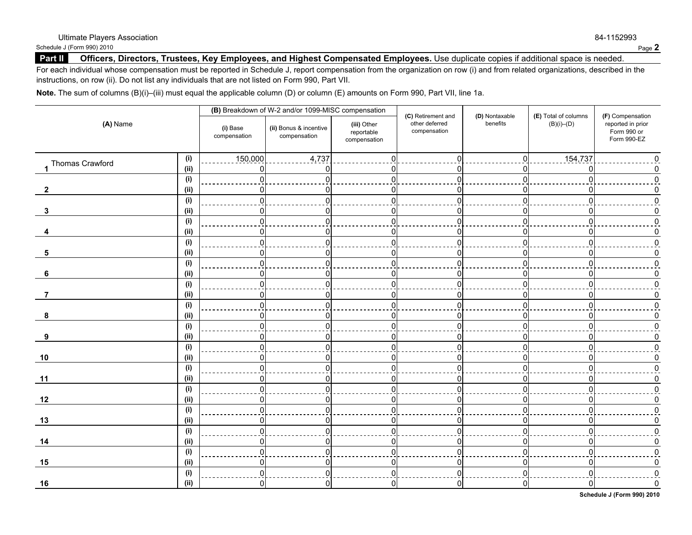Schedule J (Form 990) 2010 **Page 2** 

#### Part II **Officers, Directors, Trustees, Key Employees, and Highest Compensated Employees. Use duplicate copies if additional space is needed.**

For each individual whose compensation must be reported in Schedule J, report compensation from the organization on row (i) and from related organizations, described in the instructions, on row (ii). Do not list any individuals that are not listed on Form 990, Part VII.

**Note.** The sum of columns (B)(i)–(iii) must equal the applicable column (D) or column (E) amounts on Form 990, Part VII, line 1a.

| (A) Name          |             |                          | (B) Breakdown of W-2 and/or 1099-MISC compensation |                                           |                                                      |                            | (E) Total of columns | (F) Compensation<br>reported in prior<br>Form 990 or<br>Form 990-EZ |
|-------------------|-------------|--------------------------|----------------------------------------------------|-------------------------------------------|------------------------------------------------------|----------------------------|----------------------|---------------------------------------------------------------------|
|                   |             | (i) Base<br>compensation | (ii) Bonus & incentive<br>compensation             | (iii) Other<br>reportable<br>compensation | (C) Retirement and<br>other deferred<br>compensation | (D) Nontaxable<br>benefits | $(B)(i)$ – $(D)$     |                                                                     |
| 1 Thomas Crawford | (i)<br>(ii) | 150,000<br>0             | 4,737                                              |                                           | $\Omega$                                             | $\Omega$                   | 154,737              |                                                                     |
|                   | (i)         | $\Omega$                 | U                                                  |                                           |                                                      | $\Omega$                   | n                    |                                                                     |
| $\overline{2}$    | (ii)        | 0                        | U                                                  |                                           |                                                      |                            |                      |                                                                     |
|                   | (i)         | $\Omega$                 | U                                                  |                                           |                                                      | $\Omega$                   | U                    |                                                                     |
| 3                 | (ii)        | 0                        | U                                                  |                                           |                                                      |                            | n                    |                                                                     |
|                   | (i)         | $\Omega$                 | U                                                  |                                           |                                                      | $\Omega$                   | U                    |                                                                     |
|                   | (ii)        | 0                        | n                                                  |                                           |                                                      |                            | n                    |                                                                     |
|                   | (i)         | $\overline{0}$           |                                                    |                                           |                                                      | $\Omega$                   | U                    |                                                                     |
| 5                 | (ii)        | 0                        | n                                                  |                                           |                                                      | n                          | n                    |                                                                     |
|                   | (i)         | $\Omega$                 |                                                    |                                           |                                                      | U                          |                      |                                                                     |
| 6                 | (ii)        | 0                        |                                                    |                                           |                                                      | n                          | O                    |                                                                     |
|                   | (i)         | $\Omega$                 |                                                    |                                           |                                                      | U                          |                      |                                                                     |
| 7                 | (i)         | 0                        | n                                                  |                                           |                                                      | O                          | n                    |                                                                     |
|                   | (i)         | $\Omega$                 |                                                    |                                           |                                                      | U                          |                      |                                                                     |
| 8                 | (ii)        | 0                        | O                                                  |                                           |                                                      | n                          | n                    |                                                                     |
|                   | (i)         | $\Omega$                 |                                                    |                                           |                                                      | U                          |                      |                                                                     |
| 9                 | (i)         | 0                        | 0                                                  |                                           |                                                      |                            | Ω                    |                                                                     |
|                   | (i)         | $\Omega$                 |                                                    |                                           |                                                      | U                          |                      |                                                                     |
| 10                | (i)         | 0                        | 0                                                  | O                                         | O                                                    | ი                          | O                    |                                                                     |
|                   | (i)         | $\Omega$                 |                                                    |                                           |                                                      |                            |                      |                                                                     |
| 11                | (iii)       | 0                        | O                                                  | n                                         | O                                                    | ŋ                          | ი                    |                                                                     |
|                   | (i)         | $\Omega$                 |                                                    |                                           |                                                      |                            |                      |                                                                     |
| 12                | (ii)        | 0                        | n                                                  |                                           | O                                                    | O                          | n                    |                                                                     |
|                   | (i)         | $\Omega$                 | U                                                  |                                           |                                                      |                            | $\Omega$             |                                                                     |
| 13                | (ii)        | $\Omega$                 |                                                    |                                           |                                                      |                            | n                    |                                                                     |
|                   | (i)         | $\Omega$                 | n                                                  |                                           |                                                      |                            | U                    |                                                                     |
| 14                | (ii)        | $\Omega$                 | U                                                  |                                           | O                                                    | n                          | n                    |                                                                     |
|                   | (i)         | $\Omega$                 | U                                                  |                                           | ŋ                                                    | n                          | $\Omega$             |                                                                     |
| 15                | (ii)        | $\mathbf 0$              | 0                                                  | O                                         | 0                                                    | O                          | O                    |                                                                     |
|                   | (i)         | $\overline{0}$           | $\Omega$                                           |                                           | $\mathbf{0}$                                         | U                          | $\Omega$             |                                                                     |
| 16                | (ii)        | $\overline{0}$           | 0                                                  | n                                         | $\mathbf{0}$                                         | $\overline{0}$             | 0                    |                                                                     |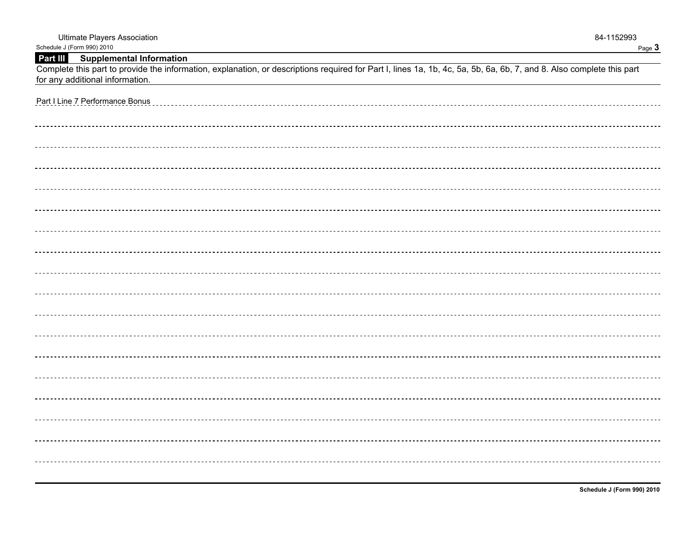| <b>Ultimate Players Association</b>                                                                                                                                                                     | 84-1152993 |
|---------------------------------------------------------------------------------------------------------------------------------------------------------------------------------------------------------|------------|
| Schedule J (Form 990) 2010<br>Part III Supplemental Information                                                                                                                                         | Page 3     |
| Complete this part to provide the information, explanation, or descriptions required for Part I, lines 1a, 1b, 4c, 5a, 5b, 6a, 6b, 7, and 8. Also complete this part<br>for any additional information. |            |
| Part I Line 7 Performance Bonus                                                                                                                                                                         |            |
|                                                                                                                                                                                                         |            |
|                                                                                                                                                                                                         |            |
|                                                                                                                                                                                                         |            |
|                                                                                                                                                                                                         |            |
|                                                                                                                                                                                                         |            |
|                                                                                                                                                                                                         |            |
|                                                                                                                                                                                                         |            |
|                                                                                                                                                                                                         |            |
|                                                                                                                                                                                                         |            |
|                                                                                                                                                                                                         |            |
|                                                                                                                                                                                                         |            |
|                                                                                                                                                                                                         |            |
|                                                                                                                                                                                                         |            |
|                                                                                                                                                                                                         |            |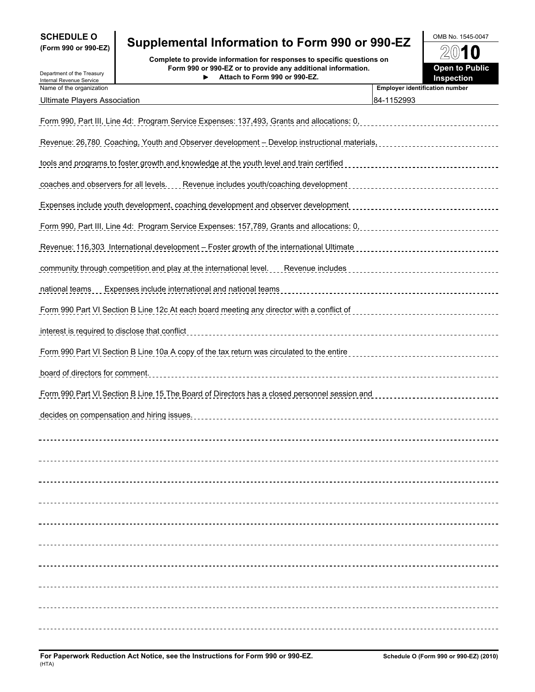| <b>SCHEDULE O</b>   |  |  |
|---------------------|--|--|
| (Form 990 or 990-FZ |  |  |

# **SCHEDULE O** OMB No. 1545-0047 **(Form 990 or 990-EZ) Supplemental Information to Form 990 or 990-EZ**

**Complete to provide information for responses to specific questions on**<br>Internal Revenue Service **Complete Treasury Form 990 or 990-EZ or to provide any additional information.<br>Internal Revenue Service Form 990 or 990-EZ or to provide any additional information. Attach to Form 990 or 990-EZ.**

| 2010                                       |  |
|--------------------------------------------|--|
| <b>Open to Public</b><br><b>Inspection</b> |  |

| Department of the Treasury<br>Internal Revenue Service | to provide any duditional imornia<br>Attach to Form 990 or 990-EZ.                                   | Inspection                            |
|--------------------------------------------------------|------------------------------------------------------------------------------------------------------|---------------------------------------|
| Name of the organization                               |                                                                                                      | <b>Employer identification number</b> |
| <b>Ultimate Players Association</b>                    |                                                                                                      | 84-1152993                            |
|                                                        | Form 990, Part III, Line 4d: Program Service Expenses: 137,493, Grants and allocations: 0,           |                                       |
|                                                        | Revenue: 26.780 Coaching, Youth and Observer development - Develop instructional materials,          |                                       |
|                                                        | tools and programs to foster growth and knowledge at the youth level and train certified             |                                       |
|                                                        | coaches and observers for all levels. Revenue includes youth/coaching development                    |                                       |
|                                                        | <u>Expenses include youth development, coaching development and observer development</u>             |                                       |
|                                                        | Form 990, Part III, Line 4d: Program Service Expenses: 157,789, Grants and allocations: 0,           |                                       |
|                                                        | Revenue: 116,303 International development - Foster growth of the international Ultimate             |                                       |
|                                                        | <u>community through competition and play at the international level. Revenue includes</u>           |                                       |
|                                                        | national teams __ Expenses include international and national teams                                  | ------------------                    |
|                                                        | Form 990 Part VI Section B Line 12c At each board meeting any director with a conflict of            |                                       |
| interest is required to disclose that conflict         |                                                                                                      |                                       |
|                                                        | Form 990 Part VI Section B Line 10a A copy of the tax return was circulated to the entire            |                                       |
| board of directors for comment.                        |                                                                                                      |                                       |
|                                                        | <u>Form 990 Part VI Section B Line 15 The Board of Directors has a closed personnel session and </u> |                                       |
|                                                        | decides on compensation and hiring issues.                                                           |                                       |
|                                                        |                                                                                                      |                                       |
|                                                        |                                                                                                      |                                       |
|                                                        |                                                                                                      |                                       |
|                                                        |                                                                                                      |                                       |
|                                                        |                                                                                                      |                                       |
|                                                        |                                                                                                      |                                       |
|                                                        |                                                                                                      |                                       |
|                                                        |                                                                                                      |                                       |
|                                                        |                                                                                                      |                                       |
|                                                        |                                                                                                      |                                       |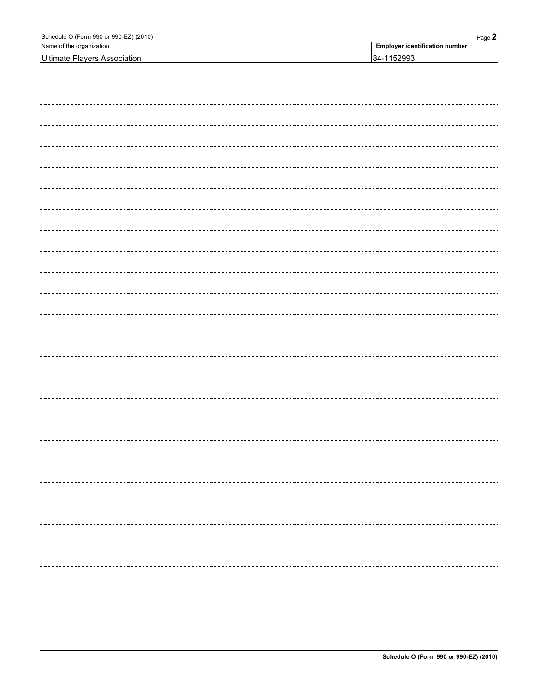| Schedule O (Form 990 or 990-EZ) (2010) | Page 2                                |
|----------------------------------------|---------------------------------------|
| Name of the organization               | <b>Employer identification number</b> |
| <b>Ultimate Players Association</b>    | 84-1152993                            |
|                                        |                                       |
|                                        |                                       |
|                                        |                                       |
|                                        |                                       |
|                                        |                                       |
|                                        |                                       |
|                                        |                                       |
|                                        |                                       |
|                                        |                                       |
|                                        |                                       |
|                                        |                                       |
|                                        |                                       |
|                                        |                                       |
|                                        |                                       |
|                                        |                                       |
|                                        |                                       |
|                                        |                                       |
|                                        |                                       |
|                                        |                                       |
|                                        |                                       |
|                                        |                                       |
|                                        |                                       |
|                                        |                                       |
|                                        |                                       |
|                                        |                                       |
|                                        |                                       |
|                                        |                                       |
|                                        |                                       |
|                                        |                                       |
|                                        |                                       |
|                                        |                                       |
|                                        |                                       |
|                                        |                                       |
|                                        |                                       |
|                                        |                                       |
|                                        |                                       |
|                                        |                                       |
|                                        |                                       |
|                                        |                                       |
|                                        |                                       |
|                                        |                                       |
|                                        |                                       |
|                                        |                                       |
|                                        |                                       |
|                                        |                                       |
|                                        |                                       |
|                                        |                                       |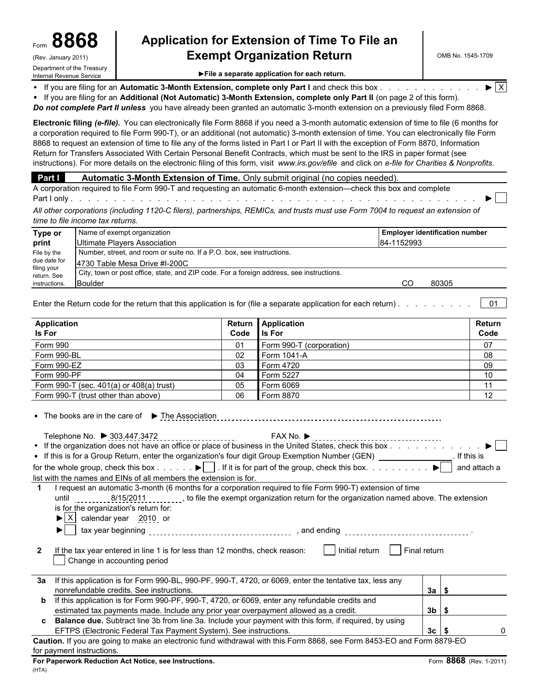### Form **8868 Application for Extension of Time To File an Exempt Organization Return**

File a separate application for each return.

If you are filing for an **Automatic 3-Month Extension, complete only Part I** and check this box . . . . . . . . . . . . .  $\blacktriangleright$  X

If you are filing for an **Additional (Not Automatic) 3-Month Extension, complete only Part II** (on page 2 of this form).

*Do not complete Part II unless* you have already been granted an automatic 3-month extension on a previously filed Form 8868.

**Electronic filing** *(e-file).* You can electronically file Form 8868 if you need a 3-month automatic extension of time to file (6 months for a corporation required to file Form 990-T), or an additional (not automatic) 3-month extension of time. You can electronically file Form 8868 to request an extension of time to file any of the forms listed in Part I or Part II with the exception of Form 8870, Information Return for Transfers Associated With Certain Personal Benefit Contracts, which must be sent to the IRS in paper format (see instructions). For more details on the electronic filing of this form, visit *www.irs.gov/efile* and click on *e-file for Charities & Nonprofits.*

#### **Part I** Automatic 3-Month Extension of Time. Only submit original (no copies needed).

A corporation required to file Form 990-T and requesting an automatic 6-month extension—check this box and complete Part I only . . . . . . . . . . . . . . . . . . . . . . . . . . . . . . . . . . . . . . . . . . . . . . . . . . . . . . .

*All other corporations (including 1120-C filers), partnerships, REMICs, and trusts must use Form 7004 to request an extension of time to file income tax returns.*

| Type or                    | Name of exempt organization                                                              |            | <b>Employer identification number</b> |
|----------------------------|------------------------------------------------------------------------------------------|------------|---------------------------------------|
| print                      | Ultimate Players Association                                                             | 84-1152993 |                                       |
| File by the                | Number, street, and room or suite no. If a P.O. box, see instructions.                   |            |                                       |
| due date for               | 14730 Table Mesa Drive #I-200C                                                           |            |                                       |
| filing your<br>return, See | City, town or post office, state, and ZIP code. For a foreign address, see instructions. |            |                                       |
| instructions.              | <b>IBoulder</b>                                                                          |            | 80305                                 |

Enter the Return code for the return that this application is for (file a separate application for each return) . . . . . . . . . . . . 01

| Application<br><b>Is For</b>                 | Code | Return Application<br><b>Is For</b> | Return<br>Code |
|----------------------------------------------|------|-------------------------------------|----------------|
| Form 990                                     | 01   | Form 990-T (corporation)            | 07             |
| Form 990-BL                                  | 02   | Form 1041-A                         | 08             |
| Form 990-EZ                                  | 03   | Form 4720                           | 09             |
| Form 990-PF                                  | 04   | Form 5227                           | 10             |
| Form 990-T (sec. $401(a)$ or $408(a)$ trust) | 05   | Form 6069                           | 11             |
| Form 990-T (trust other than above)          | 06   | Form 8870                           | 12             |

| • The books are in the care of $\triangleright$ The Association                                                                  |             |              |  |
|----------------------------------------------------------------------------------------------------------------------------------|-------------|--------------|--|
|                                                                                                                                  |             |              |  |
| Telephone No. ▶ 303.447.3472                                                                                                     | FAX No. $▶$ |              |  |
| • If the organization does not have an office or place of business in the United States, check this box                          |             |              |  |
| • If this is for a Group Return, enter the organization's four digit Group Exemption Number (GEN)                                |             | If this is   |  |
| for the whole group, check this box $\blacktriangleright$ . If it is for part of the group, check this box $\blacktriangleright$ |             | and attach a |  |
| list with the names and EINs of all members the extension is for.                                                                |             |              |  |

**1** I request an automatic 3-month (6 months for a corporation required to file Form 990-T) extension of time until 11111 8/15/2011 , to file the exempt organization return for the organization named above. The extension is for the organization's return for:

 $\blacktriangleright$   $\mid$  X  $\mid$  calendar year 2010 or

tax year beginning , and ending .

**2** If the tax year entered in line 1 is for less than 12 months, check reason:  $\vert$  | Initial return  $\vert$  | Final return Change in accounting period

|                                                                                                                                                                                                                                                                                 | 3a If this application is for Form 990-BL, 990-PF, 990-T, 4720, or 6069, enter the tentative tax, less any |      |  |  |  |  |
|---------------------------------------------------------------------------------------------------------------------------------------------------------------------------------------------------------------------------------------------------------------------------------|------------------------------------------------------------------------------------------------------------|------|--|--|--|--|
|                                                                                                                                                                                                                                                                                 | nonrefundable credits. See instructions.                                                                   | За   |  |  |  |  |
| b                                                                                                                                                                                                                                                                               | If this application is for Form 990-PF, 990-T, 4720, or 6069, enter any refundable credits and             |      |  |  |  |  |
|                                                                                                                                                                                                                                                                                 | estimated tax payments made. Include any prior year overpayment allowed as a credit.                       | 3b   |  |  |  |  |
| C.                                                                                                                                                                                                                                                                              | Balance due. Subtract line 3b from line 3a. Include your payment with this form, if required, by using     |      |  |  |  |  |
|                                                                                                                                                                                                                                                                                 | EFTPS (Electronic Federal Tax Payment System). See instructions.                                           | 3c l |  |  |  |  |
| $\sim$ 14 $\sim$ 15 $\sim$ 200 $\sim$ 200 $\sim$ 200 $\sim$ 200 $\sim$ 200 $\sim$ 200 $\sim$ 300 $\sim$ 300 $\sim$ 400 $\sim$ 200 $\sim$ 200 $\sim$ 200 $\sim$ 200 $\sim$ 200 $\sim$ 200 $\sim$ 200 $\sim$ 200 $\sim$ 200 $\sim$ 200 $\sim$ 200 $\sim$ 200 $\sim$ 200 $\sim$ 20 |                                                                                                            |      |  |  |  |  |

**Caution.** If you are going to make an electronic fund withdrawal with this Form 8868, see Form 8453-EO and Form 8879-EO for payment instructions.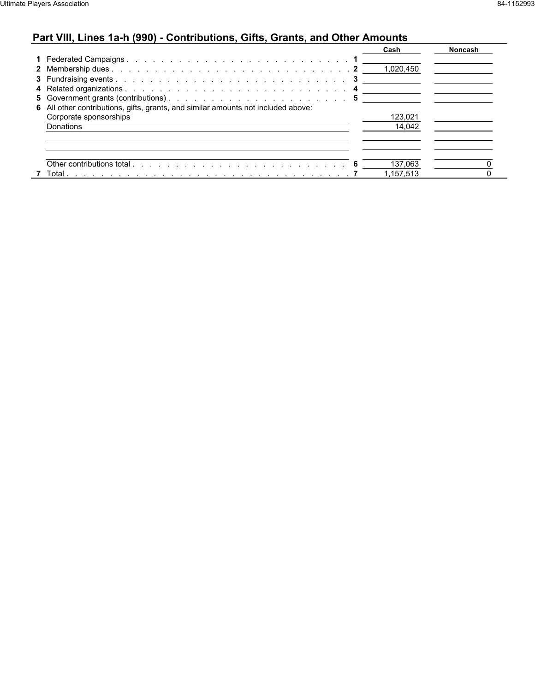# **Part VIII, Lines 1a-h (990) - Contributions, Gifts, Grants, and Other Amounts**

|                                                                                   | Cash      | <b>Noncash</b> |
|-----------------------------------------------------------------------------------|-----------|----------------|
|                                                                                   |           |                |
|                                                                                   | 1,020,450 |                |
|                                                                                   |           |                |
|                                                                                   |           |                |
|                                                                                   |           |                |
| 6 All other contributions, gifts, grants, and similar amounts not included above: |           |                |
| Corporate sponsorships                                                            | 123.021   |                |
| Donations                                                                         | 14,042    |                |
|                                                                                   |           |                |
|                                                                                   |           |                |
|                                                                                   |           |                |
|                                                                                   | 137,063   |                |
| 7 Total                                                                           | .157.513  |                |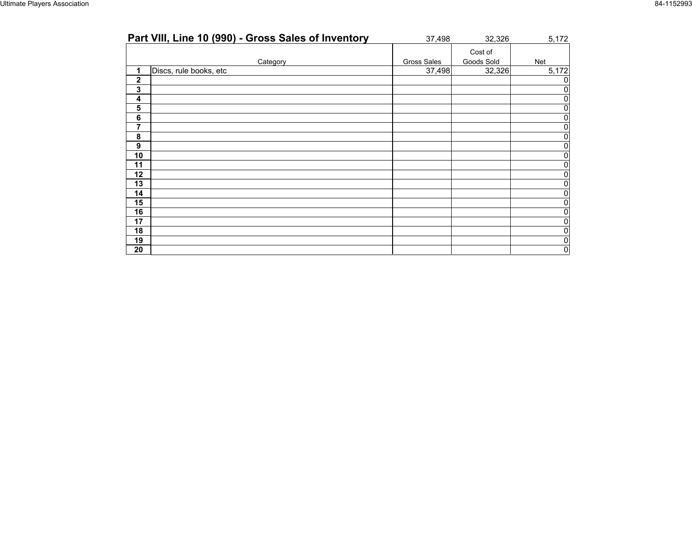| Part VIII, Line 10 (990) - Gross Sales of Inventory | 37,498             | 32,326                | 5,172        |
|-----------------------------------------------------|--------------------|-----------------------|--------------|
| Category                                            | <b>Gross Sales</b> | Cost of<br>Goods Sold | Net          |
| Discs, rule books, etc<br>1                         | 37,498             | 32,326                | 5,172        |
| $\mathbf 2$                                         |                    |                       |              |
| 3                                                   |                    |                       |              |
| 4                                                   |                    |                       |              |
| 5                                                   |                    |                       |              |
| 6                                                   |                    |                       | 0            |
| 7                                                   |                    |                       | U            |
| 8                                                   |                    |                       | 0            |
| 9                                                   |                    |                       | 0            |
| 10                                                  |                    |                       | U            |
| 11                                                  |                    |                       |              |
| 12                                                  |                    |                       |              |
| 13                                                  |                    |                       | 0            |
| 14                                                  |                    |                       | O.           |
| 15                                                  |                    |                       |              |
| 16                                                  |                    |                       | $\mathbf{0}$ |
| 17                                                  |                    |                       |              |
| 18                                                  |                    |                       |              |
| 19                                                  |                    |                       | 0            |
| 20                                                  |                    |                       | 0            |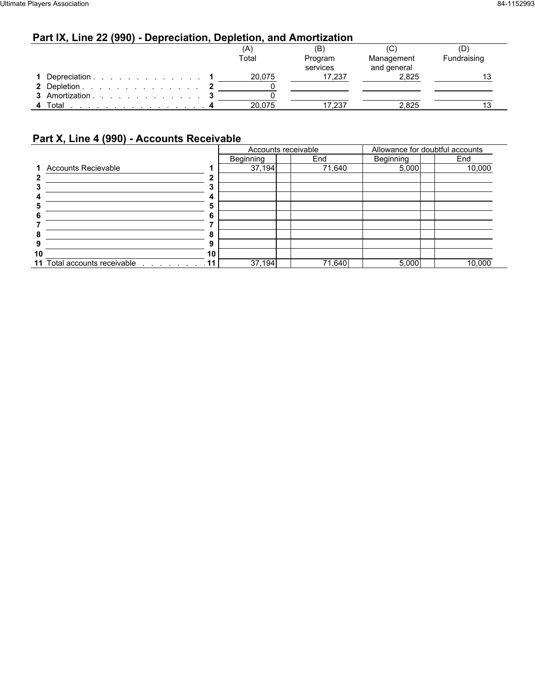### **Part IX, Line 22 (990) - Depreciation, Depletion, and Amortization**

|                | A)     | (B)      | (C          | D           |
|----------------|--------|----------|-------------|-------------|
|                | Total  | Program  | Management  | Fundraising |
|                |        | services | and general |             |
| Depreciation   | 20.075 | 17.237   | 2.825       |             |
| 2 Depletion    |        |          |             |             |
| 3 Amortization |        |          |             |             |
| 4 Total        | 20.075 | 17,237   | 2,825       |             |

### **Part X, Line 4 (990) - Accounts Receivable**

|    |                                             |    | Accounts receivable |        |           | Allowance for doubtful accounts |
|----|---------------------------------------------|----|---------------------|--------|-----------|---------------------------------|
|    |                                             |    | Beginning           | End    | Beginning | End                             |
|    | 1 Accounts Recievable                       |    | 37,194              | 71,640 | 5,000     | 10,000                          |
|    |                                             |    |                     |        |           |                                 |
|    |                                             |    |                     |        |           |                                 |
|    |                                             |    |                     |        |           |                                 |
|    |                                             |    |                     |        |           |                                 |
|    |                                             |    |                     |        |           |                                 |
|    |                                             |    |                     |        |           |                                 |
|    |                                             |    |                     |        |           |                                 |
|    |                                             |    |                     |        |           |                                 |
| 10 |                                             | 10 |                     |        |           |                                 |
|    | 11 Total accounts receivable<br><u>.</u> 11 |    | 37,194              | 71,640 | 5,000     | 10,000                          |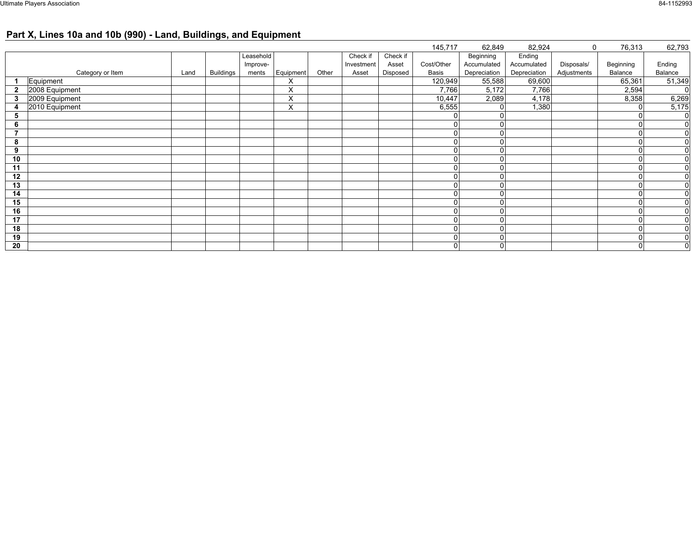# **Part X, Lines 10a and 10b (990) - Land, Buildings, and Equipment**

| 145,717<br>62,793<br>62,849<br>82,924<br>76,313<br>$\mathbf 0$<br>Beginning<br>Ending<br>Leasehold<br>Check if<br>Check if<br>Cost/Other<br>Ending<br>Disposals/<br>Accumulated<br>Accumulated<br>Beginning<br>Improve-<br>Investment<br>Asset<br>Equipment<br>Balance<br>Category or Item<br><b>Buildings</b><br>Other<br>Basis<br>Depreciation<br>Depreciation<br>Adjustments<br>Disposed<br>Land<br>Balance<br>ments<br>Asset<br>65,361<br>Equipment<br>120,949<br>69,600<br>51,349<br>55,588<br>X<br>2008 Equipment<br>7,766<br>X<br>7,766<br>5,172<br>2,594<br>$\overline{0}$<br>6,269<br>2009 Equipment<br>10,447<br>2,089<br>4,178<br>8,358<br>X<br>3<br>2010 Equipment<br>X<br>1,380<br>5,175<br>6,555<br>O<br>4<br>$\overline{0}$<br>5<br>$\overline{0}$<br>6<br>$\overline{0}$<br>$\Omega$<br>$\Omega$<br>$\overline{0}$<br>8<br>$\overline{0}$<br>9<br>$\Omega$<br>$\overline{0}$<br>10<br>$\Omega$<br>$\Omega$<br>$\overline{0}$<br>11<br>$\Omega$<br>12<br>$\overline{0}$<br>$\Omega$<br>$\Omega$<br>13<br>$\overline{0}$<br>$\overline{0}$<br>14<br>$\Omega$<br>0<br>$\overline{0}$<br>15<br>$\overline{0}$<br>16<br>$\overline{0}$<br>17<br>$\Omega$<br>$\overline{0}$<br>18<br>$\Omega$<br>$\overline{0}$<br>19<br>$\Omega$<br>$\overline{0}$<br>20<br>$\mathbf 0$<br>$\overline{0}$<br>$\mathbf 0$ |  |  |  |  |  |  |  |  |
|---------------------------------------------------------------------------------------------------------------------------------------------------------------------------------------------------------------------------------------------------------------------------------------------------------------------------------------------------------------------------------------------------------------------------------------------------------------------------------------------------------------------------------------------------------------------------------------------------------------------------------------------------------------------------------------------------------------------------------------------------------------------------------------------------------------------------------------------------------------------------------------------------------------------------------------------------------------------------------------------------------------------------------------------------------------------------------------------------------------------------------------------------------------------------------------------------------------------------------------------------------------------------------------------------------------------|--|--|--|--|--|--|--|--|
|                                                                                                                                                                                                                                                                                                                                                                                                                                                                                                                                                                                                                                                                                                                                                                                                                                                                                                                                                                                                                                                                                                                                                                                                                                                                                                                     |  |  |  |  |  |  |  |  |
|                                                                                                                                                                                                                                                                                                                                                                                                                                                                                                                                                                                                                                                                                                                                                                                                                                                                                                                                                                                                                                                                                                                                                                                                                                                                                                                     |  |  |  |  |  |  |  |  |
|                                                                                                                                                                                                                                                                                                                                                                                                                                                                                                                                                                                                                                                                                                                                                                                                                                                                                                                                                                                                                                                                                                                                                                                                                                                                                                                     |  |  |  |  |  |  |  |  |
|                                                                                                                                                                                                                                                                                                                                                                                                                                                                                                                                                                                                                                                                                                                                                                                                                                                                                                                                                                                                                                                                                                                                                                                                                                                                                                                     |  |  |  |  |  |  |  |  |
|                                                                                                                                                                                                                                                                                                                                                                                                                                                                                                                                                                                                                                                                                                                                                                                                                                                                                                                                                                                                                                                                                                                                                                                                                                                                                                                     |  |  |  |  |  |  |  |  |
|                                                                                                                                                                                                                                                                                                                                                                                                                                                                                                                                                                                                                                                                                                                                                                                                                                                                                                                                                                                                                                                                                                                                                                                                                                                                                                                     |  |  |  |  |  |  |  |  |
|                                                                                                                                                                                                                                                                                                                                                                                                                                                                                                                                                                                                                                                                                                                                                                                                                                                                                                                                                                                                                                                                                                                                                                                                                                                                                                                     |  |  |  |  |  |  |  |  |
|                                                                                                                                                                                                                                                                                                                                                                                                                                                                                                                                                                                                                                                                                                                                                                                                                                                                                                                                                                                                                                                                                                                                                                                                                                                                                                                     |  |  |  |  |  |  |  |  |
|                                                                                                                                                                                                                                                                                                                                                                                                                                                                                                                                                                                                                                                                                                                                                                                                                                                                                                                                                                                                                                                                                                                                                                                                                                                                                                                     |  |  |  |  |  |  |  |  |
|                                                                                                                                                                                                                                                                                                                                                                                                                                                                                                                                                                                                                                                                                                                                                                                                                                                                                                                                                                                                                                                                                                                                                                                                                                                                                                                     |  |  |  |  |  |  |  |  |
|                                                                                                                                                                                                                                                                                                                                                                                                                                                                                                                                                                                                                                                                                                                                                                                                                                                                                                                                                                                                                                                                                                                                                                                                                                                                                                                     |  |  |  |  |  |  |  |  |
|                                                                                                                                                                                                                                                                                                                                                                                                                                                                                                                                                                                                                                                                                                                                                                                                                                                                                                                                                                                                                                                                                                                                                                                                                                                                                                                     |  |  |  |  |  |  |  |  |
|                                                                                                                                                                                                                                                                                                                                                                                                                                                                                                                                                                                                                                                                                                                                                                                                                                                                                                                                                                                                                                                                                                                                                                                                                                                                                                                     |  |  |  |  |  |  |  |  |
|                                                                                                                                                                                                                                                                                                                                                                                                                                                                                                                                                                                                                                                                                                                                                                                                                                                                                                                                                                                                                                                                                                                                                                                                                                                                                                                     |  |  |  |  |  |  |  |  |
|                                                                                                                                                                                                                                                                                                                                                                                                                                                                                                                                                                                                                                                                                                                                                                                                                                                                                                                                                                                                                                                                                                                                                                                                                                                                                                                     |  |  |  |  |  |  |  |  |
|                                                                                                                                                                                                                                                                                                                                                                                                                                                                                                                                                                                                                                                                                                                                                                                                                                                                                                                                                                                                                                                                                                                                                                                                                                                                                                                     |  |  |  |  |  |  |  |  |
|                                                                                                                                                                                                                                                                                                                                                                                                                                                                                                                                                                                                                                                                                                                                                                                                                                                                                                                                                                                                                                                                                                                                                                                                                                                                                                                     |  |  |  |  |  |  |  |  |
|                                                                                                                                                                                                                                                                                                                                                                                                                                                                                                                                                                                                                                                                                                                                                                                                                                                                                                                                                                                                                                                                                                                                                                                                                                                                                                                     |  |  |  |  |  |  |  |  |
|                                                                                                                                                                                                                                                                                                                                                                                                                                                                                                                                                                                                                                                                                                                                                                                                                                                                                                                                                                                                                                                                                                                                                                                                                                                                                                                     |  |  |  |  |  |  |  |  |
|                                                                                                                                                                                                                                                                                                                                                                                                                                                                                                                                                                                                                                                                                                                                                                                                                                                                                                                                                                                                                                                                                                                                                                                                                                                                                                                     |  |  |  |  |  |  |  |  |
|                                                                                                                                                                                                                                                                                                                                                                                                                                                                                                                                                                                                                                                                                                                                                                                                                                                                                                                                                                                                                                                                                                                                                                                                                                                                                                                     |  |  |  |  |  |  |  |  |
|                                                                                                                                                                                                                                                                                                                                                                                                                                                                                                                                                                                                                                                                                                                                                                                                                                                                                                                                                                                                                                                                                                                                                                                                                                                                                                                     |  |  |  |  |  |  |  |  |
|                                                                                                                                                                                                                                                                                                                                                                                                                                                                                                                                                                                                                                                                                                                                                                                                                                                                                                                                                                                                                                                                                                                                                                                                                                                                                                                     |  |  |  |  |  |  |  |  |
|                                                                                                                                                                                                                                                                                                                                                                                                                                                                                                                                                                                                                                                                                                                                                                                                                                                                                                                                                                                                                                                                                                                                                                                                                                                                                                                     |  |  |  |  |  |  |  |  |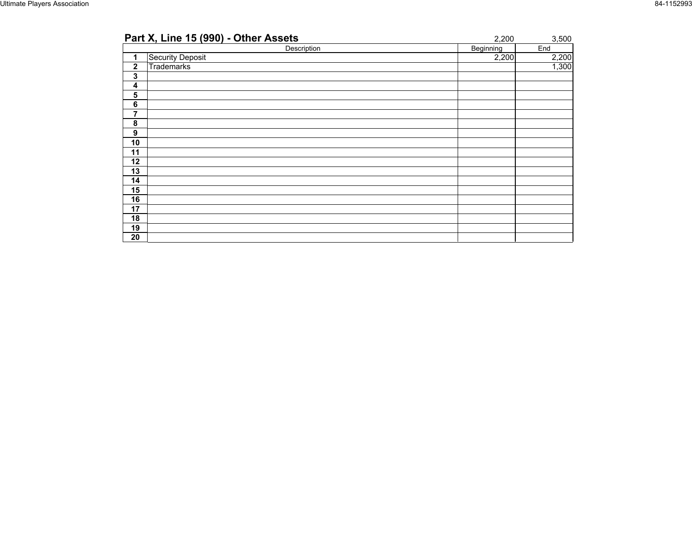| Part X, Line 15 (990) - Other Assets | 2,200            | 3,500 |
|--------------------------------------|------------------|-------|
| Description                          | <b>Beginning</b> | End   |
| Security Deposit<br>1                | 2,200            | 2,200 |
| $\mathbf 2$<br>Trademarks            |                  | 1,300 |
| 3                                    |                  |       |
| 4                                    |                  |       |
| 5                                    |                  |       |
| $\bf 6$                              |                  |       |
| 7                                    |                  |       |
| 8                                    |                  |       |
| 9                                    |                  |       |
| 10                                   |                  |       |
| 11                                   |                  |       |
| 12                                   |                  |       |
| 13                                   |                  |       |
| 14                                   |                  |       |
| 15                                   |                  |       |
| 16                                   |                  |       |
| 17                                   |                  |       |
| 18                                   |                  |       |
| 19                                   |                  |       |
| 20                                   |                  |       |